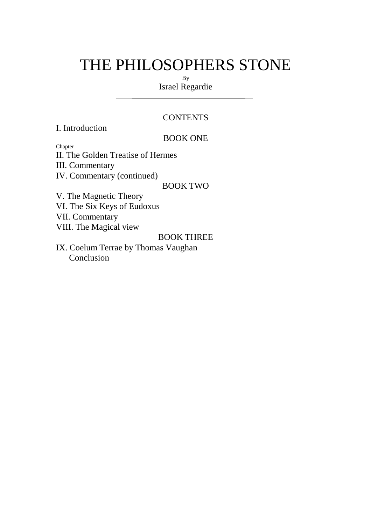# THE PHILOSOPHERS STONE

By

Israel Regardie

# **CONTENTS**

I. Introduction

# BOOK ONE

Chapter

II. The Golden Treatise of Hermes

III. Commentary

IV. Commentary (continued)

BOOK TWO

V. The Magnetic Theory VI. The Six Keys of Eudoxus VII. Commentary VIII. The Magical view

## BOOK THREE

IX. Coelum Terrae by Thomas Vaughan Conclusion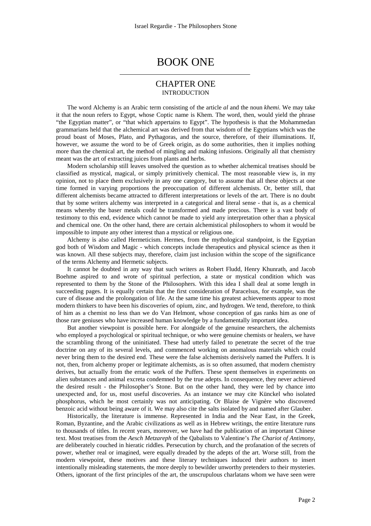# BOOK ONE

#### CHAPTER ONE **INTRODUCTION**

The word Alchemy is an Arabic term consisting of the article *al* and the noun *khemi*. We may take it that the noun refers to Egypt, whose Coptic name is Khem. The word, then, would yield the phrase "the Egyptian matter", or "that which appertains to Egypt". The hypothesis is that the Mohammedan grammarians held that the alchemical art was derived from that wisdom of the Egyptians which was the proud boast of Moses, Plato, and Pythagoras, and the source, therefore, of their illuminations. If, however, we assume the word to be of Greek origin, as do some authorities, then it implies nothing more than the chemical art, the method of mingling and making infusions. Originally all that chemistry meant was the art of extracting juices from plants and herbs.

Modern scholarship still leaves unsolved the question as to whether alchemical treatises should be classified as mystical, magical, or simply primitively chemical. The most reasonable view is, in my opinion, not to place them exclusively in any one category, but to assume that all these objects at one time formed in varying proportions the preoccupation of different alchemists. Or, better still, that different alchemists became attracted to different interpretations or levels of the art. There is no doubt that by some writers alchemy was interpreted in a categorical and literal sense - that is, as a chemical means whereby the baser metals could be transformed and made precious. There is a vast body of testimony to this end, evidence which cannot be made to yield any interpretation other than a physical and chemical one. On the other hand, there are certain alchemistical philosophers to whom it would be impossible to impute any other interest than a mystical or religious one.

Alchemy is also called Hermeticism. Hermes, from the mythological standpoint, is the Egyptian god both of Wisdom and Magic - which concepts include therapeutics and physical science as then it was known. All these subjects may, therefore, claim just inclusion within the scope of the significance of the terms Alchemy and Hermetic subjects.

It cannot be doubted in any way that such writers as Robert Fludd, Henry Khunrath, and Jacob Boehme aspired to and wrote of spiritual perfection, a state or mystical condition which was represented to them by the Stone of the Philosophers. With this idea I shall deal at some length in succeeding pages. It is equally certain that the first consideration of Paracelsus, for example, was the cure of disease and the prolongation of life. At the same time his greatest achievements appear to most modern thinkers to have been his discoveries of opium, zinc, and hydrogen. We tend, therefore, to think of him as a chemist no less than we do Van Helmont, whose conception of gas ranks him as one of those rare geniuses who have increased human knowledge by a fundamentally important idea.

But another viewpoint is possible here. For alongside of the genuine researchers, the alchemists who employed a psychological or spiritual technique, or who were genuine chemists or healers, we have the scrambling throng of the uninitiated. These had utterly failed to penetrate the secret of the true doctrine on any of its several levels, and commenced working on anomalous materials which could never bring them to the desired end. These were the false alchemists derisively named the Puffers. It is not, then, from alchemy proper or legitimate alchemists, as is so often assumed, that modern chemistry derives, but actually from the erratic work of the Puffers. These spent themselves in experiments on alien substances and animal excreta condemned by the true adepts. In consequence, they never achieved the desired result - the Philosopher's Stone. But on the other hand, they were led by chance into unexpected and, for us, most useful discoveries. As an instance we may cite Künckel who isolated phosphorus, which he most certainly was not anticipating. Or Blaise de Vignère who discovered benzoic acid without being aware of it. We may also cite the salts isolated by and named after Glauber.

Historically, the literature is immense. Represented in India and the Near East, in the Greek, Roman, Byzantine, and the Arabic civilizations as well as in Hebrew writings, the entire literature runs to thousands of titles. In recent years, moreover, we have had the publication of an important Chinese text. Most treatises from the *Aesch Metzareph* of the Qabalists to Valentine's *The Chariot of Antimony*, are deliberately couched in hieratic riddles. Persecution by church, and the profanation of the secrets of power, whether real or imagined, were equally dreaded by the adepts of the art. Worse still, from the modern viewpoint, these motives and these literary techniques induced their authors to insert intentionally misleading statements, the more deeply to bewilder unworthy pretenders to their mysteries. Others, ignorant of the first principles of the art, the unscrupulous charlatans whom we have seen were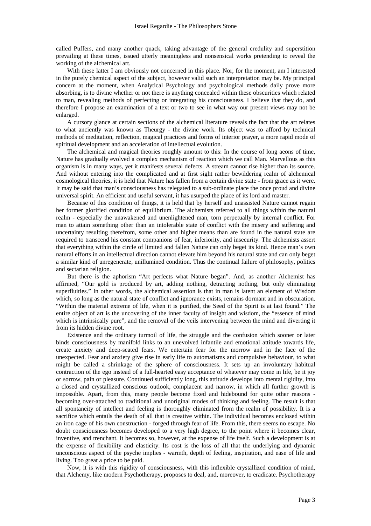called Puffers, and many another quack, taking advantage of the general credulity and superstition prevailing at these times, issued utterly meaningless and nonsensical works pretending to reveal the working of the alchemical art.

With these latter I am obviously not concerned in this place. Nor, for the moment, am I interested in the purely chemical aspect of the subject, however valid such an interpretation may be. My principal concern at the moment, when Analytical Psychology and psychological methods daily prove more absorbing, is to divine whether or not there is anything concealed within these obscurities which related to man, revealing methods of perfecting or integrating his consciousness. I believe that they do, and therefore I propose an examination of a text or two to see in what way our present views may not be enlarged.

A cursory glance at certain sections of the alchemical literature reveals the fact that the art relates to what anciently was known as Theurgy - the divine work. Its object was to afford by technical methods of meditation, reflection, magical practices and forms of interior prayer, a more rapid mode of spiritual development and an acceleration of intellectual evolution.

The alchemical and magical theories roughly amount to this: In the course of long aeons of time, Nature has gradually evolved a complex mechanism of reaction which we call Man. Marvellous as this organism is in many ways, yet it manifests several defects. A stream cannot rise higher than its source. And without entering into the complicated and at first sight rather bewildering realm of alchemical cosmological theories, it is held that Nature has fallen from a certain divine state - from grace as it were. It may be said that man's consciousness has relegated to a sub-ordinate place the once proud and divine universal spirit. An efficient and useful servant, it has usurped the place of its lord and master.

Because of this condition of things, it is held that by herself and unassisted Nature cannot regain her former glorified condition of equilibrium. The alchemists referred to all things within the natural realm - especially the unawakened and unenlightened man, torn perpetually by internal conflict. For man to attain something other than an intolerable state of conflict with the misery and suffering and uncertainty resulting therefrom, some other and higher means than are found in the natural state are required to transcend his constant companions of fear, inferiority, and insecurity. The alchemists assert that everything within the circle of limited and fallen Nature can only beget its kind. Hence man's own natural efforts in an intellectual direction cannot elevate him beyond his natural state and can only beget a similar kind of unregenerate, unillumined condition. Thus the continual failure of philosophy, politics and sectarian religion.

But there is the aphorism "Art perfects what Nature began". And, as another Alchemist has affirmed, "Our gold is produced by art, adding nothing, detracting nothing, but only eliminating superfluities." In other words, the alchemical assertion is that in man is latent an element of Wisdom which, so long as the natural state of conflict and ignorance exists, remains dormant and in obscuration. "Within the material extreme of life, when it is purified, the Seed of the Spirit is at last found." The entire object of art is the uncovering of the inner faculty of insight and wisdom, the "essence of mind which is intrinsically pure", and the removal of the veils intervening between the mind and diverting it from its hidden divine root.

Existence and the ordinary turmoil of life, the struggle and the confusion which sooner or later binds consciousness by manifold links to an unevolved infantile and emotional attitude towards life, create anxiety and deep-seated fears. We entertain fear for the morrow and in the face of the unexpected. Fear and anxiety give rise in early life to automatisms and compulsive behaviour, to what might be called a shrinkage of the sphere of consciousness. It sets up an involuntary habitual contraction of the ego instead of a full-hearted easy acceptance of whatever may come in life, be it joy or sorrow, pain or pleasure. Continued sufficiently long, this attitude develops into mental rigidity, into a closed and crystallized conscious outlook, complacent and narrow, in which all further growth is impossible. Apart, from this, many people become fixed and hidebound for quite other reasons becoming over-attached to traditional and unoriginal modes of thinking and feeling. The result is that all spontaneity of intellect and feeling is thoroughly eliminated from the realm of possibility. It is a sacrifice which entails the death of all that is creative within. The individual becomes enclosed within an iron cage of his own construction - forged through fear of life. From this, there seems no escape. No doubt consciousness becomes developed to a very high degree, to the point where it becomes clear, inventive, and trenchant. It becomes so, however, at the expense of life itself. Such a development is at the expense of flexibility and elasticity. Its cost is the loss of all that the underlying and dynamic unconscious aspect of the psyche implies - warmth, depth of feeling, inspiration, and ease of life and living. Too great a price to be paid.

Now, it is with this rigidity of consciousness, with this inflexible crystallized condition of mind, that Alchemy, like modern Psychotherapy, proposes to deal, and, moreover, to eradicate. Psychotherapy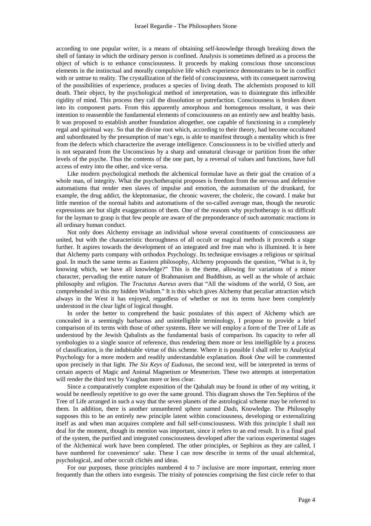according to one popular writer, is a means of obtaining self-knowledge through breaking down the shell of fantasy in which the ordinary person is confined. Analysis is sometimes defined as a process the object of which is to enhance consciousness. It proceeds by making conscious those unconscious elements in the instinctual and morally compulsive life which experience demonstrates to be in conflict with or untrue to reality. The crystallization of the field of consciousness, with its consequent narrowing of the possibilities of experience, produces a species of living death. The alchemists proposed to kill death. Their object, by the psychological method of interpretation, was to disintegrate this inflexible rigidity of mind. This process they call the dissolution or putrefaction. Consciousness is broken down into its component parts. From this apparently amorphous and homogenous resultant, it was their intention to reassemble the fundamental elements of consciousness on an entirely new and healthy basis. It was proposed to establish another foundation altogether, one capable of functioning in a completely regal and spiritual way. So that the divine root which, according to their theory, had become occultated and subordinated by the presumption of man's ego, is able to manifest through a mentality which is free from the defects which characterize the average intelligence. Consciousness is to be vivified utterly and is not separated from the Unconscious by a sharp and unnatural cleavage or partition from the other levels of the psyche. Thus the contents of the one part, by a reversal of values and functions, have full access of entry into the other, and vice versa.

Like modern psychological methods the alchemical formulae have as their goal the creation of a whole man, of integrity. What the psychotherapist proposes is freedom from the nervous and defensive automatisms that render men slaves of impulse and emotion, the automatism of the drunkard, for example, the drug addict, the kleptomaniac, the chronic waverer, the choleric, the coward. I make but little mention of the normal habits and automatisms of the so-called average man, though the neurotic expressions are but slight exaggerations of them. One of the reasons why psychotherapy is so difficult for the layman to grasp is that few people are aware of the preponderance of such automatic reactions in all ordinary human conduct.

Not only does Alchemy envisage an individual whose several constituents of consciousness are united, but with the characteristic thoroughness of all occult or magical methods it proceeds a stage further. It aspires towards the development of an integrated and free man who is illumined. It is here that Alchemy parts company with orthodox Psychology. Its technique envisages a religious or spiritual goal. In much the same terms as Eastern philosophy, Alchemy propounds the question, "What is it, by knowing which, we have all knowledge?" This is the theme, allowing for variations of a minor character, pervading the entire nature of Brahmanism and Buddhism, as well as the whole of archaic philosophy and religion. The *Tractatus Aureus* avers that "All the wisdoms of the world, O Son, are comprehended in this my hidden Wisdom." It is this which gives Alchemy that peculiar attraction which always in the West it has enjoyed, regardless of whether or not its terms have been completely understood in the clear light of logical thought.

In order the better to comprehend the basic postulates of this aspect of Alchemy which are concealed in a seemingly barbarous and unintelligible terminology, I propose to provide a brief comparison of its terms with those of other systems. Here we will employ a form of the Tree of Life as understood by the Jewish Qabalists as the fundamental basis of comparison. Its capacity to refer all symbologies to a single source of reference, thus rendering them more or less intelligible by a process of classification, is the indubitable virtue of this scheme. Where it is possible I shall refer to Analytical Psychology for a more modern and readily understandable explanation. *Book One* will be commented upon precisely in that light. *The Six Keys of Eudoxus*, the second text, will be interpreted in terms of certain aspects of Magic and Animal Magnetism or Mesmerism. These two attempts at interpretation will render the third text by Vaughan more or less clear.

Since a comparatively complete exposition of the Qabalah may be found in other of my writing, it would be needlessly repetitive to go over the same ground. This diagram shows the Ten Sephiros of the Tree of Life arranged in such a way that the seven planets of the astrological scheme may be referred to them. In addition, there is another unnumbered sphere named *Dads*, Knowledge. The Philosophy supposes this to be an entirely new principle latent within consciousness, developing or externalizing itself as and when man acquires complete and full self-consciousness. With this principle I shall not deal for the moment, though its mention was important, since it refers to an end result. It is a final goal of the system, the purified and integrated consciousness developed after the various experimental stages of the Alchemical work have been completed. The other principles, or Sephiros as they are called, I have numbered for convenience' sake. These I can now describe in terms of the usual alchemical, psychological, and other occult clichés and ideas.

For our purposes, those principles numbered 4 to 7 inclusive are more important, entering more frequently than the others into exegesis. The trinity of potencies comprising the first circle refer to that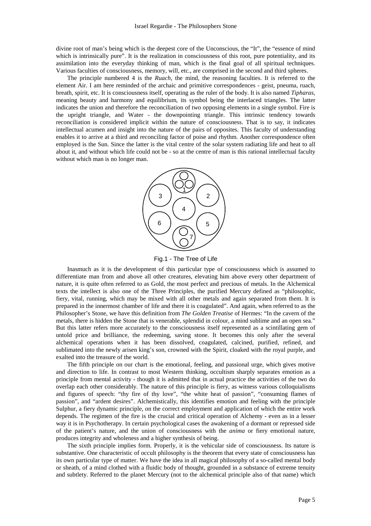divine root of man's being which is the deepest core of the Unconscious, the "It", the "essence of mind which is intrinsically pure". It is the realization in consciousness of this root, pure potentiality, and its assimilation into the everyday thinking of man, which is the final goal of all spiritual techniques. Various faculties of consciousness, memory, will, etc., are comprised in the second and third spheres.

The principle numbered 4 is the *Ruach*, the mind, the reasoning faculties. It is referred to the element Air. I am here reminded of the archaic and primitive correspondences - geist, pneuma, ruach, breath, spirit, etc. It is consciousness itself, operating as the ruler of the body. It is also named *Tipharas*, meaning beauty and harmony and equilibrium, its symbol being the interlaced triangles. The latter indicates the union and therefore the reconciliation of two opposing elements in a single symbol. Fire is the upright triangle, and Water - the downpointing triangle. This intrinsic tendency towards reconciliation is considered implicit within the nature of consciousness. That is to say, it indicates intellectual acumen and insight into the nature of the pairs of opposites. This faculty of understanding enables it to arrive at a third and reconciling factor of poise and rhythm. Another correspondence often employed is the Sun. Since the latter is the vital centre of the solar system radiating life and heat to all about it, and without which life could not be - so at the centre of man is this rational intellectual faculty without which man is no longer man.



Fig.1 - The Tree of Life

Inasmuch as it is the development of this particular type of consciousness which is assumed to differentiate man from and above all other creatures, elevating him above every other department of nature, it is quite often referred to as Gold, the most perfect and precious of metals. In the Alchemical texts the intellect is also one of the Three Principles, the purified Mercury defined as "philosophic, fiery, vital, running, which may be mixed with all other metals and again separated from them. It is prepared in the innermost chamber of life and there it is coagulated". And again, when referred to as the Philosopher's Stone, we have this definition from *The Golden Treatise* of Hermes: "In the cavern of the metals, there is hidden the Stone that is venerable, splendid in colour, a mind sublime and an open sea." But this latter refers more accurately to the consciousness itself represented as a scintillating gem of untold price and brilliance, the redeeming, saving stone. It becomes this only after the several alchemical operations when it has been dissolved, coagulated, calcined, purified, refined, and sublimated into the newly arisen king's son, crowned with the Spirit, cloaked with the royal purple, and exalted into the treasure of the world.

The fifth principle on our chart is the emotional, feeling, and passional urge, which gives motive and direction to life. In contrast to most Western thinking, occultism sharply separates emotion as a principle from mental activity - though it is admitted that in actual practice the activities of the two do overlap each other considerably. The nature of this principle is fiery, as witness various colloquialisms and figures of speech: "thy fire of thy love", "the white heat of passion", "consuming flames of passion", and "ardent desires". Alchemistically, this identifies emotion and feeling with the principle Sulphur, a fiery dynamic principle, on the correct employment and application of which the entire work depends. The regimen of the fire is the crucial and critical operation of Alchemy - even as in a lesser way it is in Psychotherapy. In certain psychological cases the awakening of a dormant or repressed side of the patient's nature, and the union of consciousness with the *anima* or fiery emotional nature, produces integrity and wholeness and a higher synthesis of being.

The sixth principle implies form. Properly, it is the vehicular side of consciousness. Its nature is substantive. One characteristic of occult philosophy is the theorem that every state of consciousness has its own particular type of matter. We have the idea in all magical philosophy of a so-called mental body or sheath, of a mind clothed with a fluidic body of thought, grounded in a substance of extreme tenuity and subtlety. Referred to the planet Mercury (not to the alchemical principle also of that name) which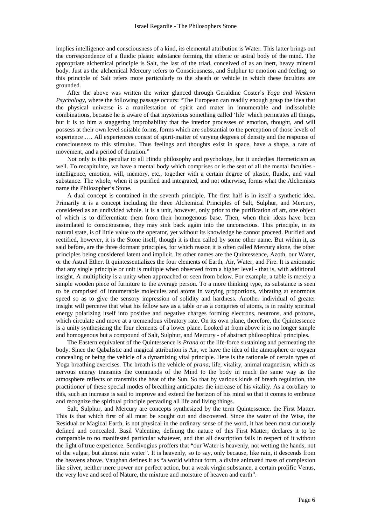implies intelligence and consciousness of a kind, its elemental attribution is Water. This latter brings out the correspondence of a fluidic plastic substance forming the etheric or astral body of the mind. The appropriate alchemical principle is Salt, the last of the triad, conceived of as an inert, heavy mineral body. Just as the alchemical Mercury refers to Consciousness, and Sulphur to emotion and feeling, so this principle of Salt refers more particularly to the sheath or vehicle in which these faculties are grounded.

After the above was written the writer glanced through Geraldine Coster's *Yoga and Western Psychology*, where the following passage occurs: "The European can readily enough grasp the idea that the physical universe is a manifestation of spirit and mater in innumerable and indissoluble combinations, because he is aware of that mysterious something called 'life' which permeates all things, but it is to him a staggering improbability that the interior processes of emotion, thought, and will possess at their own level suitable forms, forms which are substantial to the perception of those levels of experience …. All experiences consist of spirit-matter of varying degrees of density and the response of consciousness to this stimulus. Thus feelings and thoughts exist in space, have a shape, a rate of movement, and a period of duration."

Not only is this peculiar to all Hindu philosophy and psychology, but it underlies Hermeticism as well. To recapitulate, we have a mental body which comprises or is the seat of all the mental faculties intelligence, emotion, will, memory, etc., together with a certain degree of plastic, fluidic, and vital substance. The whole, when it is purified and integrated, and not otherwise, forms what the Alchemists name the Philosopher's Stone.

A dual concept is contained in the seventh principle. The first half is in itself a synthetic idea. Primarily it is a concept including the three Alchemical Principles of Salt, Sulphur, and Mercury, considered as an undivided whole. It is a unit, however, only prior to the purification of art, one object of which is to differentiate them from their homogenous base. Then, when their ideas have been assimilated to consciousness, they may sink back again into the unconscious. This principle, in its natural state, is of little value to the operator, yet without its knowledge he cannot proceed. Purified and rectified, however, it is the Stone itself, though it is then called by some other name. But within it, as said before, are the three dormant principles, for which reason it is often called Mercury alone, the other principles being considered latent and implicit. Its other names are the Quintessence, Azoth, our Water, or the Astral Ether. It quintessentializes the four elements of Earth, Air, Water, and Fire. It is axiomatic that any single principle or unit is multiple when observed from a higher level - that is, with additional insight. A multiplicity is a unity when approached or seen from below. For example, a table is merely a simple wooden piece of furniture to the average person. To a more thinking type, its substance is seen to be comprised of innumerable molecules and atoms in varying proportions, vibrating at enormous speed so as to give the sensory impression of solidity and hardness. Another individual of greater insight will perceive that what his fellow saw as a table or as a congeries of atoms, is in reality spiritual energy polarizing itself into positive and negative charges forming electrons, neutrons, and protons, which circulate and move at a tremendous vibratory rate. On its own plane, therefore, the Quintessence is a unity synthesizing the four elements of a lower plane. Looked at from above it is no longer simple and homogenous but a compound of Salt, Sulphur, and Mercury - of abstract philosophical principles.

The Eastern equivalent of the Quintessence is *Prana* or the life-force sustaining and permeating the body. Since the Qabalistic and magical attribution is Air, we have the idea of the atmosphere or oxygen concealing or being the vehicle of a dynamizing vital principle. Here is the rationale of certain types of Yoga breathing exercises. The breath is the vehicle of *prana*, life, vitality, animal magnetism, which as nervous energy transmits the commands of the Mind to the body in much the same way as the atmosphere reflects or transmits the heat of the Sun. So that by various kinds of breath regulation, the practitioner of these special modes of breathing anticipates the increase of his vitality. As a corollary to this, such an increase is said to improve and extend the horizon of his mind so that it comes to embrace and recognize the spiritual principle pervading all life and living things.

Salt, Sulphur, and Mercury are concepts synthesized by the term Quintessence, the First Matter. This is that which first of all must be sought out and discovered. Since the water of the Wise, the Residual or Magical Earth, is not physical in the ordinary sense of the word, it has been most curiously defined and concealed. Basil Valentine, defining the nature of this First Matter, declares it to be comparable to no manifested particular whatever, and that all description fails in respect of it without the light of true experience. Sendivogius proffers that "our Water is heavenly, not wetting the hands, not of the vulgar, but almost rain water". It is heavenly, so to say, only because, like rain, it descends from the heavens above. Vaughan defines it as "a world without form, a divine animated mass of complexion like silver, neither mere power nor perfect action, but a weak virgin substance, a certain prolific Venus, the very love and seed of Nature, the mixture and moisture of heaven and earth".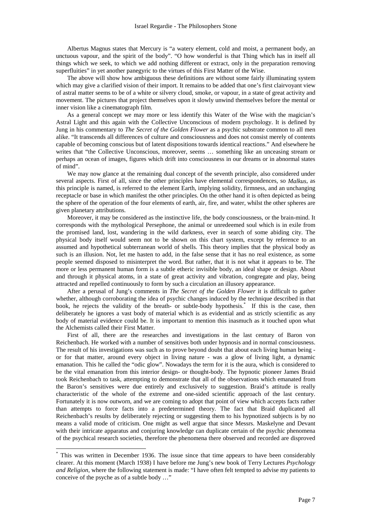Albertus Magnus states that Mercury is "a watery element, cold and moist, a permanent body, an unctuous vapour, and the spirit of the body". "O how wonderful is that Thing which has in itself all things which we seek, to which we add nothing different or extract, only in the preparation removing superfluities" in yet another panegyric to the virtues of this First Matter of the Wise.

The above will show how ambiguous these definitions are without some fairly illuminating system which may give a clarified vision of their import. It remains to be added that one's first clairvoyant view of astral matter seems to be of a white or silvery cloud, smoke, or vapour, in a state of great activity and movement. The pictures that project themselves upon it slowly unwind themselves before the mental or inner vision like a cinematograph film.

As a general concept we may more or less identify this Water of the Wise with the magician's Astral Light and this again with the Collective Unconscious of modern psychology. It is defined by Jung in his commentary to *The Secret of the Golden Flower* as a psychic substrate common to all men alike. "It transcends all differences of culture and consciousness and does not consist merely of contents capable of becoming conscious but of latent dispositions towards identical reactions." And elsewhere he writes that "the Collective Unconscious, moreover, seems … something like an unceasing stream or perhaps an ocean of images, figures which drift into consciousness in our dreams or in abnormal states of mind".

We may now glance at the remaining dual concept of the seventh principle, also considered under several aspects. First of all, since the other principles have elemental correspondences, so *Malkus*, as this principle is named, is referred to the element Earth, implying solidity, firmness, and an unchanging receptacle or base in which manifest the other principles. On the other hand it is often depicted as being the sphere of the operation of the four elements of earth, air, fire, and water, whilst the other spheres are given planetary attributions.

Moreover, it may be considered as the instinctive life, the body consciousness, or the brain-mind. It corresponds with the mythological Persephone, the animal or unredeemed soul which is in exile from the promised land, lost, wandering in the wild darkness, ever in search of some abiding city. The physical body itself would seem not to be shown on this chart system, except by reference to an assumed and hypothetical subterranean world of shells. This theory implies that the physical body as such is an illusion. Not, let me hasten to add, in the false sense that it has no real existence, as some people seemed disposed to misinterpret the word. But rather, that it is not what it appears to be. The more or less permanent human form is a subtle etheric invisible body, an ideal shape or design. About and through it physical atoms, in a state of great activity and vibration, congregate and play, being attracted and repelled continuously to form by such a circulation an illusory appearance.

After a perusal of Jung's comments in *The Secret of the Golden Flower* it is difficult to gather whether, although corroborating the idea of psychic changes induced by the technique described in that book, he rejects the validity of the breath- or subtle-body hypothesis.<sup>\*</sup> If this is the case, then deliberately he ignores a vast body of material which is as evidential and as strictly scientific as any body of material evidence could be. It is important to mention this inasmuch as it touched upon what the Alchemists called their First Matter.

First of all, there are the researches and investigations in the last century of Baron von Reichenbach. He worked with a number of sensitives both under hypnosis and in normal consciousness. The result of his investigations was such as to prove beyond doubt that about each living human being or for that matter, around every object in living nature - was a glow of living light, a dynamic emanation. This he called the "odic glow". Nowadays the term for it is the aura, which is considered to be the vital emanation from this interior design- or thought-body. The hypnotic pioneer James Braid took Reichenbach to task, attempting to demonstrate that all of the observations which emanated from the Baron's sensitives were due entirely and exclusively to suggestion. Braid's attitude is really characteristic of the whole of the extreme and one-sided scientific approach of the last century. Fortunately it is now outworn, and we are coming to adopt that point of view which accepts facts rather than attempts to force facts into a predetermined theory. The fact that Braid duplicated all Reichenbach's results by deliberately rejecting or suggesting them to his hypnotized subjects is by no means a valid mode of criticism. One might as well argue that since Messrs. Maskelyne and Devant with their intricate apparatus and conjuring knowledge can duplicate certain of the psychic phenomena of the psychical research societies, therefore the phenomena there observed and recorded are disproved

l

<sup>\*</sup> This was written in December 1936. The issue since that time appears to have been considerably clearer. At this moment (March 1938) I have before me Jung's new book of Terry Lectures *Psychology and Religion*, where the following statement is made: "I have often felt tempted to advise my patients to conceive of the psyche as of a subtle body …"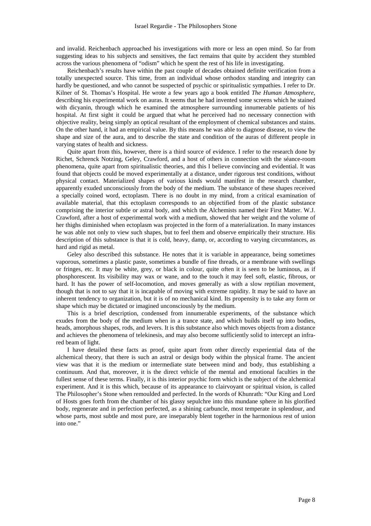and invalid. Reichenbach approached his investigations with more or less an open mind. So far from suggesting ideas to his subjects and sensitives, the fact remains that quite by accident they stumbled across the various phenomena of "odism" which he spent the rest of his life in investigating.

Reichenbach's results have within the past couple of decades obtained definite verification from a totally unexpected source. This time, from an individual whose orthodox standing and integrity can hardly be questioned, and who cannot be suspected of psychic or spiritualistic sympathies. I refer to Dr. Kilner of St. Thomas's Hospital. He wrote a few years ago a book entitled *The Human Atmosphere*, describing his experimental work on auras. It seems that he had invented some screens which he stained with dicyanin, through which he examined the atmosphere surrounding innumerable patients of his hospital. At first sight it could be argued that what he perceived had no necessary connection with objective reality, being simply an optical resultant of the employment of chemical substances and stains. On the other hand, it had an empirical value. By this means he was able to diagnose disease, to view the shape and size of the aura, and to describe the state and condition of the auras of different people in varying states of health and sickness.

Quite apart from this, however, there is a third source of evidence. I refer to the research done by Richet, Schrenck Notzing, Geley, Crawford, and a host of others in connection with the séance-room phenomena, quite apart from spiritualistic theories, and this I believe convincing and evidential. It was found that objects could be moved experimentally at a distance, under rigorous test conditions, without physical contact. Materialized shapes of various kinds would manifest in the research chamber, apparently exuded unconsciously from the body of the medium. The substance of these shapes received a specially coined word, ectoplasm. There is no doubt in my mind, from a critical examination of available material, that this ectoplasm corresponds to an objectified from of the plastic substance comprising the interior subtle or astral body, and which the Alchemists named their First Matter. W.J. Crawford, after a host of experimental work with a medium, showed that her weight and the volume of her thighs diminished when ectoplasm was projected in the form of a materialization. In many instances he was able not only to view such shapes, but to feel them and observe empirically their structure. His description of this substance is that it is cold, heavy, damp, or, according to varying circumstances, as hard and rigid as metal.

Geley also described this substance. He notes that it is variable in appearance, being sometimes vaporous, sometimes a plastic paste, sometimes a bundle of fine threads, or a membrane with swellings or fringes, etc. It may be white, grey, or black in colour, quite often it is seen to be luminous, as if phosphorescent. Its visibility may wax or wane, and to the touch it may feel soft, elastic, fibrous, or hard. It has the power of self-locomotion, and moves generally as with a slow reptilian movement, though that is not to say that it is incapable of moving with extreme rapidity. It may be said to have an inherent tendency to organization, but it is of no mechanical kind. Its propensity is to take any form or shape which may be dictated or imagined unconsciously by the medium.

This is a brief description, condensed from innumerable experiments, of the substance which exudes from the body of the medium when in a trance state, and which builds itself up into bodies, heads, amorphous shapes, rods, and levers. It is this substance also which moves objects from a distance and achieves the phenomena of telekinesis, and may also become sufficiently solid to intercept an infrared beam of light.

I have detailed these facts as proof, quite apart from other directly experiential data of the alchemical theory, that there is such an astral or design body within the physical frame. The ancient view was that it is the medium or intermediate state between mind and body, thus establishing a continuum. And that, moreover, it is the direct vehicle of the mental and emotional faculties in the fullest sense of these terms. Finally, it is this interior psychic form which is the subject of the alchemical experiment. And it is this which, because of its appearance to clairvoyant or spiritual vision, is called The Philosopher's Stone when remoulded and perfected. In the words of Khunrath: "Our King and Lord of Hosts goes forth from the chamber of his glassy sepulchre into this mundane sphere in his glorified body, regenerate and in perfection perfected, as a shining carbuncle, most temperate in splendour, and whose parts, most subtle and most pure, are inseparably blent together in the harmonious rest of union into one."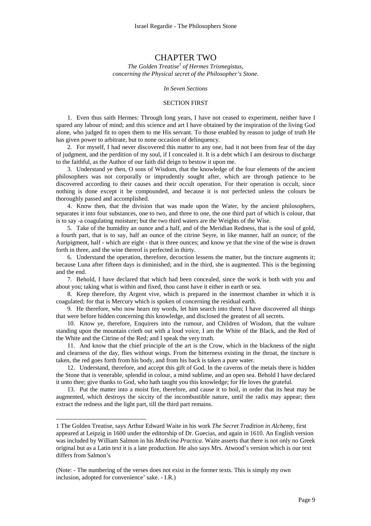#### CHAPTER TWO

*The Golden Treatise*<sup>1</sup> of Hermes Trismegistus, *concerning the Physical secret of the Philosopher's Stone.* 

*In Seven Sections* 

#### SECTION FIRST

1. Even thus saith Hermes: Through long years, I have not ceased to experiment, neither have I spared any labour of mind; and this science and art I have obtained by the inspiration of the living God alone, who judged fit to open them to me His servant. To those enabled by reason to judge of truth He has given power to arbitrate, but to none occasion of delinquency.

2. For myself, I had never discovered this matter to any one, had it not been from fear of the day of judgment, and the perdition of my soul, if I concealed it. It is a debt which I am desirous to discharge to the faithful, as the Author of our faith did deign to bestow it upon me.

3. Understand ye then, O sons of Wisdom, that the knowledge of the four elements of the ancient philosophers was not corporally or imprudently sought after, which are through patience to be discovered according to their causes and their occult operation. For their operation is occult, since nothing is done except it be compounded, and because it is not perfected unless the colours be thoroughly passed and accomplished.

4. Know then, that the division that was made upon the Water, by the ancient philosophers, separates it into four substances, one to two, and three to one, the one third part of which is colour, that is to say -a coagulating moisture; but the two third waters are the Weights of the Wise.

5. Take of the humidity an ounce and a half, and of the Meridian Redness, that is the soul of gold, a fourth part, that is to say, half an ounce of the citrine Seyre, in like manner, half an ounce; of the Auripigment, half - which are eight - that is three ounces; and know ye that the vine of the wise is drawn forth in three, and the wine thereof is perfected in thirty.

6. Understand the operation, therefore, decoction lessens the matter, but the tincture augments it; because Luna after fifteen days is diminished; and in the third, she is augmented. This is the beginning and the end.

7. Behold, I have declared that which had been concealed, since the work is both with you and about you; taking what is within and fixed, thou canst have it either in earth or sea.

8. Keep therefore, thy Argent vive, which is prepared in the innermost chamber in which it is coagulated; for that is Mercury which is spoken of concerning the residual earth.

9. He therefore, who now hears my words, let him search into them; I have discovered all things that were before hidden concerning this knowledge, and disclosed the greatest of all secrets.

10. Know ye, therefore, Enquirers into the rumour, and Children of Wisdom, that the vulture standing upon the mountain crieth out with a loud voice, I am the White of the Black, and the Red of the White and the Citrine of the Red; and I speak the very truth.

11. And know that the chief principle of the art is the Crow, which in the blackness of the night and clearness of the day, flies without wings. From the bitterness existing in the throat, the tincture is taken, the red goes forth from his body, and from his back is taken a pure water.

12. Understand, therefore, and accept this gift of God. In the caverns of the metals there is hidden the Stone that is venerable, splendid in colour, a mind sublime, and an open sea. Behold I have declared it unto thee; give thanks to God, who hath taught you this knowledge; for He loves the grateful.

13. Put the matter into a moist fire, therefore, and cause it to boil, in order that its heat may be augmented, which destroys the siccity of the incombustible nature, until the radix may appear; then extract the redness and the light part, till the third part remains.

l

<sup>1</sup> The Golden Treatise, says Arthur Edward Waite in his work *The Secret Tradition in Alchemy*, first appeared at Leipzig in 1600 under the editorship of Dr. Guecias, and again in 1610. An English version was included by William Salmon in his *Medicina Practica*. Waite asserts that there is not only no Greek original but as a Latin text it is a late production. He also says Mrs. Atwood's version which is our text differs from Salmon's

<sup>(</sup>Note: - The numbering of the verses does not exist in the former texts. This is simply my own inclusion, adopted for convenience' sake. - I.R.)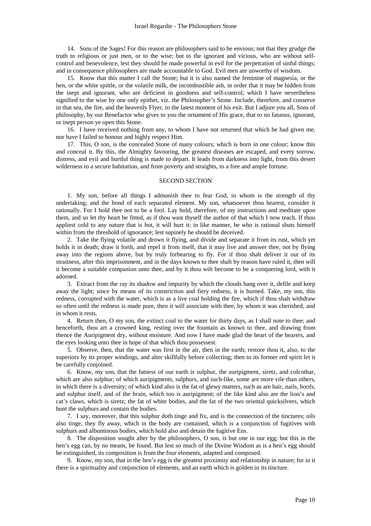14. Sons of the Sages! For this reason are philosophers said to be envious; not that they grudge the truth to religious or just men, or to the wise; but to the ignorant and vicious, who are without selfcontrol and benevolence, lest they should be made powerful in evil for the perpetration of sinful things; and in consequence philosophers are made accountable to God. Evil men are unworthy of wisdom.

15. Know that this matter I call the Stone; but it is also named the feminine of magnesia, or the hen, or the white spittle, or the volatile milk, the incombustible ash, in order that it may be hidden from the inept and ignorant, who are deficient in goodness and self-control; which I have nevertheless signified to the wise by one only epithet, viz. the Philosopher's Stone. Include, therefore, and conserve in that sea, the fire, and the heavenly Flyer, to the latest moment of his exit. But I adjure you all, Sons of philosophy, by our Benefactor who gives to you the ornament of His grace, that to no fatuous, ignorant, or inept person ye open this Stone.

16. I have received nothing from any, to whom I have not returned that which he had given me, nor have I failed to honour and highly respect Him.

17. This, O son, is the concealed Stone of many colours; which is born in one colour; know this and conceal it. By this, the Almighty favouring, the greatest diseases are escaped, and every sorrow, distress, and evil and hurtful thing is made to depart. It leads from darkness into light, from this desert wilderness to a secure habitation, and from poverty and straights, to a free and ample fortune.

#### SECOND SECTION

1. My son, before all things I admonish thee to fear God, in whom is the strength of thy undertaking; and the bond of each separated element. My son, whatsoever thou hearest, consider it rationally. For I hold thee not to be a fool. Lay hold, therefore, of my instructions and meditate upon them, and so let thy heart be fitted, as if thou wast thyself the author of that which I now teach. If thou appliest cold to any nature that is hot, it will hurt it: in like manner, he who is rational shuts himself within from the threshold of ignorance; lest supinely he should be deceived.

2. Take the flying volatile and drown it flying, and divide and separate it from its rust, which yet holds it in death; draw it forth, and repel it from itself, that it may live and answer thee, not by flying away into the regions above, but by truly forbearing to fly. For if thou shalt deliver it out of its straitness, after this imprisonment, and in the days known to thee shalt by reason have ruled it, then will it become a suitable companion unto thee, and by it thou wilt become to be a conquering lord, with it adorned.

3. Extract from the ray its shadow and impurity by which the clouds hang over it, defile and keep away the light; since by means of its constriction and fiery redness, it is burned. Take, my son, this redness, corrupted with the water, which is as a live coal holding the fire, which if thou shalt withdraw so often until the redness is made pure, then it will associate with thee, by whom it was cherished, and in whom it rests.

4. Return then, O my son, the extinct coal to the water for thirty days, as I shall note to thee; and henceforth, thou art a crowned king, resting over the fountain as known to thee, and drawing from thence the Auripigment dry, without moisture. And now I have made glad the heart of the hearers, and the eyes looking unto thee in hope of that which thou possessest.

5. Observe, then, that the water was first in the air, then in the earth; restore thou it, also, to the superiors by its proper windings, and alter skillfully before collecting; then to its former red spirit let it be carefully conjoined.

6. Know, my son, that the fatness of our earth is sulphur, the auripigment, siretz, and colcothar, which are also sulphur; of which auripigments, sulphurs, and such-like, some are more vile than others, in which there is a diversity; of which kind also is the fat of glewy matters, such as are hair, nails, hoofs, and sulphur itself, and of the brain, which too is auripigment; of the like kind also are the lion's and cat's claws, which is siretz; the fat of white bodies, and the fat of the two oriental quicksilvers, which hunt the sulphurs and contain the bodies.

7. I say, moreover, that this sulphur doth tinge and fix, and is the connection of the tinctures; oils also tinge, they fly away, which in the body are contained, which is a conjunction of fugitives with sulphurs and albuminous bodies, which hold also and detain the fugitive Ens.

8. The disposition sought after by the philosophers, O son, is but one in our egg; but this in the hen's egg can, by no means, be found. But lest so much of the Divine Wisdom as is a hen's egg should be extinguished, its composition is from the four elements, adapted and composed.

9. Know, my son, that in the hen's egg is the greatest proximity and relationship in nature; for in it there is a spirituality and conjunction of elements, and an earth which is golden in its tincture.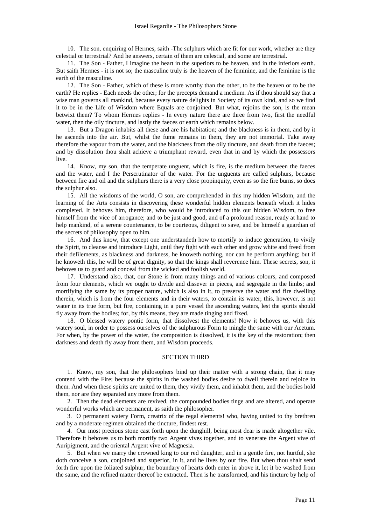10. The son, enquiring of Hermes, saith -The sulphurs which are fit for our work, whether are they celestial or terrestrial? And he answers, certain of them are celestial, and some are terrestrial.

11. The Son - Father, I imagine the heart in the superiors to be heaven, and in the inferiors earth. But saith Hermes - it is not so; the masculine truly is the heaven of the feminine, and the feminine is the earth of the masculine.

12. The Son - Father, which of these is more worthy than the other, to be the heaven or to be the earth? He replies - Each needs the other; for the precepts demand a medium. As if thou should say that a wise man governs all mankind, because every nature delights in Society of its own kind, and so we find it to be in the Life of Wisdom where Equals are conjoined. But what, rejoins the son, is the mean betwixt them? To whom Hermes replies - In every nature there are three from two, first the needful water, then the oily tincture, and lastly the faeces or earth which remains below.

13. But a Dragon inhabits all these and are his habitation; and the blackness is in them, and by it he ascends into the air. But, whilst the fume remains in them, they are not immortal. Take away therefore the vapour from the water, and the blackness from the oily tincture, and death from the faeces; and by dissolution thou shalt achieve a triumphant reward, even that in and by which the possessors live.

14. Know, my son, that the temperate unguent, which is fire, is the medium between the faeces and the water, and I the Perscrutinator of the water. For the unguents are called sulphurs, because between fire and oil and the sulphurs there is a very close propinquity, even as so the fire burns, so does the sulphur also.

15. All the wisdoms of the world, O son, are comprehended in this my hidden Wisdom, and the learning of the Arts consists in discovering these wonderful hidden elements beneath which it hides completed. It behoves him, therefore, who would be introduced to this our hidden Wisdom, to free himself from the vice of arrogance; and to be just and good, and of a profound reason, ready at hand to help mankind, of a serene countenance, to be courteous, diligent to save, and be himself a guardian of the secrets of philosophy open to him.

16. And this know, that except one understandeth how to mortify to induce generation, to vivify the Spirit, to cleanse and introduce Light, until they fight with each other and grow white and freed from their defilements, as blackness and darkness, he knoweth nothing, nor can he perform anything; but if he knoweth this, he will be of great dignity, so that the kings shall reverence him. These secrets, son, it behoves us to guard and conceal from the wicked and foolish world.

17. Understand also, that, our Stone is from many things and of various colours, and composed from four elements, which we ought to divide and dissever in pieces, and segregate in the limbs; and mortifying the same by its proper nature, which is also in it, to preserve the water and fire dwelling therein, which is from the four elements and in their waters, to contain its water; this, however, is not water in its true form, but fire, containing in a pure vessel the ascending waters, lest the spirits should fly away from the bodies; for, by this means, they are made tinging and fixed.

18. O blessed watery pontic form, that dissolvest the elements! Now it behoves us, with this watery soul, in order to possess ourselves of the sulphurous Form to mingle the same with our Acetum. For when, by the power of the water, the composition is dissolved, it is the key of the restoration; then darkness and death fly away from them, and Wisdom proceeds.

#### SECTION THIRD

1. Know, my son, that the philosophers bind up their matter with a strong chain, that it may contend with the Fire; because the spirits in the washed bodies desire to dwell therein and rejoice in them. And when these spirits are united to them, they vivify them, and inhabit them, and the bodies hold them, nor are they separated any more from them.

2. Then the dead elements are revived, the compounded bodies tinge and are altered, and operate wonderful works which are permanent, as saith the philosopher.

3. O permanent watery Form, creatrix of the regal elements! who, having united to thy brethren and by a moderate regimen obtained the tincture, findest rest.

4. Our most precious stone cast forth upon the dunghill, being most dear is made altogether vile. Therefore it behoves us to both mortify two Argent vives together, and to venerate the Argent vive of Auripigment, and the oriental Argent vive of Magnesia.

5. But when we marry the crowned king to our red daughter, and in a gentle fire, not hurtful, she doth conceive a son, conjoined and superior, in it, and he lives by our fire. But when thou shalt send forth fire upon the foliated sulphur, the boundary of hearts doth enter in above it, let it be washed from the same, and the refined matter thereof be extracted. Then is he transformed, and his tincture by help of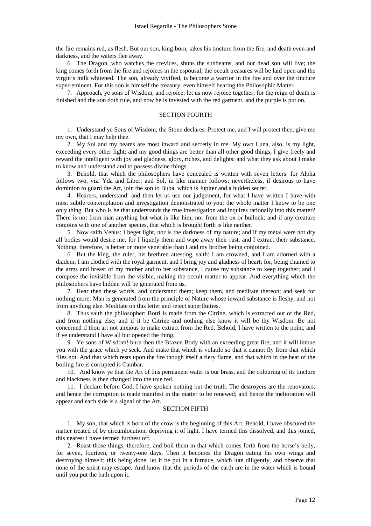the fire remains red, as flesh. But our son, king-born, takes his tincture from the fire, and death even and darkness, and the waters flee away.

6. The Dragon, who watches the crevices, shuns the sunbeams, and our dead son will live; the king comes forth from the fire and rejoices in the espousal; the occult treasures will be laid open and the virgin's milk whitened. The son, already vivified, is become a warrior in the fire and over the tincture super-eminent. For this son is himself the treasury, even himself bearing the Philosophic Matter.

7. Approach, ye sons of Wisdom, and rejoice; let us now rejoice together; for the reign of death is finished and the son doth rule, and now he is invested with the red garment, and the purple is put on.

#### SECTION FOURTH

1. Understand ye Sons of Wisdom, the Stone declares: Protect me, and I will protect thee; give me my own, that I may help thee.

2. My Sol and my beams are most inward and secretly in me. My own Luna, also, is my light, exceeding every other light; and my good things are better than all other good things; I give freely and reward the intelligent with joy and gladness, glory, riches, and delights; and what they ask about I make to know and understand and to possess divine things.

3. Behold, that which the philosophers have concealed is written with seven letters: for Alpha follows two, viz. Yda and Liber; and Sol, in like manner follows: nevertheless, if desirous to have dominion to guard the Art, join the son to Buba, which is Jupiter and a hidden secret.

4. Hearers, understand: and then let us use our judgement, for what I have written I have with most subtle contemplation and investigation demonstrated to you; the whole matter I know to be one only thing. But who is he that understands the true investigation and inquires rationally into this matter? There is not from man anything but what is like him; nor from the ox or bullock; and if any creature conjoins with one of another species, that which is brought forth is like neither.

5. Now saith Venus: I beget light, nor is the darkness of my nature; and if my metal were not dry all bodies would desire me, for I liquefy them and wipe away their rust, and I extract their substance. Nothing, therefore, is better or more venerable than I and my brother being conjoined.

6. But the king, the ruler, his brethren attesting, saith: I am crowned, and I am adorned with a diadem; I am clothed with the royal garment, and I bring joy and gladness of heart; for, being chained to the arms and breast of my mother and to her substance, I cause my substance to keep together; and I compose the invisible from the visible, making the occult matter to appear. And everything which the philosophers have hidden will be generated from us.

7. Hear then these words, and understand them; keep them, and meditate thereon; and seek for nothing more: Man is generated from the principle of Nature whose inward substance is fleshy, and not from anything else. Meditate on this letter and reject superfluities.

8. Thus saith the philosopher: Botri is made from the Citrine, which is extracted out of the Red, and from nothing else; and if it be Citrine and nothing else know it will be thy Wisdom. Be not concerned if thou art not anxious to make extract from the Red. Behold, I have written to the point, and if ye understand I have all but opened the thing.

9. Ye sons of Wisdom! burn then the Brazen Body with an exceeding great fire; and it will imbue you with the grace which ye seek. And make that which is volatile so that it cannot fly from that which flies not. And that which rests upon the fire though itself a fiery flame, and that which in the heat of the boiling fire is corrupted is Cambar.

10. And know ye that the Art of this permanent water is our brass, and the colouring of its tincture and blackness is then changed into the true red.

11. I declare before God, I have spoken nothing but the truth. The destroyers are the renovators, and hence the corruption is made manifest in the matter to be renewed; and hence the melioration will appear and each side is a signal of the Art.

#### SECTION FIFTH

1. My son, that which is born of the crow is the beginning of this Art. Behold, I have obscured the matter treated of by circumlocution, depriving it of light. I have termed this dissolved, and this joined, this nearest I have termed furthest off.

2. Roast those things, therefore, and boil them in that which comes forth from the horse's belly, for seven, fourteen, or twenty-one days. Then it becomes the Dragon eating his own wings and destroying himself; this being done, let it be put in a furnace, which lute diligently, and observe that none of the spirit may escape. And know that the periods of the earth are in the water which is bound until you put the bath upon it.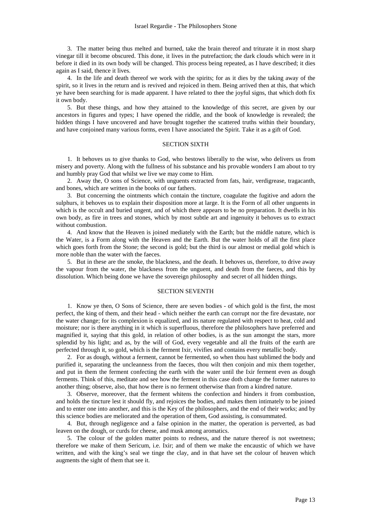3. The matter being thus melted and burned, take the brain thereof and triturate it in most sharp vinegar till it become obscured. This done, it lives in the putrefaction; the dark clouds which were in it before it died in its own body will be changed. This process being repeated, as I have described; it dies again as I said, thence it lives.

4. In the life and death thereof we work with the spirits; for as it dies by the taking away of the spirit, so it lives in the return and is revived and rejoiced in them. Being arrived then at this, that which ye have been searching for is made apparent. I have related to thee the joyful signs, that which doth fix it own body.

5. But these things, and how they attained to the knowledge of this secret, are given by our ancestors in figures and types; I have opened the riddle, and the book of knowledge is revealed; the hidden things I have uncovered and have brought together the scattered truths within their boundary, and have conjoined many various forms, even I have associated the Spirit. Take it as a gift of God.

#### SECTION SIXTH

1. It behoves us to give thanks to God, who bestows liberally to the wise, who delivers us from misery and poverty. Along with the fullness of his substance and his provable wonders I am about to try and humbly pray God that whilst we live we may come to Him.

2. Away the, O sons of Science, with unguents extracted from fats, hair, verdigrease, tragacanth, and bones, which are written in the books of our fathers.

3. But concerning the ointments which contain the tincture, coagulate the fugitive and adorn the sulphurs, it behoves us to explain their disposition more at large. It is the Form of all other unguents in which is the occult and buried ungent, and of which there appears to be no preparation. It dwells in his own body, as fire in trees and stones, which by most subtle art and ingenuity it behoves us to extract without combustion.

4. And know that the Heaven is joined mediately with the Earth; but the middle nature, which is the Water, is a Form along with the Heaven and the Earth. But the water holds of all the first place which goes forth from the Stone; the second is gold; but the third is our almost or medial gold which is more noble than the water with the faeces.

5. But in these are the smoke, the blackness, and the death. It behoves us, therefore, to drive away the vapour from the water, the blackness from the unguent, and death from the faeces, and this by dissolution. Which being done we have the sovereign philosophy and secret of all hidden things.

#### SECTION SEVENTH

1. Know ye then, O Sons of Science, there are seven bodies - of which gold is the first, the most perfect, the king of them, and their head - which neither the earth can corrupt nor the fire devastate, nor the water change; for its complexion is equalized, and its nature regulated with respect to heat, cold and moisture; nor is there anything in it which is superfluous, therefore the philosophers have preferred and magnified it, saying that this gold, in relation of other bodies, is as the sun amongst the stars, more splendid by his light; and as, by the will of God, every vegetable and all the fruits of the earth are perfected through it, so gold, which is the ferment Ixir, vivifies and contains every metallic body.

2. For as dough, without a ferment, cannot be fermented, so when thou hast sublimed the body and purified it, separating the uncleanness from the faeces, thou wilt then conjoin and mix them together, and put in them the ferment confecting the earth with the water until the Ixir ferment even as dough ferments. Think of this, meditate and see how the ferment in this case doth change the former natures to another thing; observe, also, that how there is no ferment otherwise than from a kindred nature.

3. Observe, moreover, that the ferment whitens the confection and hinders it from combustion, and holds the tincture lest it should fly, and rejoices the bodies, and makes them intimately to be joined and to enter one into another, and this is the Key of the philosophers, and the end of their works; and by this science bodies are meliorated and the operation of them, God assisting, is consummated.

4. But, through negligence and a false opinion in the matter, the operation is perverted, as bad leaven on the dough, or curds for cheese, and musk among aromatics.

5. The colour of the golden matter points to redness, and the nature thereof is not sweetness; therefore we make of them Sericum, i.e. Ixir; and of them we make the encaustic of which we have written, and with the king's seal we tinge the clay, and in that have set the colour of heaven which augments the sight of them that see it.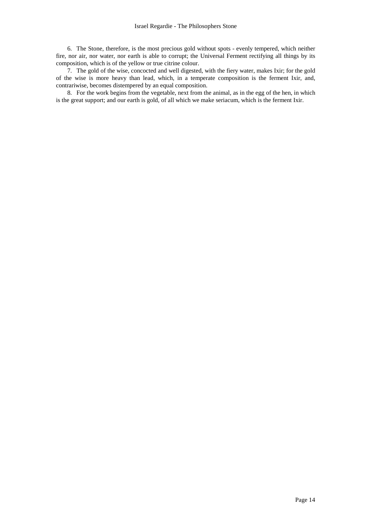6. The Stone, therefore, is the most precious gold without spots - evenly tempered, which neither fire, nor air, nor water, nor earth is able to corrupt; the Universal Ferment rectifying all things by its composition, which is of the yellow or true citrine colour.

7. The gold of the wise, concocted and well digested, with the fiery water, makes Ixir; for the gold of the wise is more heavy than lead, which, in a temperate composition is the ferment Ixir, and, contrariwise, becomes distempered by an equal composition.

8. For the work begins from the vegetable, next from the animal, as in the egg of the hen, in which is the great support; and our earth is gold, of all which we make seriacum, which is the ferment Ixir.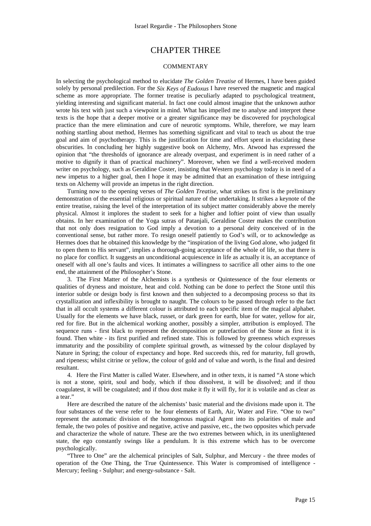### CHAPTER THREE

#### **COMMENTARY**

In selecting the psychological method to elucidate *The Golden Treatise* of Hermes, I have been guided solely by personal predilection. For the *Six Keys of Eudoxus* I have reserved the magnetic and magical scheme as more appropriate. The former treatise is peculiarly adapted to psychological treatment, yielding interesting and significant material. In fact one could almost imagine that the unknown author wrote his text with just such a viewpoint in mind. What has impelled me to analyse and interpret these texts is the hope that a deeper motive or a greater significance may be discovered for psychological practice than the mere elimination and cure of neurotic symptoms. While, therefore, we may learn nothing startling about method, Hermes has something significant and vital to teach us about the true goal and aim of psychotherapy. This is the justification for time and effort spent in elucidating these obscurities. In concluding her highly suggestive book on Alchemy, Mrs. Atwood has expressed the opinion that "the thresholds of ignorance are already overpast, and experiment is in need rather of a motive to dignify it than of practical machinery". Moreover, when we find a well-received modern writer on psychology, such as Geraldine Coster, insisting that Western psychology today is in need of a new impetus to a higher goal, then I hope it may be admitted that an examination of these intriguing texts on Alchemy will provide an impetus in the right direction.

Turning now to the opening verses of *The Golden Treatise*, what strikes us first is the preliminary demonstration of the essential religious or spiritual nature of the undertaking. It strikes a keynote of the entire treatise, raising the level of the interpretation of its subject matter considerably above the merely physical. Almost it implores the student to seek for a higher and loftier point of view than usually obtains. In her examination of the Yoga sutras of Patanjali, Geraldine Coster makes the contribution that not only does resignation to God imply a devotion to a personal deity conceived of in the conventional sense, but rather more. To resign oneself patiently to God's will, or to acknowledge as Hermes does that he obtained this knowledge by the "inspiration of the living God alone, who judged fit to open them to His servant", implies a thorough-going acceptance of the whole of life, so that there is no place for conflict. It suggests an unconditional acquiescence in life as actually it is, an acceptance of oneself with all one's faults and vices. It intimates a willingness to sacrifice all other aims to the one end, the attainment of the Philosopher's Stone.

3. The First Matter of the Alchemists is a synthesis or Quintessence of the four elements or qualities of dryness and moisture, heat and cold. Nothing can be done to perfect the Stone until this interior subtle or design body is first known and then subjected to a decomposing process so that its crystallization and inflexibility is brought to naught. The colours to be passed through refer to the fact that in all occult systems a different colour is attributed to each specific item of the magical alphabet. Usually for the elements we have black, russet, or dark green for earth, blue for water, yellow for air, red for fire. But in the alchemical working another, possibly a simpler, attribution is employed. The sequence runs - first black to represent the decomposition or putrefaction of the Stone as first it is found. Then white - its first purified and refined state. This is followed by greenness which expresses immaturity and the possibility of complete spiritual growth, as witnessed by the colour displayed by Nature in Spring; the colour of expectancy and hope. Red succeeds this, red for maturity, full growth, and ripeness; whilst citrine or yellow, the colour of gold and of value and worth, is the final and desired resultant.

4. Here the First Matter is called Water. Elsewhere, and in other texts, it is named "A stone which is not a stone, spirit, soul and body, which if thou dissolvest, it will be dissolved; and if thou coagulatest, it will be coagulated; and if thou dost make it fly it will fly, for it is volatile and as clear as a tear."

Here are described the nature of the alchemists' basic material and the divisions made upon it. The four substances of the verse refer to he four elements of Earth, Air, Water and Fire. "One to two" represent the automatic division of the homogenous magical Agent into its polarities of male and female, the two poles of positive and negative, active and passive, etc., the two opposites which pervade and characterize the whole of nature. These are the two extremes between which, in its unenlightened state, the ego constantly swings like a pendulum. It is this extreme which has to be overcome psychologically.

"Three to One" are the alchemical principles of Salt, Sulphur, and Mercury - the three modes of operation of the One Thing, the True Quintessence. This Water is compromised of intelligence - Mercury; feeling - Sulphur; and energy-substance - Salt.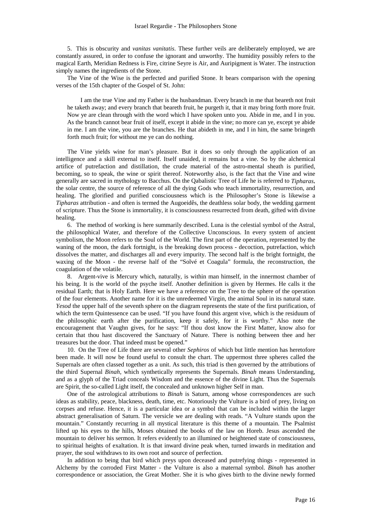5. This is obscurity and *vanitas vanitatis*. These further veils are deliberately employed, we are constantly assured, in order to confuse the ignorant and unworthy. The humidity possibly refers to the magical Earth, Meridian Redness is Fire, citrine Seyre is Air, and Auripigment is Water. The instruction simply names the ingredients of the Stone.

The Vine of the Wise is the perfected and purified Stone. It bears comparison with the opening verses of the 15th chapter of the Gospel of St. John:

I am the true Vine and my Father is the husbandman. Every branch in me that beareth not fruit he taketh away; and every branch that beareth fruit, he purgeth it, that it may bring forth more fruit. Now ye are clean through with the word which I have spoken unto you. Abide in me, and I in you. As the branch cannot bear fruit of itself, except it abide in the vine; no more can ye, except ye abide in me. I am the vine, you are the branches. He that abideth in me, and I in him, the same bringeth forth much fruit; for without me ye can do nothing.

The Vine yields wine for man's pleasure. But it does so only through the application of an intelligence and a skill external to itself. Itself unaided, it remains but a vine. So by the alchemical artifice of putrefaction and distillation, the crude material of the astro-mental sheath is purified, becoming, so to speak, the wine or spirit thereof. Noteworthy also, is the fact that the Vine and wine generally are sacred in mythology to Bacchus. On the Qabalistic Tree of Life he is referred to *Tipharas*, the solar centre, the source of reference of all the dying Gods who teach immortality, resurrection, and healing. The glorified and purified consciousness which is the Philosopher's Stone is likewise a *Tipharas* attribution - and often is termed the Augoeidês, the deathless solar body, the wedding garment of scripture. Thus the Stone is immortality, it is consciousness resurrected from death, gifted with divine healing.

6. The method of working is here summarily described. Luna is the celestial symbol of the Astral, the philosophical Water, and therefore of the Collective Unconscious. In every system of ancient symbolism, the Moon refers to the Soul of the World. The first part of the operation, represented by the waning of the moon, the dark fortnight, is the breaking down process - decoction, putrefaction, which dissolves the matter, and discharges all and every impurity. The second half is the bright fortnight, the waxing of the Moon - the reverse half of the "Solvé et Coagula" formula, the reconstruction, the coagulation of the volatile.

8. Argent-vive is Mercury which, naturally, is within man himself, in the innermost chamber of his being. It is the world of the psyche itself. Another definition is given by Hermes. He calls it the residual Earth; that is Holy Earth. Here we have a reference on the Tree to the sphere of the operation of the four elements. Another name for it is the unredeemed Virgin, the animal Soul in its natural state. *Yesod* the upper half of the seventh sphere on the diagram represents the state of the first purification, of which the term Quintessence can be used. "If you have found this argent vive, which is the residuum of the philosophic earth after the purification, keep it safely, for it is worthy." Also note the encouragement that Vaughn gives, for he says: "If thou dost know the First Matter, know also for certain that thou hast discovered the Sanctuary of Nature. There is nothing between thee and her treasures but the door. That indeed must be opened."

10. On the Tree of Life there are several other *Sephiros* of which but little mention has heretofore been made. It will now be found useful to consult the chart. The uppermost three spheres called the Supernals are often classed together as a unit. As such, this triad is then governed by the attributions of the third Supernal *Binah*, which synthetically represents the Supernals. *Binah* means Understanding, and as a glyph of the Triad conceals Wisdom and the essence of the divine Light. Thus the Supernals are Spirit, the so-called Light itself, the concealed and unknown higher Self in man.

One of the astrological attributions to *Binah* is Saturn, among whose correspondences are such ideas as stability, peace, blackness, death, time, etc. Notoriously the Vulture is a bird of prey, living on corpses and refuse. Hence, it is a particular idea or a symbol that can be included within the larger abstract generalisation of Saturn. The versicle we are dealing with reads. "A Vulture stands upon the mountain." Constantly recurring in all mystical literature is this theme of a mountain. The Psalmist lifted up his eyes to the hills, Moses obtained the books of the law on Horeb. Jesus ascended the mountain to deliver his sermon. It refers evidently to an illumined or heightened state of consciousness, to spiritual heights of exaltation. It is that inward divine peak when, turned inwards in meditation and prayer, the soul withdraws to its own root and source of perfection.

In addition to being that bird which preys upon deceased and putrefying things - represented in Alchemy by the corroded First Matter - the Vulture is also a maternal symbol. *Binah* has another correspondence or association, the Great Mother. She it is who gives birth to the divine newly formed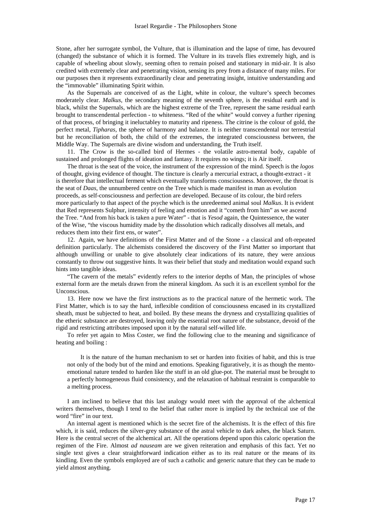Stone, after her surrogate symbol, the Vulture, that is illumination and the lapse of time, has devoured (changed) the substance of which it is formed. The Vulture in its travels flies extremely high, and is capable of wheeling about slowly, seeming often to remain poised and stationary in mid-air. It is also credited with extremely clear and penetrating vision, sensing its prey from a distance of many miles. For our purposes then it represents extraordinarily clear and penetrating insight, intuitive understanding and the "immovable" illuminating Spirit within.

As the Supernals are conceived of as the Light, white in colour, the vulture's speech becomes moderately clear. *Malkus*, the secondary meaning of the seventh sphere, is the residual earth and is black, whilst the Supernals, which are the highest extreme of the Tree, represent the same residual earth brought to transcendental perfection - to whiteness. "Red of the white" would convey a further ripening of that process, of bringing it ineluctabley to maturity and ripeness. The citrine is the colour of gold, the perfect metal, *Tipharas*, the sphere of harmony and balance. It is neither transcendental nor terrestrial but he reconciliation of both, the child of the extremes, the integrated consciousness between, the Middle Way. The Supernals are divine wisdom and understanding, the Truth itself.

11. The Crow is the so-called bird of Hermes - the volatile astro-mental body, capable of sustained and prolonged flights of ideation and fantasy. It requires no wings; it is Air itself.

The throat is the seat of the voice, the instrument of the expression of the mind. Speech is the *logos* of thought, giving evidence of thought. The tincture is clearly a mercurial extract, a thought-extract - it is therefore that intellectual ferment which eventually transforms consciousness. Moreover, the throat is the seat of *Daas*, the unnumbered centre on the Tree which is made manifest in man as evolution proceeds, as self-consciousness and perfection are developed. Because of its colour, the bird refers more particularly to that aspect of the psyche which is the unredeemed animal soul *Malkus*. It is evident that Red represents Sulphur, intensity of feeling and emotion and it "cometh from him" as we ascend the Tree. "And from his back is taken a pure Water" - that is *Yesod* again, the Quintessence, the water of the Wise, "the viscous humidity made by the dissolution which radically dissolves all metals, and reduces them into their first ens, or water".

12. Again, we have definitions of the First Matter and of the Stone - a classical and oft-repeated definition particularly. The alchemists considered the discovery of the First Matter so important that although unwilling or unable to give absolutely clear indications of its nature, they were anxious constantly to throw out suggestive hints. It was their belief that study and meditation would expand such hints into tangible ideas.

"The cavern of the metals" evidently refers to the interior depths of Man, the principles of whose external form are the metals drawn from the mineral kingdom. As such it is an excellent symbol for the Unconscious.

13. Here now we have the first instructions as to the practical nature of the hermetic work. The First Matter, which is to say the hard, inflexible condition of consciousness encased in its crystallized sheath, must be subjected to heat, and boiled. By these means the dryness and crystallizing qualities of the etheric substance are destroyed, leaving only the essential root nature of the substance, devoid of the rigid and restricting attributes imposed upon it by the natural self-willed life.

To refer yet again to Miss Coster, we find the following clue to the meaning and significance of heating and boiling :

It is the nature of the human mechanism to set or harden into fixities of habit, and this is true not only of the body but of the mind and emotions. Speaking figuratively, it is as though the mentoemotional nature tended to harden like the stuff in an old glue-pot. The material must be brought to a perfectly homogeneous fluid consistency, and the relaxation of habitual restraint is comparable to a melting process.

I am inclined to believe that this last analogy would meet with the approval of the alchemical writers themselves, though I tend to the belief that rather more is implied by the technical use of the word "fire" in our text.

An internal agent is mentioned which is the secret fire of the alchemists. It is the effect of this fire which, it is said, reduces the silver-grey substance of the astral vehicle to dark ashes, the black Saturn. Here is the central secret of the alchemical art. All the operations depend upon this caloric operation the regimen of the Fire. Almost *ad nauseam* are we given reiteration and emphasis of this fact. Yet no single text gives a clear straightforward indication either as to its real nature or the means of its kindling. Even the symbols employed are of such a catholic and generic nature that they can be made to yield almost anything.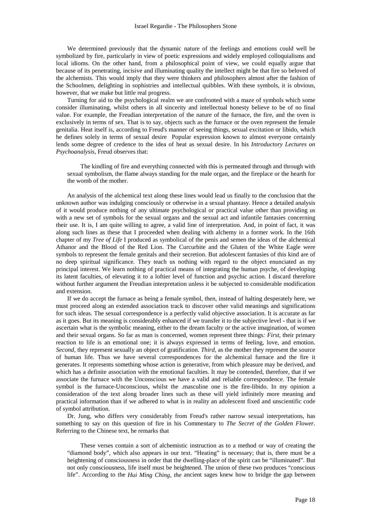We determined previously that the dynamic nature of the feelings and emotions could well be symbolized by fire, particularly in view of poetic expressions and widely employed colloquialisms and local idioms. On the other hand, from a philosophical point of view, we could equally argue that because of its penetrating, incisive and illuminating quality the intellect might be that fire so beloved of the alchemists. This would imply that they were thinkers and philosophers almost after the fashion of the Schoolmen, delighting in sophistries and intellectual quibbles. With these symbols, it is obvious, however, that we make but little real progress.

Turning for aid to the psychological realm we are confronted with a maze of symbols which some consider illuminating, whilst others in all sincerity and intellectual honesty believe to be of no final value. For example, the Freudian interpretation of the nature of the furnace, the fire, and the oven is exclusively in terms of sex. That is to say, objects such as the furnace or the oven represent the female genitalia. Heat itself is, according to Freud's manner of seeing things, sexual excitation or libido, which he defines solely in terms of sexual desire Popular expression known to almost everyone certainly lends some degree of credence to the idea of heat as sexual desire. In his *Introductory Lectures on Psychoanalysis,* Freud observes that:

The kindling of fire and everything connected with this is permeated through and through with sexual symbolism, the flame always standing for the male organ, and the fireplace or the hearth for the womb of the mother.

An analysis of the alchemical text along these lines would lead us finally to the conclusion that the unknown author was indulging consciously or otherwise in a sexual phantasy. Hence a detailed analysis of it would produce nothing of any ultimate psychological or practical value other than providing us with a new set of symbols for the sexual organs and the sexual act and infantile fantasies concerning their use. It is, I am quite willing to agree, a valid line of interpretation. And, in point of fact, it was along such lines as these that I proceeded when dealing with alchemy in a former work. In the 16th chapter of my *Tree of Life* I produced as symbolical of the penis and semen the ideas of the alchemical Athanor and the Blood of the Red Lion. The Curcurbite and the Gluten of the White Eagle were symbols to represent the female genitals and their secretion. But adolescent fantasies of this kind are of no deep spiritual significance. They teach us nothing with regard to the object enunciated as my principal interest. We learn nothing of practical means of integrating the human psyche, of developing its latent faculties, of elevating it to a loftier level of function and psychic action. I discard therefore without further argument the Freudian interpretation unless it be subjected to considerable modification and extension.

If we do accept the furnace as being a female symbol, then, instead of halting desperately here, we must proceed along an extended association track to discover other valid meanings and significations for such ideas. The sexual correspondence is a perfectly valid objective association. It is accurate as far as it goes. But its meaning is considerably enhanced if we transfer it to the subjective level - that is if we ascertain what is the symbolic meaning, either to the dream faculty or the active imagination, of women and their sexual organs. So far as man is concerned, women represent three things*: First,* their primary reaction to life is an emotional one; it is always expressed in terms of feeling, love, and emotion. *Second,* they represent sexually an object of gratification. *Third*, as the mother they represent the source of human life. Thus we have several correspondences for the alchemical furnace and the fire it generates. It represents something whose action is generative, from which pleasure may be derived, and which has a definite association with the emotional faculties. It may be contended, therefore, that if we associate the furnace with the Unconscious we have a valid and reliable correspondence. The female symbol is the furnace-Unconscious, whilst the .masculine one is the fire-libido. In my opinion a consideration of the text along broader lines such as these will yield infinitely more meaning and practical information than if we adhered to what is in reality an adolescent fixed and unscientific code of symbol attribution.

Dr. Jung, who differs very considerably from Freud's rather narrow sexual interpretations, has something to say on this question of fire in his Commentary to *The Secret of the Golden Flower.*  Referring to the Chinese text, he remarks that

These verses contain a sort of alchemistic instruction as to a method or way of creating the "diamond body", which also appears in our text. "Heating" is necessary; that is, there must be a heightening of consciousness in order that the dwelling-place of the spirit can be "illuminated". But not only consciousness, life itself must be heightened. The union of these two produces "conscious life". According to the *Hui Ming Ching, the* ancient sages knew how to bridge the gap between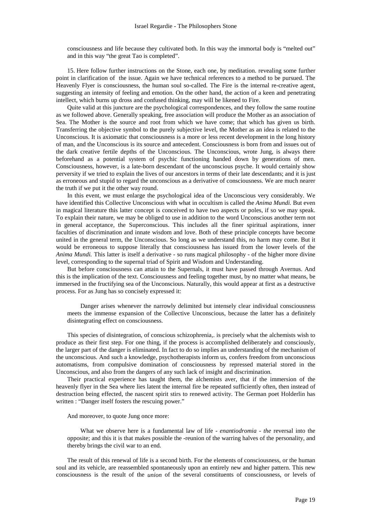consciousness and life because they cultivated both. In this way the immortal body is "melted out" and in this way "the great Tao is completed".

15. Here follow further instructions on the Stone, each one, by meditation. revealing some further point in clarification of the issue. Again we have technical references to a method to be pursued. The Heavenly Flyer is consciousness, the human soul so-called. The Fire is the internal re-creative agent, suggesting an intensity of feeling and emotion. On the other hand, the action of a keen and penetrating intellect, which burns up dross and confused thinking, may will be likened to Fire.

Quite valid at this juncture are the psychological correspondences, and they follow the same routine as we followed above. Generally speaking, free association will produce the Mother as an association of Sea. The Mother is the source and root from which we have come; that which has given us birth. Transferring the objective symbol to the purely subjective level, the Mother as an idea is related to the Unconscious. It is axiomatic that consciousness is a more or less recent development in the long history of man, and the Unconscious is its source and antecedent. Consciousness is born from and issues out of the dark creative fertile depths of the Unconscious. The Unconscious, wrote Jung, is always there beforehand as a potential system of psychic functioning handed down by generations of men. Consciousness, however, is a late-born descendant of the unconscious psyche. It would certainly show perversity if we tried to explain the lives of our ancestors in terms of their late descendants; and it is just as erroneous and stupid to regard the unconscious as a derivative of consciousness. We are much nearer the truth if we put it the other way round.

In this event, we must enlarge the psychological idea of the Unconscious very considerably. We have identified this Collective Unconscious with what in occultism is called the *Anima Mundi.* But even in magical literature this latter concept is conceived to have two aspects or poles, if so we may speak. To explain their nature, we may be obliged to use in addition to the word Unconscious another term not in general acceptance, the Superconscious. This includes all the finer spiritual aspirations, inner faculties of discrimination and innate wisdom and love. Both of these principle concepts have become united in the general term, the Unconscious. So long as we understand this, no harm may come. But it would be erroneous to suppose literally that consciousness has issued from the lower levels of the *Anima Mundi.* This latter is itself a derivative - so runs magical philosophy - of the higher more divine level, corresponding to the supernal triad of Spirit and Wisdom and Understanding.

But before consciousness can attain to the Supernals, it must have passed through Avernus. And this is the implication of the text. Consciousness and feeling together must, by no matter what means, be immersed in the fructifying sea of the Unconscious. Naturally, this would appear at first as a destructive process. For as Jung has so concisely expressed it:

Danger arises whenever the narrowly delimited but intensely clear individual consciousness meets the immense expansion of the Collective Unconscious, because the latter has a definitely disintegrating effect on consciousness.

This species of disintegration, of conscious schizophrenia,. is precisely what the alchemists wish to produce as their first step. For one thing, if the process is accomplished deliberately and consciously, the larger part of the danger is eliminated. In fact to do so implies an understanding of the mechanism of the unconscious. And such a knowledge, psychotherapists inform us, confers freedom from unconscious automatisms, from compulsive domination of consciousness by repressed material stored in the Unconscious, and also from the dangers of any such lack of insight and discrimination.

Their practical experience has taught them, the alchemists aver, that if the immersion of the heavenly flyer in the Sea where lies latent the internal fire be repeated sufficiently often, then instead of destruction being effected, the nascent spirit stirs to renewed activity. The German poet Holderlin has written : "Danger itself fosters the rescuing power."

#### And moreover, to quote Jung once more:

What we observe here is a fundamental law of life - *enantiodromia - the* reversal into the opposite; and this it is that makes possible the -reunion of the warring halves of the personality, and thereby brings the civil war to an end.

The result of this renewal of life is a second birth. For the elements of consciousness, or the human soul and its vehicle, are reassembled spontaneously upon an entirely new and higher pattern. This new consciousness is the result of the *union* of the several constituents of consciousness, or levels of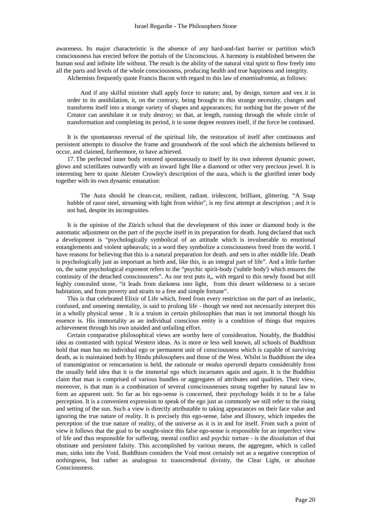awareness. Its major characteristic is the absence of any hard-and-fast barrier or partition which consciousness has erected before the portals of the Unconscious. A harmony is established between the human soul and infinite life without. The result is the ability of the natural vital spirit to flow freely into all the parts and levels of the whole consciousness, producing health and true happiness and integrity.

Alchemists frequently quote Francis Bacon with regard to this law of *enantiodromia,* as follows:

And if any skilful minister shall apply force to nature; and, by design, torture and vex it in order to its annihilation, it, on the contrary, being brought to this strange necessity, changes and transforms itself into a strange variety of shapes and appearances; for nothing but the power of the Creator can annihilate it or truly destroy; so that, at length, running through the whole circle of transformation and completing its period, it in some degree restores itself, if the force be continued.

It is the spontaneous reversal of the spiritual life, the restoration of itself after continuous and persistent attempts to dissolve the frame and groundwork of the soul which the alchemists believed to occur, and claimed, furthermore, to have achieved.

17. The perfected inner body restored spontaneously to itself by its own inherent dynamic power, glows and scintillates outwardly with an inward light like a diamond or other very precious jewel. It is interesting here to quote Aleister Crowley's description of the aura, which is the glorified inner body together with its own dynamic emanation:

The Aura should be clean-cut, resilient, radiant. iridescent, brilliant, glittering. "A Soap bubble of razor steel, streaming with light from within", is my first attempt at description ; and it is not bad, despite its incongruities.

It is the opinion of the Zürich school that the development of this inner or diamond body is the automatic adjustment on the part of the psyche itself in its preparation for death. Jung declared that such a development is "psychologically symbolical of an attitude which is invulnerable to emotional entanglements and violent upheavals; in a word they symbolize a consciousness freed from the world. I have reasons for believing that this is a natural preparation for death. and sets in after middle life. Death is psychologically just as important as birth and, like this, is an integral part of life". And a little further on, the same psychological exponent refers to the "psychic spirit-body ('subtle body') which ensures the continuity of the detached consciousness". As our text puts it,, with regard to this newly found but still highly concealed stone, "it leads from darkness into light, from this desert wilderness to a secure habitation, and from poverty and straits to a free and simple fortune".

This is that celebrated Elixir of Life which, freed from every restriction on the part of an inelastic, confused, and unseeing mentality, is said to prolong life - though we need not necessarily interpret this in a wholly physical sense . It is a truism in certain philosophies that man is not immortal though his essence is. His immortality as an individual conscious entity is a condition of things that requires achievement through his own unaided and unfailing effort.

Certain comparative philosophical views are worthy here of consideration. Notably, the Buddhist idea as contrasted with typical Western ideas. As is more or less well known, all schools of Buddhism hold that man has no individual ego or permanent unit of consciousness which is capable of surviving death, as is maintained both by Hindu philosophers and those of the West. Whilst in Buddhism the idea of transmigration or reincarnation is held, the rationale or *modus operandi* departs considerably from the usually held idea that it is the immortal ego which incarnates again and again. It is the Buddhist claim that man is comprised of various bundles or aggregates of attributes and qualities. Their view, moreover, is that man is a combination of several consciousnesses strung together by natural law to form an apparent unit. So far as his ego-sense is concerned, their psychology holds it to be a false perception. It is a convenient expression to speak of the ego just as commonly we still refer to the rising and setting of the sun. Such a view is directly attributable to taking appearances on their face value and ignoring the true nature of reality. It is precisely this ego-sense, false and illusory, which impedes the perception of the true nature of reality, of the universe as it is in and for itself. From such a point of view it follows that the goal to be sought-since this false ego-sense is responsible for an imperfect view of life and thus responsible for suffering, mental conflict and psychic torture - is the dissolution of that obstinate and persistent falsity. This accomplished by various means, the aggregate, which is called man, sinks into the Void. Buddhism considers the Void most certainly not as a negative conception of nothingness, but rather as analogous to transcendental divinity, the Clear Light, or absolute Consciousness.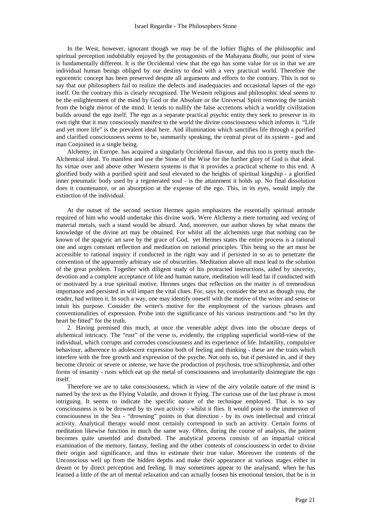In the West, however, ignorant though we may be of the loftier flights of the philosophic and spiritual perception indubitably enjoyed by the protagonists of the Mahayana *Bodhi,* our point of view is fundamentally different. It is the Occidental view that the ego has some value for us in that we are individual human beings obliged by our destiny to deal with a very practical world. Therefore the egocentric concept has been preserved despite all arguments and efforts to the contrary. This is not to say that our philosophers fail to realize the defects and inadequacies and occasional lapses of the ego itself. On the contrary this is clearly recognized. The Western religious and philosophic ideal seems to be the enlightenment of the mind by God or the Absolute or the Universal Spirit removing the tarnish from the bright mirror of the mind. It tends to nullify the false accretions which a worldly civilization builds around the ego itself. The ego as a separate practical psychic entity they seek to preserve in its own right that it may consciously manifest to the world the divine consciousness which informs it. "Life and yet more life" is the prevalent ideal here. And illumination which sanctifies life through a purified and clarified consciousness seems to be, summarily speaking, the central pivot of its system - god and man Conjoined in a single being.

Alchemy, in Europe. has acquired a singularly Occidental flavour, and this too is pretty much the-Alchemical ideal. To manifest and use the Stone of the Wise for the further glory of God is that ideal. Its virtue over and above other Western systems is that it provides a practical scheme to this end. A glorified body with a purified spirit and soul elevated to the heights of spiritual kingship - a glorified inner pneumatic body used by a regenerated soul - is the attainment it holds up. No final dissolution does it countenance, or an absorption at the expense of the ego. This, in its eyes, would imply the extinction of the individual.

At the outset of the second section Hermes again emphasizes the essentially spiritual attitude required of him who would undertake this divine work. Were Alchemy a mere torturing and vexing of material metals, such a stand would be absurd. And, moreover, our author shows by what means the knowledge of the divine art may be obtained. For whilst all the alchemists urge that nothing can be known of the spagyric art save by the grace of God, yet Hermes states the entire process is a rational one and urges constant reflection and meditation on rational principles. This being so the art must be accessible to rational inquiry if conducted in the right way and if persisted in so as to penetrate the convention of the apparently arbitrary use of obscurities. Meditation above all must lead to the solution of the great problem. Together with diligent study of his protracted instructions, aided by sincerity, devotion and a complete acceptance of life and human nature, meditation will lead far if conducted with or motivated by a true spiritual motive. Hermes urges that reflection on the matter is of tremendous importance and persisted in will impart the vital clues. For, says he, consider the text as though you, the reader, had written it. In such a way, one may identify oneself with the motive of the writer and sense or intuit his purpose. Consider the writer's motive for the employment of the various phrases and conventionalities of expression. Probe into the significance of his various instructions and "so let thy heart be fitted" for the truth.

2. Having premised this much, at once the venerable adept dives into the obscure deeps of alchemical intricacy. The "rust" of the verse is, evidently, the crippling superficial world-view of the individual, which corrupts and corrodes consciousness and its experience of life. Infantility, compulsive behaviour, adherence to adolescent expression both of feeling and thinking - these are the traits which interfere with the free growth and expression of the psyche. Not only so, but if persisted in, and if they become chronic or severe or intense, we have the production of psychosis, true schizophrenia, and other forms of insanity - rusts which eat up the metal of consciousness and involuntarily disintegrate the ego itself.

Therefore we are to take consciousness, which in view of the airy volatile nature of the mind is named by the text as the Flying Volatile, and drown it flying. The curious use of the last phrase is most intriguing. It seems to indicate the specific nature of the technique employed. That is to say consciousness is to be drowned by its own activity - whilst it flies. It would point to the immersion of consciousness in the Sea - "drowning" points in that direction - by its own intellectual and critical activity. Analytical therapy would most certainly correspond to such an activity. Certain forms of meditation likewise function in much the same way. Often, during the course of analysis, the patient becomes quite unsettled and disturbed. The analytical process consists of an impartial critical examination of the memory, fantasy, feeling and the other contents of consciousness in order to divine their origin and significance, and thus to estimate their true value. Moreover the contents of the Unconscious well up from the hidden depths and make their appearance at various stages either in dream or by direct perception and feeling. It may sometimes appear to the analysand, when he has learned a little of the art of mental relaxation and can actually loosen his emotional tension, that he is in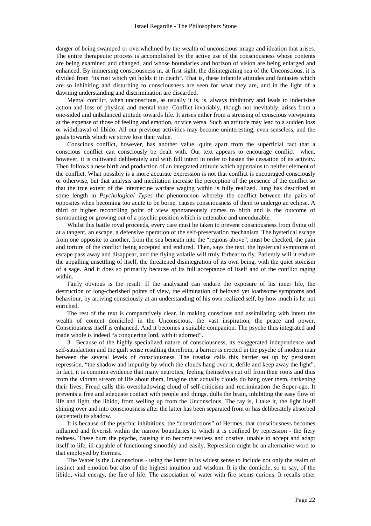danger of being swamped or overwhelmed by the wealth of unconscious image and ideation that arises. The entire therapeutic process is accomplished by the active use of the consciousness whose contents are being examined and changed, and whose boundaries and horizon of vision are being enlarged and enhanced. By immersing consciousness in, at first sight, the disintegrating sea of the Unconscious, it is divided from "its rust which yet holds it in death". That is, these infantile attitudes and fantasies which are so inhibiting and disturbing to consciousness are seen for what they are, and in the light of a dawning understanding and discrimination are discarded.

Mental conflict, when unconscious, as usually it is, is. always inhibitory and leads to indecisive action and loss of physical and mental tone. Conflict invariably, though not inevitably, arises from a one-sided and unbalanced attitude towards life. It arises either from a stressing of conscious viewpoints at the expense of those of feeling and emotion, or vice versa. Such an attitude may lead to a sudden loss or withdrawal of libido. All our previous activities may become uninteresting, even senseless, and the goals towards which we strive lose their value.

Conscious conflict, however, has another value, quite apart from the superficial fact that a conscious conflict can consciously be dealt with. Our text appears to encourage conflict when, however, it is cultivated deliberately and with full intent in order to hasten the cessation of its activity. Then follows a new birth and production of an integrated attitude which appertains to neither element of the conflict. What possibly is a more accurate expression is not that conflict is encouraged consciously or otherwise, but that analysis and meditation increase the perception of the presence of the conflict so that the true extent of the internecine warfare waging within is fully realized. Jung has described at some length in *Psychological Types* the phenomenon whereby the conflict between the pairs of opposites when becoming too acute to be borne, causes consciousness of them to undergo an eclipse. A third or higher reconciling point of view spontaneously comes to birth and is the outcome of surmounting or growing out of a psychic position which is untenable and unendurable.

Whilst this battle royal proceeds, every care must be taken to prevent consciousness from flying off at a tangent, an escape, a defensive operation of the self-preservation mechanism. The hysterical escape from one opposite to another, from the sea beneath into the "regions above", must be checked, the pain and torture of the conflict being accepted and endured. Then, says the text, the hysterical symptoms of escape pass away and disappear, and the flying volatile will truly forbear to fly. Patiently will it endure the appalling unsettling of itself, the threatened disintegration of its own being, with the quiet stoicism of a sage. And it does so primarily because of its full acceptance of itself and of the conflict raging within.

Fairly obvious is the result. If the analysand can endure the exposure of his inner life, the destruction of long-cherished points of view, the elimination of beloved yet loathsome symptoms and behaviour, by arriving consciously at an understanding of his own realized self, by how much is he not enriched.

The rest of the text is comparatively clear. In making conscious and assimilating with intent the wealth of content domiciled in the Unconscious, the vast inspiration, the peace and power, Consciousness itself is enhanced. And it becomes a suitable companion. The psyche thus integrated and made whole is indeed "a conquering lord, with it adorned".

3. Because of the highly specialized nature of consciousness, its exaggerated independence and self-satisfaction and the guilt sense resulting therefrom, a barrier is erected in the psyche of modern man between the several levels of consciousness. The treatise calls this barrier set up by persistent repression, "the shadow and impurity by which the clouds hang over it, defile and keep away the light". In fact, it is common evidence that many neurotics, feeling themselves cut off from their roots and thus from the vibrant stream of life about them, imagine that actually clouds do hang over them, darkening their lives. Freud calls this overshadowing cloud of self-criticism and recrimination the Super-ego. It prevents a free and adequate contact with people and things, dulls the brain, inhibiting the easy flow of life and light, the libido, from welling up from the Unconscious. The ray is, I take it, the light itself shining over and into consciousness after the latter has been separated from or has deliberately absorbed (accepted) its shadow.

It is because of the psychic inhibitions, the "constrictions" of Hermes, that consciousness becomes inflamed and feverish within the narrow boundaries to which it is confined by repression - the fiery redness. These burn the psyche, causing it to become restless and costive, unable to accept and adapt itself to life, ill-capable of functioning smoothly and easily. Repression might be an alternative word to that employed by Hermes.

The Water is the Unconscious - using the latter in its widest sense to include not only the realm of instinct and emotion but also of the highest intuition and wisdom. It is the domicile, so to say, of the libido, vital energy, the fire of life. The association of water with fire seems curious. It recalls other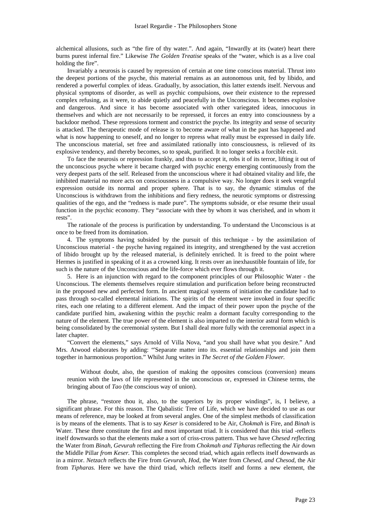alchemical allusions, such as "the fire of thy water.". And again, "Inwardly at its (water) heart there burns purest infernal fire." Likewise *The Golden Treatise* speaks of the "water, which is as a live coal holding the fire".

Invariably a neurosis is caused by repression of certain at one time conscious material. Thrust into the deepest portions of the psyche, this material remains as an autonomous unit, fed by libido, and rendered a powerful complex of ideas. Gradually, by association, this latter extends itself. Nervous and physical symptoms of disorder, as well as psychic compulsions, owe their existence to the repressed complex refusing, as it were, to abide quietly and peacefully in the Unconscious. It becomes explosive and dangerous. And since it has become associated with other variegated ideas, innocuous in themselves and which are not necessarily to be repressed, it forces an entry into consciousness by a backdoor method. These repressions torment and constrict the psyche. Its integrity and sense of security is attacked. The therapeutic mode of release is to become aware of what in the past has happened and what is now happening to oneself, and no longer to repress what really must be expressed in daily life. The unconscious material, set free and assimilated rationally into consciousness, is relieved of its explosive tendency, and thereby becomes, so to speak, purified. It no longer seeks a forcible exit.

To face the neurosis or repression frankly, and thus to accept it, robs it of its terror, lifting it out of the unconscious psyche where it became charged with psychic energy emerging continuously from the very deepest parts of the self. Released from the unconscious where it had obtained vitality and life, the inhibited material no more acts on consciousness in a compulsive way. No longer does it seek vengeful expression outside its normal and proper sphere. That is to say, the dynamic stimulus of the Unconscious is withdrawn from the inhibitions and fiery redness, the neurotic symptoms or distressing qualities of the ego, and the "redness is made pure". The symptoms subside, or else resume their usual function in the psychic economy. They "associate with thee by whom it was cherished, and in whom it rests".

The rationale of the process is purification by understanding. To understand the Unconscious is at once to be freed from its domination.

4. The symptoms having subsided by the pursuit of this technique - by the assimilation of Unconscious material - the psyche having regained its integrity, and strengthened by the vast accretion of libido brought up by the released material, is definitely enriched. It is freed to the point where Hermes is justified in speaking of it as a crowned king. It rests over an inexhaustible fountain of life, for such is the nature of the Unconscious and the life-force which ever flows through it.

5. Here is an injunction with regard to the component principles of our Philosophic Water - the Unconscious. The elements themselves require stimulation and purification before being reconstructed in the proposed new and perfected form. In ancient magical systems of initiation the candidate had to pass through so-called elemental initiations. The spirits of the element were invoked in four specific rites, each one relating to a different element. And the impact of their power upon the psyche of the candidate purified him, awakening within the psychic realm a dormant faculty corresponding to the nature of the element. The true power of the element is also imparted to the interior astral form which is being consolidated by the ceremonial system. But I shall deal more fully with the ceremonial aspect in a later chapter.

"Convert the elements," says Arnold of Villa Nova, "and you shall have what you desire." And Mrs. Atwood elaborates by adding: "'Separate matter into its. essential relationships and join them together in harmonious proportion." Whilst Jung writes in *The Secret of the Golden Flower.*

Without doubt, also, the question of making the opposites conscious (conversion) means reunion with the laws of life represented in the unconscious or, expressed in Chinese terms, the bringing about of *Tao* (the conscious way of union).

The phrase, "restore thou it, also, to the superiors by its proper windings", is, I believe, a significant phrase. For this reason. The Qabalistic Tree of Life, which we have decided to use as our means of reference, may be looked at from several angles. One of the simplest methods of classification is by means of the elements. That is to say *Keser* is considered to be Air, *Chokmah* is Fire, and *Binah* is Water. These three constitute the first and most important triad. It is considered that this triad -reflects itself downwards so that the elements make a sort of criss-cross pattern. Thus we have *Chesed reflect*ing the Water from *Binah, Gevurah* reflecting the Fire from *Chokmah and Tipharas* reflecting the Air down the Middle Pillar *from Keser.* This completes the second triad, which again reflects itself downwards as in a mirror. *Netzach* reflects the Fire from *Gevurah, Hod,* the Water from *Chesed, and Chesod,* the Air from *Tipharas.* Here we have the third triad, which reflects itself and forms a new element, the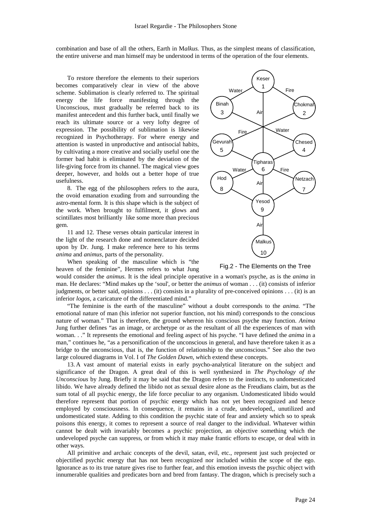combination and base of all the others, Earth in M*alkus.* Thus, as the simplest means of classification, the entire universe and man himself may be understood in terms of the operation of the four elements.

To restore therefore the elements to their superiors becomes comparatively clear in view of the above scheme. Sublimation is clearly referred to. The spiritual energy the life force manifesting through the Unconscious, must gradually be referred back to its manifest antecedent and this further back, until finally we reach its ultimate source or a very lofty degree of expression. The possibility of sublimation is likewise recognized in Psychotherapy. For where energy and attention is wasted in unproductive and antisocial habits, by cultivating a more creative and socially useful one the former bad habit is eliminated by the deviation of the life-giving force from its channel. The magical view goes deeper, however, and holds out a better hope of true usefulness.

8. The egg of the philosophers refers to the aura, the ovoid emanation exuding from and surrounding the astro-mental form. It is this shape which is the subject of the work. When brought to fulfilment, it glows and scintillates most brilliantly like some more than precious gem.

11 and 12. These verses obtain particular interest in the light of the research done and nomenclature decided upon by Dr. Jung. I make reference here to his terms *anima* and *animus,* parts of the personality.

When speaking of the masculine which is "the heaven of the feminine", Hermes refers to what Jung

would consider the *animus.* It is the ideal principle operative in a woman's psyche, as is the *anima* in man. He declares: "Mind makes up the 'soul', or better the *animus* of woman . . . (it) consists of inferior judgments, or better said, opinions . . . (it) consists in a plurality of pre-conceived opinions . . . (it) is an inferior *logos,* a caricature of the differentiated mind."

"The feminine is the earth of the masculine" without a doubt corresponds to the *anima.* "The emotional nature of man (his inferior not superior function, not his mind) corresponds to the conscious nature of woman." That is therefore, the ground whereon his conscious psyche may function. *Anima* Jung further defines "as an image, or archetype or as the resultant of all the experiences of man with woman. . ." It represents the emotional and feeling aspect of his psyche. "I have defined the *anima* in a man," continues he, "as a personification of the unconscious in general, and have therefore taken it as a bridge to the unconscious, that is, the function of relationship to the unconscious." See also the two large coloured diagrams in Vol. I of *The Golden Dawn, wh*ich extend these concepts.

13. A vast amount of material exists in early psycho-analytical literature on the subject and significance of the Dragon. A great deal of this is well synthesized in *The Psychology of the Unconscious* by Jung. Briefly it may be said that the Dragon refers to the instincts, to undomesticated libido. We have already defined the libido not as sexual desire alone as the Freudians claim, but as the sum total of all psychic energy, the life force peculiar to any organism. Undomesticated libido would therefore represent that portion of psychic energy which has not yet been recognized and hence employed by consciousness. In consequence, it remains in a crude, undeveloped,, unutilized and undomesticated state. Adding to this condition the psychic state of fear and anxiety which so to speak poisons this energy, it comes to represent a source of real danger to the individual. Whatever within cannot be dealt with invariably becomes a psychic projection, an objective something which the undeveloped psyche can suppress, or from which it may make frantic efforts to escape, or deal with in other ways.

All primitive and archaic concepts of the devil, satan, evil, etc., represent just such projected or objectified psychic energy that has not been recognized nor included within the scope of the ego. Ignorance as to its true nature gives rise to further fear, and this emotion invests the psychic object with innumerable qualities and predicates born and bred from fantasy. The dragon, which is precisely such a



Fig.2 - The Elements on the Tree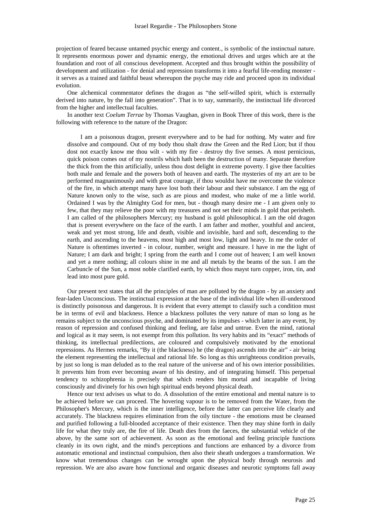projection of feared because untamed psychic energy and content., is symbolic of the instinctual nature. It represents enormous power and dynamic energy, the emotional drives and urges which are at the foundation and root of all conscious development. Accepted and thus brought within the possibility of development and utilization - for denial and repression transforms it into a fearful life-rending monster it serves as a trained and faithful beast whereupon the psyche may ride and proceed upon its individual evolution.

One alchemical commentator defines the dragon as "the self-willed spirit, which is externally derived into nature, by the fall into generation". That is to say, summarily, the instinctual life divorced from the higher and intellectual faculties.

In another text *Coelum Terrae* by Thomas Vaughan, given in Book Three of this work, there is the following with reference to the nature of the Dragon:

I am a poisonous dragon, present everywhere and to be had for nothing. My water and fire dissolve and compound. Out of my body thou shalt draw the Green and the Red Lion; but if thou dost not exactly know me thou wilt - with my fire - destroy thy five senses. A most pernicious, quick poison comes out of my nostrils which hath been the destruction of many. Separate therefore the thick from the thin artificially, unless thou dost delight in extreme poverty. I give thee faculties both male and female and the powers both of heaven and earth. The mysteries of my art are to be performed magnanimously and with great courage, if thou wouldst have me overcome the violence of the fire, in which attempt many have lost both their labour and their substance. I am the egg of Nature known only to the wise, such as are pious and modest, who make of me a little world. Ordained I was by the Almighty God for men, but - though many desire me - I am given only to few, that they may relieve the poor with my treasures and not set their minds in gold that perisheth. I am called of the philosophers Mercury; my husband is gold philosophical. I am the old dragon that is present everywhere on the face of the earth. I am father and mother, youthful and ancient, weak and yet most strong, life and death, visible and invisible, hard and soft, descending to the earth, and ascending to the heavens, most high and most low, light and heavy. In me the order of Nature is oftentimes inverted - in colour, number, weight and measure. I have in me the light of Nature; I am dark and bright; I spring from the earth and I come out of heaven; I am well known and yet a mere nothing; all colours shine in me and all metals by the beams of the sun. I am the Carbuncle of the Sun, a most noble clarified earth, by which thou mayst turn copper, iron, tin, and lead into most pure gold.

Our present text states that all the principles of man are polluted by the dragon - by an anxiety and fear-laden Unconscious. The instinctual expression at the base of the individual life when ill-understood is distinctly poisonous and dangerous. It is evident that every attempt to classify such a condition must be in terms of evil and blackness. Hence a blackness pollutes the very nature of man so long as he remains subject to the unconscious psyche, and dominated by its impulses - which latter in any event, by reason of repression and confused thinking and feeling, are false and untrue. Even the mind, rational and logical as it may seem, is not exempt from this pollution. Its very habits and its "exact" methods of thinking, its intellectual predilections, are coloured and compulsively motivated by the emotional repressions. As Hermes remarks, "By it (the blackness) he (the dragon) ascends into the air" - air being the element representing the intellectual and rational life. So long as this unrighteous condition prevails, by just so long is man deluded as to the real nature of the universe and of his own interior possibilities. It prevents him from ever becoming aware of his destiny, and of integrating himself. This perpetual tendency to schizophrenia is precisely that which renders him mortal and incapable of living consciously and divinely for his own high spiritual ends beyond physical death.

Hence our text advises us what to do. A dissolution of the entire emotional and mental nature is to be achieved before we can proceed. The hovering vapour is to be removed from the Water, from the Philosopher's Mercury, which is the inner intelligence, before the latter can perceive life clearly and accurately. The blackness requires elimination from the oily tincture - the emotions must be cleansed and purified following a full-blooded acceptance of their existence. Then they may shine forth in daily life for what they truly are, the fire of life. Death dies from the faeces, the substantial vehicle of the above, by the same sort of achievement. As soon as the emotional and feeling principle functions cleanly in its own right, and the mind's perceptions and functions are enhanced by a divorce from automatic emotional and instinctual compulsion, then also their sheath undergoes a transformation. We know what tremendous changes can be wrought upon the physical body through neurosis and repression. We are also aware how functional and organic diseases and neurotic symptoms fall away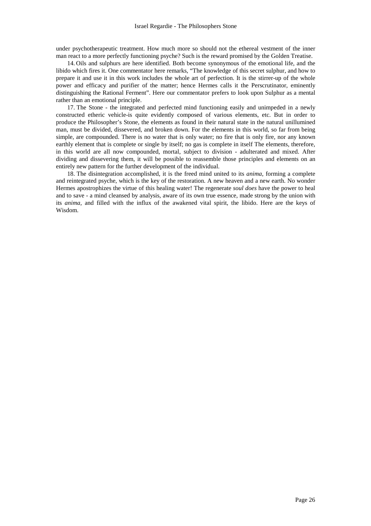under psychotherapeutic treatment. How much more so should not the ethereal vestment of the inner man react to a more perfectly functioning psyche? Such is the reward promised by the Golden Treatise.

14. Oils and sulphurs are here identified. Both become synonymous of the emotional life, and the libido which fires it. One commentator here remarks, "The knowledge of this secret sulphur, and how to prepare it and use it in this work includes the whole art of perfection. It is the stirrer-up of the whole power and efficacy and purifier of the matter; hence Hermes calls it the Perscrutinator, eminently distinguishing the Rational Ferment". Here our commentator prefers to look upon Sulphur as a mental rather than an emotional principle.

17. The Stone - the integrated and perfected mind functioning easily and unimpeded in a newly constructed etheric vehicle-is quite evidently composed of various elements, etc. But in order to produce the Philosopher's Stone, the elements as found in their natural state in the natural unillumined man, must be divided, dissevered, and broken down. For the elements in this world, so far from being simple, are compounded. There is no water that is only water; no fire that is only fire, nor any known earthly element that is complete or single by itself; no gas is complete in itself The elements, therefore, in this world are all now compounded, mortal, subject to division - adulterated and mixed. After dividing and dissevering them, it will be possible to reassemble those principles and elements on an entirely new pattern for the further development of the individual.

18. The disintegration accomplished, it is the freed mind united to its *anima*, forming a complete and reintegrated psyche, which is the key of the restoration. A new heaven and a new earth. No wonder Hermes apostrophizes the virtue of this healing water! The regenerate *soul does* have the power to heal and to save - a mind cleansed by analysis, aware of its own true essence, made strong by the union with its *anima,* and filled with the influx of the awakened vital spirit, the libido. Here are the keys of Wisdom.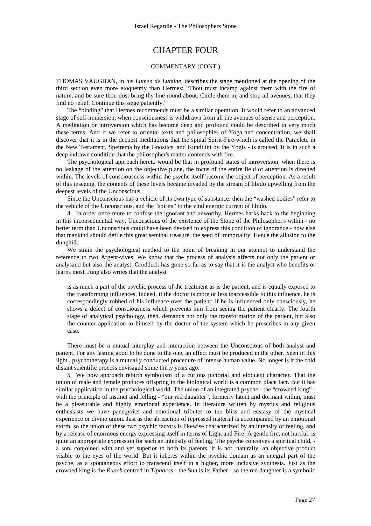### CHAPTER FOUR

#### COMMENTARY (CONT.)

THOMAS VAUGHAN, in his *Lumen de Lumine,* describes the stage mentioned at the opening of the third section even more eloquently than Hermes: "Thou must incamp against them with the fire of nature, and be sure thou dost bring thy line round about. Circle them in, and stop all avenues, that they find no relief. Continue this siege patiently."

The "binding" that Hermes recommends must be a similar operation. It would refer to an advanced stage of self-immersion, when consciousness is withdrawn from all the avenues of sense and perception. A meditation or introversion which has become deep and profound could be described in very much these terms. And if we refer to oriental texts and philosophies of Yoga and concentration, we shall discover that it is in the deepest meditations that the spinal Spirit-Fire-which is called the Paraclete in the New Testament, Speirema by the Gnostics, and Kundilini by the Yogis - is aroused. It is in such a deep indrawn condition that the philosopher's matter contends with fire.

The psychological approach hereto would be that in profound states of introversion, when there is no leakage of the attention on the objective plane, the focus of the entire field of attention is directed within. The levels of consciousness within the psyche itself become the object of perception. As a result of this inseeing, the contents of these levels became invaded by the stream of libido upwelling from the deepest levels of the Unconscious.

Since the Unconscious has a vehicle of its own type of substance. then the "washed bodies" refer to the vehicle of the Unconscious, and the "spirits" to the vital energic current of libido.

4. In order once more to confuse the ignorant and unworthy, Hermes harks back to the beginning in this inconsequential way. Unconscious of the existence of the Stone of the Philosopher's within - no better term than Unconscious could have been devised to express this condition of ignorance - how else that mankind should defile this great seminal treasure, the seed of immortality. Hence the allusion to the dunghill.

We strain the psychological method to the point of breaking in our attempt to understand the reference to two Argent-vives. We know that the process of analysis affects not only the patient or analysand but also the analyst. Groddeck has gone so far as to say that it is the analyst who benefits or learns most. Jung also writes that the analyst

is as much a part of the psychic process of the treatment as is the patient, and is equally exposed to the transforming influences. Indeed, if the doctor is more or less inaccessible to this influence, he is correspondingly robbed of his influence over the patient; if he is influenced only consciously, he shows a defect of consciousness which prevents him from seeing the patient clearly. The fourth stage of analytical psychology, then, demands not only the transformation of the patient, but also the counter application to himself by the doctor of the system which he prescribes in any given case.

There must be a mutual interplay and interaction between the Unconscious of both analyst and patient. For any lasting good to be done to the one, an effect must be produced in the other. Seen in this light., psychotherapy is a mutually conducted procedure of intense human value. No longer is it the cold distant scientific process envisaged some thirty years ago.

5. We now approach rebirth symbolism of a curious pictorial and eloquent character. That the union of male and female produces offspring in the biological world is a common place fact. But it has similar application in the psychological world. The union of an integrated psyche - the "crowned king" with the principle of instinct and felling - "our red daughter", formerly latent and dormant within, must be a pleasurable and highly emotional experience. In literature written by mystics and religious enthusiasts we have panegyrics and emotional tributes to the bliss and ecstasy of the mystical experience or divine union. Just as the abreaction of repressed material is accompanied by an emotional storm, so the union of these two psychic factors is likewise characterized by an intensity of feeling, and by a release of enormous energy expressing itself in terms of Light and Fire. A gentle fire, not hurtful. is quite an appropriate expression for such an intensity of feeling. The psyche conceives a spiritual child, a son, conjoined with and yet superior to both its parents. It is not, naturally, an objective product visible to the eyes of the world. But it inheres within the psychic domain as an integral part of the psyche, as a spontaneous effort to transcend itself in a higher, more inclusive synthesis. Just as the crowned king is the *Ruach* centred in *Tipharas -* the Sun is its Father - so the red daughter is a symbolic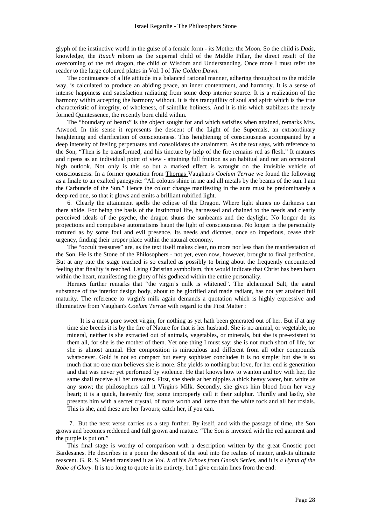glyph of the instinctive world in the guise of a female form - its Mother the Moon. So the child is *Daás,*  knowledge, the *Ruach* reborn as the supernal child of the Middle Pillar, the direct result of the overcoming of the red dragon, the child of Wisdom and Understanding. Once more I must refer the reader to the large coloured plates in Vol. I of *The Golden Dawn.*

The continuance of a life attitude in a balanced rational manner, adhering throughout to the middle way, is calculated to produce an abiding peace, an inner contentment, and harmony. It is a sense of intense happiness and satisfaction radiating from some deep interior source. It is a realization of the harmony within accepting the harmony without. It is this tranquillity of soul and spirit which is the true characteristic of integrity, of wholeness, of saintlike holiness. And it is this which stabilizes the newly formed Quintessence, the recently born child within.

The "boundary of hearts" is the object sought for and which satisfies when attained, remarks Mrs. Atwood. In this sense it represents the descent of the Light of the Supemals, an extraordinary heightening and clarification of consciousness. This heightening of consciousness accompanied by a deep intensity of feeling perpetuates and consolidates the attainment. As the text says, with reference to the Son, "Then is he transformed, and his tincture by help of the fire remains red as flesh." It matures and ripens as an individual point of view - attaining full fruition as an habitual and not an occasional high outlook. Not only is this so but a marked effect is wrought on the invisible vehicle of consciousness. In a former quotation from Thornas Vaughan's *Coelum Terrae* we found the following as a finale to an exalted panegyric: "All colours shine in me and all metals by the beams of the sun. I am the Carbuncle of the Sun." Hence the colour change manifesting in the aura must be predominately a deep-red one, so that it glows and emits a brilliant rubified light.

6. Clearly the attainment spells the eclipse of the Dragon. Where light shines no darkness can there abide. For being the basis of the instinctual life, harnessed and chained to the needs and clearly perceived ideals of the psyche, the dragon shuns the sunbeams and the daylight. No longer do its projections and compulsive automatisms haunt the light of consciousness. No longer is the personality tortured as by some foul and evil presence. Its needs and dictates, once so imperious, cease their urgency, finding their proper place within the natural economy.

The "occult treasures" are, as the text itself makes clear, no more nor less than the manifestation of the Son. He is the Stone of the Philosophers - not yet, even now, however, brought to final perfection. But at any rate the stage reached is so exalted as possibly to bring about the frequently encountered feeling that finality is reached. Using Christian symbolism, this would indicate that Christ has been born within the heart, manifesting the glory of his godhead within the entire personality.

Hermes further remarks that "the virgin's milk is whitened". The alchemical Salt, the astral substance of the interior design body, about to be glorified and made radiant, has not yet attained full maturity. The reference to virgin's milk again demands a quotation which is highly expressive and illuminative from Vaughan's *Coelum Terrae* with regard to the First Matter :

It is a most pure sweet virgin, for nothing as yet hath been generated out of her. But if at any time she breeds it is by the fire of Nature for that is her husband. She is no animal, or vegetable, no mineral, neither is she extracted out of animals, vegetables, or minerals, but she is pre-existent to them all, for she is the mother of them. Yet one thing I must say: she is not much short of life, for she is almost animal. Her composition is miraculous and different from all other compounds whatsoever. Gold is not so compact but every sophister concludes it is no simple; but she is so much that no one man believes she is more. She yields to nothing but love, for her end is generation and that was never yet performed by violence. He that knows how to wanton and toy with her, the same shall receive all her treasures. First, she sheds at her nipples a thick heavy water, but. white as any snow; the philosophers call it Virgin's Milk. Secondly, she gives him blood from her very heart; it is a quick, heavenly fire; some improperly call it their sulphur. Thirdly and lastly, she presents him with a secret crystal, of more worth and lustre than the white rock and all her rosials. This is she, and these are her favours; catch her, if you can.

7. But the next verse carries us a step further. By itself, and with the passage of time, the Son grows and becomes reddened and full grown and mature. "The Son is invested with the red garment and the purple is put on."

This final stage is worthy of comparison with a description written by the great Gnostic poet Bardesanes. He describes in a poem the descent of the soul into the realms of matter, and-its ultimate reascent. G. R. S. Mead translated it as *Vol. X* of his *Echoes from Gnosis Series,* and it is *a Hymn of the Robe of Glory*. It is too long to quote in its entirety, but I give certain lines from the end: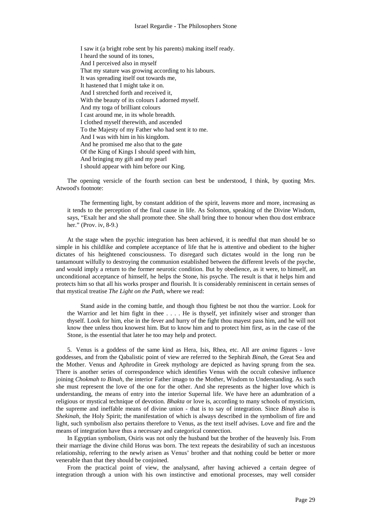I saw it (a bright robe sent by his parents) making itself ready. I heard the sound of its tones, And I perceived also in myself That my stature was growing according to his labours. It was spreading itself out towards me, It hastened that I might take it on. And I stretched forth and received it, With the beauty of its colours I adorned myself. And my toga of brilliant colours I cast around me, in its whole breadth. I clothed myself therewith, and ascended To the Majesty of my Father who had sent it to me. And I was with him in his kingdom. And he promised me also that to the gate Of the King of Kings I should speed with him, And bringing my gift and my pearl I should appear with him before our King.

The opening versicle of the fourth section can best be understood, I think, by quoting Mrs. Atwood's footnote:

The fermenting light, by constant addition of the spirit, leavens more and more, increasing as it tends to the perception of the final cause in life. As Solomon, speaking of the Divine Wisdom, says, "Exalt her and she shall promote thee. She shall bring thee to honour when thou dost embrace her." (Prov. iv, 8-9.)

At the stage when the psychic integration has been achieved, it is needful that man should be so simple in his childlike and complete acceptance of life that he is attentive and obedient to the higher dictates of his heightened consciousness. To disregard such dictates would in the long run be tantamount wilfully to destroying the communion established between the different levels of the psyche, and would imply a return to the former neurotic condition. But by obedience, as it were, to himself, an unconditional acceptance of himself, he helps the Stone, his psyche. The result is that it helps him and protects him so that all his works prosper and flourish. It is considerably reminiscent in certain senses of that mystical treatise *The Light on the Path,* where we read:

Stand aside in the coming battle, and though thou fightest be not thou the warrior. Look for the Warrior and let him fight in thee . . . . He is thyself, yet infinitely wiser and stronger than thyself. Look for him, else in the fever and hurry of the fight thou mayest pass him, and he will not know thee unless thou knowest him. But to know him and to protect him first, as in the case of the Stone, is the essential that later he too may help and protect.

5. Venus is a goddess of the same kind as Hera, Isis, Rhea, etc. All are *anima* figures - love goddesses, and from the Qabalistic point of view are referred to the Sephirah *Binah,* the Great Sea and the Mother. Venus and Aphrodite in Greek mythology are depicted as having sprung from the sea. There is another series of correspondence which identifies Venus with the occult cohesive influence joining *Chokmah to Binah,* the interior Father imago to the Mother, Wisdom to Understanding. As such she must represent the love of the one for the other. And she represents as the higher love which is understanding, the means of entry into the interior Supernal life. We have here an adumbration of a religious or mystical technique of devotion. *Bhakta* or love is, according to many schools of mysticism, the supreme and ineffable means of divine union - that is to say of integration. Since *Binah* also is *Shekinah,* the Holy Spirit; the manifestation of which is always described in the symbolism of fire and light, such symbolism also pertains therefore to Venus, as the text itself advises. Love and fire and the means of integration have thus a necessary and categorical connection.

In Egyptian symbolism, Osiris was not only the husband but the brother of the heavenly Isis. From their marriage the divine child Horus was born. The text repeats the desirability of such an incestuous relationship, referring to the newly arisen as Venus' brother and that nothing could be better or more venerable than that they should be conjoined.

From the practical point of view, the analysand, after having achieved a certain degree of integration through a union with his own instinctive and emotional processes, may well consider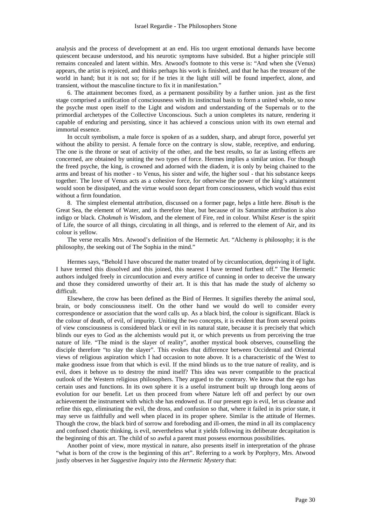analysis and the process of development at an end. His too urgent emotional demands have become quiescent because understood, and his neurotic symptoms have subsided. But a higher principle still remains concealed and latent within. Mrs. Atwood's footnote to this verse is: "And when she (Venus) appears, the artist is rejoiced, and thinks perhaps his work is finished, and that he has the treasure of the world in hand; but it is not so; for if he tries it the light still will be found imperfect, alone, and transient, without the masculine tincture to fix it in manifestation."

6. The attainment becomes fixed, as a permanent possibility by a further union. just as the first stage comprised a unification of consciousness with its instinctual basis to form a united whole, so now the psyche must open itself to the Light and wisdom and understanding of the Supernals or to the primordial archetypes of the Collective Unconscious. Such a union completes its nature, rendering it capable of enduring and persisting, since it has achieved a conscious union with its own eternal and immortal essence.

In occult symbolism, a male force is spoken of as a sudden, sharp, and abrupt force, powerful yet without the ability to persist. A female force on the contrary is slow, stable, receptive, and enduring. The one is the throne or seat of activity of the other, and the best results, so far as lasting effects are concerned, are obtained by uniting the two types of force. Hermes implies a similar union. For though the freed psyche, the king, is crowned and adorned with the diadem, it is only by being chained to the arms and breast of his mother - to Venus, his sister and wife, the higher soul - that his substance keeps together. The love of Venus acts as a cohesive force, for otherwise the power of the king's attainment would soon be dissipated, and the virtue would soon depart from consciousness, which would thus exist without a firm foundation.

8. The simplest elemental attribution, discussed on a former page, helps a little here. *Binah* is the Great Sea, the element of Water, and is therefore blue, but because of its Saturnine attribution is also indigo or black. *Chokmah is* Wisdom, and the element of Fire, red in colour. Whilst *Keser* is the spirit of Life, the source of all things, circulating in all things, and is referred to the element of Air, and its colour is yellow.

The verse recalls Mrs. Atwood's definition of the Hermetic Art. "Alchemy *is* philosophy; it is *the* philosophy, the seeking out of The Sophia in the mind."

Hermes says, "Behold I have obscured the matter treated of by circumlocution, depriving it of light. I have termed this dissolved and this joined, this nearest I have termed furthest off." The Hermetic authors indulged freely in circumlocution and every artifice of cunning in order to deceive the unwary and those they considered unworthy of their art. It is this that has made the study of alchemy so difficult.

Elsewhere, the crow has been defined as the Bird of Hermes. It signifies thereby the animal soul, brain, or body consciousness itself. On the other hand we would do well to consider every correspondence or association that the word calls up. As a black bird, the colour is significant. Black is the colour of death, of evil, of impurity. Uniting the two concepts, it is evident that from several points of view consciousness is considered black or evil in its natural state, because it is precisely that which blinds our eyes to God as the alchemists would put it, or which prevents us from perceiving the true nature of life. "The mind is the slayer of reality", another mystical book observes, counselling the disciple therefore "to slay the slayer". This evokes that difference between Occidental and Oriental views of religious aspiration which I had occasion to note above. It is a characteristic of the West to make goodness issue from that which is evil. If the mind blinds us to the true nature of reality, and is evil, does it behove us to destroy the mind itself? This idea was never compatible to the practical outlook of the Western religious philosophers. They argued to the contrary. We know that the ego has certain uses and functions. In its own sphere it is a useful instrument built up through long aeons of evolution for our benefit. Let us then proceed from where Nature left off and perfect by our own achievement the instrument with which she has endowed us. If our present ego is evil, let us cleanse and refine this ego, eliminating the evil, the dross, and confusion so that, where it failed in its prior state, it may serve us faithfully and well when placed in its proper sphere. Similar is the attitude of Hermes. Though the crow, the black bird of sorrow and foreboding and ill-omen, the mind in all its complacency and confused chaotic thinking, is evil, nevertheless what it yields following its deliberate decapitation is the beginning of this art. The child of so awful a parent must possess enormous possibilities.

Another point of view, more mystical in nature, also presents itself in interpretation of the phrase "what is born of the crow is the beginning of this art". Referring to a work by Porphyry, Mrs. Atwood justly observes in her *Suggestive Inquiry into the Hermetic Mystery* that: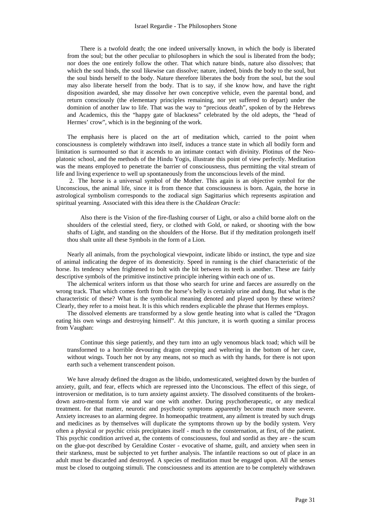There is a twofold death; the one indeed universally known, in which the body is liberated from the soul; but the other peculiar to philosophers in which the soul is liberated from the body; nor does the one entirely follow the other. That which nature binds, nature also dissolves; that which the soul binds, the soul likewise can dissolve; nature, indeed, binds the body to the soul, but the soul binds herself to the body. Nature therefore liberates the body from the soul, but the soul may also liberate herself from the body. That is to say, if she know how, and have the right disposition awarded, she may dissolve her own conceptive vehicle, even the parental bond, and return consciously (the elementary principles remaining, nor yet suffered to depart) under the dominion of another law to life. That was the way to "precious death", spoken of by the Hebrews and Academics, this the "happy gate of blackness" celebrated by the old adepts, the "head of Hermes' crow", which is in the beginning of the work.

The emphasis here is placed on the art of meditation which, carried to the point when consciousness is completely withdrawn into itself, induces a trance state in which all bodily form and limitation is surmounted so that it ascends to an intimate contact with divinity. Plotinus of the Neoplatonic school, and the methods of the Hindu Yogis, illustrate this point of view perfectly. Meditation was the means employed to penetrate the barrier of consciousness, thus permitting the vital stream of life and living experience to well up spontaneously from the unconscious levels of the mind.

2. The horse is a universal symbol of the Mother. This again is an objective symbol for the Unconscious, the animal life, since it is from thence that consciousness is born. Again, the horse in astrological symbolism corresponds to the zodiacal sign Sagittarius which represents aspiration and spiritual yearning. Associated with this idea there is the *Chaldean Oracle:*

Also there is the Vision of the fire-flashing courser of Light, or also a child borne aloft on the shoulders of the celestial steed, fiery, or clothed with Gold, or naked, or shooting with the bow shafts of Light, and standing on the shoulders of the Horse. But if thy meditation prolongeth itself thou shalt unite all these Symbols in the form of a Lion.

Nearly all animals, from the psychological viewpoint, indicate libido or instinct, the type and size of animal indicating the degree of its domesticity. Speed in running is the chief characteristic of the horse. Its tendency when frightened to bolt with the bit between its teeth is another. These are fairly descriptive symbols of the primitive instinctive principle inhering within each one of us.

The alchemical writers inform us that those who search for urine and faeces are assuredly on the wrong track. That which comes forth from the horse's belly is certainly urine and dung. But what is the characteristic of these? What is the symbolical meaning denoted and played upon by these writers? Clearly, they refer to a moist heat. It is this which renders explicable the phrase that Hermes employs.

The dissolved elements are transformed by a slow gentle heating into what is called the "Dragon eating his own wings and destroying himself". At this juncture, it is worth quoting a similar process from Vaughan:

Continue this siege patiently, and they turn into an ugly venomous black toad; which will be transformed to a horrible devouring dragon creeping and weltering in the bottom of her cave, without wings. Touch her not by any means, not so much as with thy hands, for there is not upon earth such a vehement transcendent poison.

We have already defined the dragon as the libido, undomesticated, weighted down by the burden of anxiety, guilt, and fear, effects which are repressed into the Unconscious. The effect of this siege, of introversion or meditation, is to turn anxiety against anxiety. The dissolved constituents of the brokendown astro-mental form vie and war one with another. During psychotherapeutic, or any medical treatment. for that matter, neurotic and psychotic symptoms apparently become much more severe. Anxiety increases to an alarming degree. In homeopathic treatment, any ailment is treated by such drugs and medicines as by themselves will duplicate the symptoms thrown up by the bodily system. Very often a physical or psychic crisis precipitates itself - much to the consternation, at first, of the patient. This psychic condition arrived at, the contents of consciousness, foul and sordid as they are - the scum on the glue-pot described by Geraldine Coster - evocative of shame, guilt, and anxiety when seen in their starkness, must be subjected to yet further analysis. The infantile reactions so out of place in an adult must be discarded and destroyed. A species of meditation must be engaged upon. All the senses must be closed to outgoing stimuli. The consciousness and its attention are to be completely withdrawn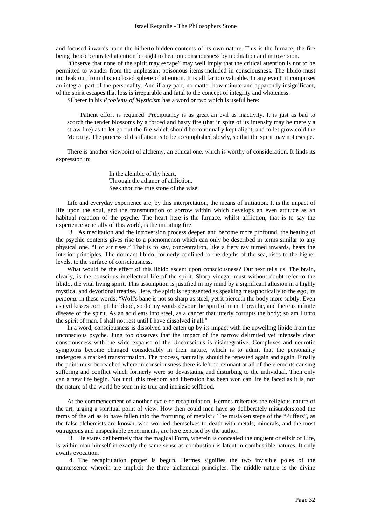and focused inwards upon the hitherto hidden contents of its own nature. This is the furnace, the fire being the concentrated attention brought to bear on consciousness by meditation and introversion.

"Observe that none of the spirit may escape" may well imply that the critical attention is not to be permitted to wander from the unpleasant poisonous items included in consciousness. The libido must not leak out from this enclosed sphere of attention. It is all far too valuable. In any event, it comprises an integral part of the personality. And if any part, no matter how minute and apparently insignificant, of the spirit escapes that loss is irreparable and fatal to the concept of integrity and wholeness.

Silberer in his *Problems of Mysticism* has a word or two which is useful here:

Patient effort is required. Precipitancy is as great an evil as inactivity. It is just as bad to scorch the tender blossoms by a forced and hasty fire (that in spite of its intensity may be merely a straw fire) as to let go out the fire which should be continually kept alight, and to let grow cold the Mercury. The process of distillation is to be accomplished slowly, so that the spirit may not escape.

There is another viewpoint of alchemy, an ethical one. which is worthy of consideration. It finds its expression in:

> In the alembic of thy heart, Through the athanor of affliction, Seek thou the true stone of the wise.

Life and everyday experience are, by this interpretation, the means of initiation. It is the impact of life upon the soul, and the transmutation of sorrow within which develops an even attitude as an habitual reaction of the psyche. The heart here is the furnace, whilst affliction, that is to say the experience generally of this world, is the initiating fire.

3. As meditation and the introversion process deepen and become more profound, the heating of the psychic contents gives rise to a phenomenon which can only be described in terms similar to any physical one. "Hot air rises." That is to say, concentration, like a fiery ray turned inwards, heats the interior principles. The dormant libido, formerly confined to the depths of the sea, rises to the higher levels, to the surface of consciousness.

What would be the effect of this libido ascent upon consciousness? Our text tells us. The brain, clearly, is the conscious intellectual life of the spirit. Sharp vinegar must without doubt refer to the libido, the vital living spirit. This assumption is justified in my mind by a significant allusion in a highly mystical and devotional treatise. Here, the spirit is represented as speaking metaphorically to the ego, its *persona.* in these words: "Wolf's bane is not so sharp as steel; yet it pierceth the body more subtly. Even as evil kisses corrupt the blood, so do my words devour the spirit of man. I breathe, and there is infinite disease of the spirit. As an acid eats into steel, as a cancer that utterly corrupts the body; so am I unto the spirit of man. I shall not rest until I have dissolved it all."

In a word, consciousness is dissolved and eaten up by its impact with the upwelling libido from the unconscious psyche. Jung too observes that the impact of the narrow delirnited yet intensely clear consciousness with the wide expanse of the Unconscious is disintegrative. Complexes and neurotic symptoms become changed considerably in their nature, which is to admit that the personality undergoes a marked transformation. The process, naturally, should be repeated again and again. Finally the point must be reached where in consciousness there is left no remnant at all of the elements causing suffering and conflict which formerly were so devastating and disturbing to the individual. Then only can a new life begin. Not until this freedom and liberation has been won can life be faced as it is, nor the nature of the world be seen in its true and intrinsic selfhood.

At the commencement of another cycle of recapitulation, Hermes reiterates the religious nature of the art, urging a spiritual point of view. How then could men have so deliberately misunderstood the terms of the art as to have fallen into the "torturing of metals"? The mistaken steps of the "Puffers", as the false alchemists are known, who worried themselves to death with metals, minerals, and the most outrageous and unspeakable experiments, are here exposed by the author.

3. He states deliberately that the magical Form, wherein is concealed the unguent or elixir of Life, is within man himself in exactly the same sense as combustion is latent in combustible natures. It only awaits evocation.

4. The recapitulation proper is begun. Hermes signifies the two invisible poles of the quintessence wherein are implicit the three alchemical principles. The middle nature is the divine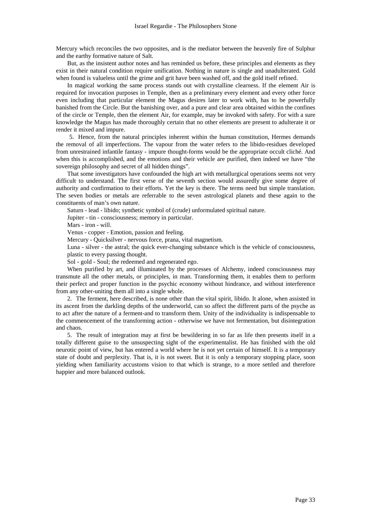Mercury which reconciles the two opposites, and is the mediator between the heavenly fire of Sulphur and the earthy formative nature of Salt.

But, as the insistent author notes and has reminded us before, these principles and elements as they exist in their natural condition require unification. Nothing in nature is single and unadulterated. Gold when found is valueless until the grime and grit have been washed off, and the gold itself refined.

In magical working the same process stands out with crystalline clearness. If the element Air is required for invocation purposes in Temple, then as a preliminary every element and every other force even including that particular element the Magus desires later to work with, has to be powerfully banished from the Circle. But the banishing over, and a pure and clear area obtained within the confines of the circle or Temple, then the element Air, for example, may be invoked with safety. For with a sure knowledge the Magus has made thoroughly certain that no other elements are present to adulterate it or render it mixed and impure.

5. Hence, from the natural principles inherent within the human constitution, Hermes demands the removal of all imperfections. The vapour from the water refers to the libido-residues developed from unrestrained infantile fantasy - impure thought-forms would be the appropriate occult cliché. And when this is accomplished, and the emotions and their vehicle are purified, then indeed we have "the sovereign philosophy and secret of all hidden things".

That some investigators have confounded the high art with metallurgical operations seems not very difficult to understand. The first verse of the seventh section would assuredly give some degree of authority and confirmation to their efforts. Yet the key is there. The terms need but simple translation. The seven bodies or metals are referrable to the seven astrological planets and these again to the constituents of man's own nature.

Saturn - lead - libido; synthetic symbol of (crude) unformulated spiritual nature.

Jupiter - tin - consciousness; memory in particular.

Mars - iron - will.

Venus - copper - Emotion, passion and feeling.

Mercury - Quicksilver - nervous force, prana, vital magnetism.

Luna - silver - the astral; the quick ever-changing substance which is the vehicle of consciousness, plastic to every passing thought.

Sol - gold - Soul; the redeemed and regenerated ego.

When purified by art, and illuminated by the processes of Alchemy, indeed consciousness may transmute all the other metals, or principles, in man. Transforming them, it enables them to perform their perfect and proper function in the psychic economy without hindrance, and without interference from any other-uniting them all into a single whole.

2. The ferment, here described, is none other than the vital spirit, libido. It alone, when assisted in its ascent from the darkling depths of the underworld, can so affect the different parts of the psyche as to act after the nature of a ferment-and to transform them. Unity of the individuality is indispensable to the commencement of the transforming action - otherwise we have not fermentation, but disintegration and chaos.

5. The result of integration may at first be bewildering in so far as life then presents itself in a totally different guise to the unsuspecting sight of the experimentalist. He has finished with the old neurotic point of view, but has entered a world where he is not yet certain of himself. It is a temporary state of doubt and perplexity. That is, it is not sweet. But it is only a temporary stopping place, soon yielding when familiarity accustoms vision to that which is strange, to a more settled and therefore happier and more balanced outlook.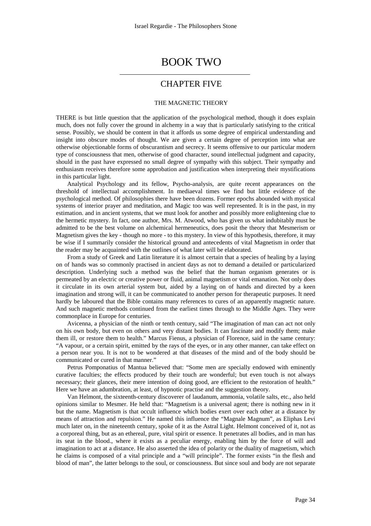# BOOK TWO

# CHAPTER FIVE

#### THE MAGNETIC THEORY

THERE is but little question that the application of the psychological method, though it does explain much, does not fully cover the ground in alchemy in a way that is particularly satisfying to the critical sense. Possibly, we should be content in that it affords us some degree of empirical understanding and insight into obscure modes of thought. We are given a certain degree of perception into what are otherwise objectionable forms of obscurantism and secrecy. It seems offensive to our particular modern type of consciousness that men, otherwise of good character, sound intellectual judgment and capacity, should in the past have expressed no small degree of sympathy with this subject. Their sympathy and enthusiasm receives therefore some approbation and justification when interpreting their mystifications in this particular light.

Analytical Psychology and its fellow, Psycho-analysis, are quite recent appearances on the threshold of intellectual accomplishment. In mediaeval times we find but little evidence of the psychological method. Of philosophies there have been dozens. Former epochs abounded with mystical systems of interior prayer and meditation, and Magic too was well represented. It is in the past, in my estimation. and in ancient systems, that we must look for another and possibly more enlightening clue to the hermetic mystery. In fact, one author, Mrs. M. Atwood, who has given us what indubitably must be admitted to be the best volume on alchemical hermeneutics, does posit the theory that Mesmerism or Magnetism gives the key - though no more - to this mystery. In view of this hypothesis, therefore, it may be wise if I summarily consider the historical ground and antecedents of vital Magnetism in order that the reader may be acquainted with the outlines of what later will be elaborated.

From a study of Greek and Latin literature it is almost certain that a species of healing by a laying on of hands was so commonly practised in ancient days as not to demand a detailed or particularized description. Underlying such a method was the belief that the human organism generates or is permeated by an electric or creative power or fluid, animal magnetism or vital emanation. Not only does it circulate in its own arterial system but, aided by a laying on of hands and directed by a keen imagination and strong will, it can be communicated to another person for therapeutic purposes. It need hardly be laboured that the Bible contains many references to cures of an apparently magnetic nature. And such magnetic methods continued from the earliest times through to the Middle Ages. They were commonplace in Europe for centuries.

Avicenna, a physician of the ninth or tenth century, said "The imagination of man can act not only on his own body, but even on others and very distant bodies. It can fascinate and modify them; make them ill, or restore them to health." Marcus Fienus, a physician of Florence, said in the same century: "A vapour, or a certain spirit, emitted by the rays of the eyes, or in any other manner, can take effect on a person near you. It is not to be wondered at that diseases of the mind and of the body should be communicated or cured in that manner."

Petrus Pomponatius of Mantua believed that: "Some men are specially endowed with eminently curative faculties; the effects produced by their touch are wonderful; but even touch is not always necessary; their glances, their mere intention of doing good, are efficient to the restoration of health." Here we have an adumbration, at least, of hypnotic practise and the suggestion theory.

Van Helmont, the sixteenth-century discoverer of laudanum, ammonia, volatile salts, etc., also held opinions similar to Mesmer. He held that: "Magnetism is a universal agent; there is nothing new in it but the name. Magnetism is that occult influence which bodies exert over each other at a distance by means of attraction and repulsion." He named this influence the "Magnale Magnum", as Eliphas Levi much later on, in the nineteenth century, spoke of it as the Astral Light. Helmont conceived of it, not as a corporeal thing, but as an ethereal, pure, vital spirit or essence. It penetrates all bodies, and in man has its seat in the blood., where it exists as a peculiar energy, enabling him by the force of will and imagination to act at a distance. He also asserted the idea of polarity or the duality of magnetism, which he claims is composed of a vital principle and a "will principle". The former exists "in the flesh and blood of man", the latter belongs to the soul, or consciousness. But since soul and body are not separate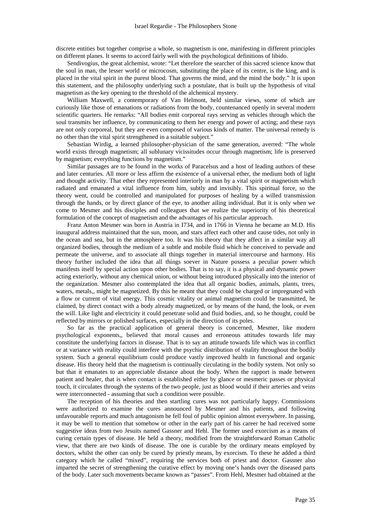discrete entities but together comprise a whole, so magnetism is one, manifesting in different principles on different planes. It seems to accord fairly well with the psychological definitions of libido.

Sendivogius, the great alchemist, wrote: "Let therefore the searcher of this sacred science know that the soul in man, the lesser world or microcosm, substituting the place of its centre, is the king, and is placed in the vital spirit in the purest blood. That governs the mind, and the mind the body." It is upon this statement, and the philosophy underlying such a postulate, that is built up the hypothesis of vital magnetism as the key opening to the threshold of the alchemical mystery.

William Maxwell, a contemporary of Van Helmont, held similar views, some of which are curiously like those of emanations or radiations from the body, countenanced openly in several modern scientific quarters. He remarks: "All bodies emit corporeal rays serving as vehicles through which the soul transmits her influence, by communicating to them her energy and power of acting; and these rays are not only corporeal, but they are even composed of various kinds of matter. The universal remedy is no other than the vital spirit strengthened in a suitable subject."

Sebastian Wirdig, a learned philosopher-physician of the same generation, averred: "The whole world exists through magnetism; all sublunary vicissitudes occur through magnetism; life is preserved by magnetism; everything functions by magnetism."

Similar passages are to be found in the works of Paracelsus and a host of leading authors of these and later centuries. All more or less affirm the existence of a universal ether, the medium both of light and thought activity. That ether they represented interiorly in man by a vital spirit or magnetism which radiated and emanated a vital influence from him, subtly and invisibly. This spiritual force, so the theory went, could be controlled and manipulated for purposes of healing by a willed transmission through the hands, or by direct glance of the eye, to another ailing individual. But it is only when we come to Mesmer and his disciples and colleagues that we realize the superiority of his theoretical formulation of the concept of magnetism and the advantages of his particular approach.

Franz Anton Mesmer was born in Austria in I734, and in 1766 in Vienna he became an M.D. His inaugural address maintained that the sun, moon, and stars affect each other and cause tides, not only in the ocean and sea, but in the atmosphere too. It was his theory that they affect in a similar way all organized bodies, through the medium of a subtle and mobile fluid which he conceived to pervade and permeate the universe, and to associate all things together in material intercourse and harmony. His theory further included the idea that all things soever in Nature possess a peculiar power which manifests itself by special action upon other bodies. That is to say, it is a physical and dynamic power acting exteriorly, without any chemical union, or without being introduced physically into the interior of the organization. Mesmer also contemplated the idea that all organic bodies, animals, plants, trees, waters, metals,, might be magnetized. By this he meant that they could be charged or impregnated with a flow or current of vital energy. This cosmic vitality or animal magnetism could be transmitted, he claimed, by direct contact with a body already magnetized, or by means of the hand, the look, or even the will. Like light and electricity it could penetrate solid and fluid bodies, and, so he thought, could be reflected by mirrors or polished surfaces, especially in the direction of its poles.

So far as the practical application of general theory is concerned, Mesmer, like modern psychological exponents,, believed that moral causes and erroneous attitudes towards life may constitute the underlying factors in disease. That is to say an attitude towards life which was in conflict or at variance with reality could interfere with the psychic distribution of vitality throughout the bodily system. Such a general equilibrium could produce vastly improved health in functional and organic disease. His theory held that the magnetism is continually circulating in the bodily system. Not only so but that it emanates to an appreciable distance about the body. When the rapport is made between patient and healer, that is when contact is established either by glance or mesmeric passes or physical touch, it circulates through the systems of the two people, just as blood would if their arteries and veins were interconnected - assuming that such a condition were possible.

The reception of his theories and then startling cures was not particularly happy. Commissions were authorized to examine the cures announced by Mesmer and his patients, and following unfavourable reports and much antagonism he fell foul of public opinion almost everywhere. In passing, it may be well to mention that somehow or other in the early part of his career he had received some suggestive ideas from two Jesuits named Gassner and Hehl. The former used exorcism as a means of curing certain types of disease. He held a theory, modified from the straightforward Roman Catholic view, that there are two kinds of disease. The one is curable by the ordinary means employed by doctors, whilst the other can only be cured by priestly means, by exorcism. To these he added a third category which he called "mixed", requiring the services both of priest and doctor. Gassner also imparted the secret of strengthening the curative effect by moving one's hands over the diseased parts of the body. Later such movements became known as "passes". From Hehl, Mesmer had obtained at the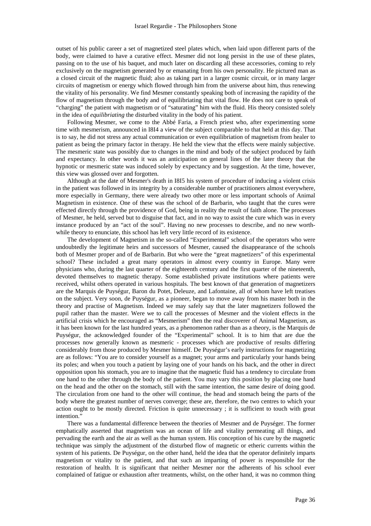outset of his public career a set of magnetized steel plates which, when laid upon different parts of the body, were claimed to have a curative effect. Mesmer did not long persist in the use of these plates, passing on to the use of his baquet, and much later on discarding all these accessories, coming to rely exclusively on the magnetism generated by or emanating from his own personality. He pictured man as a closed circuit of the magnetic fluid; also as taking part in a larger cosmic circuit, or in many larger circuits of magnetism or energy which flowed through him from the universe about him, thus renewing the vitality of his personality. We find Mesmer constantly speaking both of increasing the rapidity of the flow of magnetism through the body and of equilibriating that vital flow. He does not care to speak of "charging" the patient with magnetism or of "saturating" him with the fluid. His theory consisted solely in the idea of *equilibriating* the disturbed vitality in the body of his patient.

Following Mesmer, we come to the Abbé Faria, a French priest who, after experimenting some time with mesmerism, announced in I8I4 a view of the subject comparable to that held at this day. That is to say, he did not stress any actual communication or even equilibriation of magnetism from healer to patient as being the primary factor in therapy. He held the view that the effects were mainly subjective. The mesmeric state was possibly due to changes in the mind and body of the subject produced by faith and expectancy. In other words it was an anticipation on general lines of the later theory that the hypnotic or mesmeric state was induced solely by expectancy and by suggestion. At the time, however, this view was glossed over and forgotten.

Although at the date of Mesmer's death in I8I5 his system of procedure of inducing a violent crisis in the patient was followed in its integrity by a considerable number of practitioners almost everywhere, more especially in Germany, there were already two other more or less important schools of Animal Magnetism in existence. One of these was the school of de Barbarin, who taught that the cures were effected directly through the providence of God, being in reality the result of faith alone. The processes of Mesmer, he held, served but to disguise that fact, and in no way to assist the cure which was in every instance produced by an "act of the soul". Having no new processes to describe, and no new worthwhile theory to enunciate, this school has left very little record of its existence.

The development of Magnetism in the so-called "Experimental" school of the operators who were undoubtedly the legitimate heirs and successors of Mesmer, caused the disappearance of the schools both of Mesmer proper and of de Barbarin. But who were the "great magnetizers" of this experimental school? These included a great many operators in almost every country in Europe. Many were physicians who, during the last quarter of the eighteenth century and the first quarter of the nineteenth, devoted themselves to magnetic therapy. Some established private institutions where patients were received, whilst others operated in various hospitals. The best known of that generation of magnetizers are the Marquis de Puységur, Baron du Potet, Deleuze, and Lafontaine, all of whom have left treatises on the subject. Very soon, de Puységur, as a pioneer, began to move away from his master both in the theory and practise of Magnetism. Indeed we may safely say that the later magnetizers followed the pupil rather than the master. Were we to call the processes of Mesmer and the violent effects in the artificial crisis which he encouraged as "Mesmerism" then the real discoverer of Animal Magnetism, as it has been known for the last hundred years, as a phenomenon rather than as a theory, is the Marquis de Puységur, the acknowledged founder of the "Experimental" school. It is to him that are due the processes now generally known as mesmeric - processes which are productive of results differing considerably from those produced by Mesmer himself. De Puységur's early instructions for magnetizing are as follows: "You are to consider yourself as a magnet; your arms and particularly your hands being its poles; and when you touch a patient by laying one of your hands on his back, and the other in direct opposition upon his stomach, you are to imagine that the magnetic fluid has a tendency to circulate from one hand to the other through the body of the patient. You may vary this position by placing one hand on the head and the other on the stomach, still with the same intention, the same desire of doing good. The circulation from one hand to the other will continue, the head and stomach being the parts of the body where the greatest number of nerves converge; these are, therefore, the two centres to which your action ought to be mostly directed. Friction is quite unnecessary ; it is sufficient to touch with great intention."

There was a fundamental difference between the theories of Mesmer and de Puységer. The former emphatically asserted that magnetism was an ocean of life and vitality permeating all things, and pervading the earth and the air as well as the human system. His conception of his cure by the magnetic technique was simply the adjustment of the disturbed flow of magnetic or etheric currents within the system of his patients. De Puységur, on the other hand, held the idea that the operator definitely imparts magnetism or vitality to the patient, and that such an imparting of power is responsible for the restoration of health. It is significant that neither Mesmer nor the adherents of his school ever complained of fatigue or exhaustion after treatments, whilst, on the other hand, it was no common thing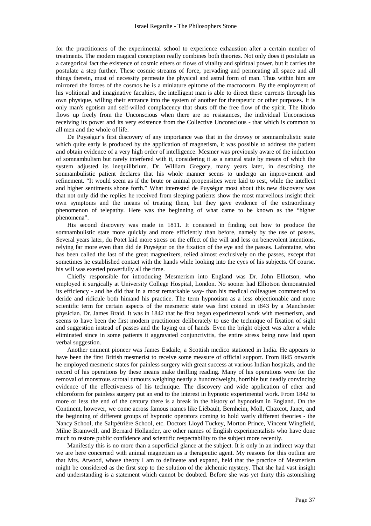for the practitioners of the experimental school to experience exhaustion after a certain number of treatments. The modem magical conception really combines both theories. Not only does it postulate as a categorical fact the existence of cosmic ethers or flows of vitality and spiritual power, but it carries the postulate a step further. These cosmic streams of force, pervading and permeating all space and all things therein, must of necessity permeate the physical and astral form of man. Thus within him are mirrored the forces of the cosmos he is a miniature epitome of the macrocosm. By the employment of his volitional and imaginative faculties, the intelligent man is able to direct these currents through his own physique, willing their entrance into the system of another for therapeutic or other purposes. It is only man's egotism and self-willed complacency that shuts off the free flow of the spirit. The libido flows up freely from the Unconscious when there are no resistances, the individual Unconscious receiving its power and its very existence from the Collective Unconscious - that which is common to all men and the whole of life.

De Puységur's first discovery of any importance was that in the drowsy or somnambulistic state which quite early is produced by the application of magnetism, it was possible to address the patient and obtain evidence of a very high order of intelligence. Mesmer was previously aware of the induction of somnambulism but rarely interfered with it, considering it as a natural state by means of which the system adjusted its inequilibrium. Dr. William Gregory, many years later, in describing the somnambulistic patient declares that his whole manner seems to undergo an improvement and refinement. "It would seem as if the brute or animal propensities were laid to rest, while the intellect and higher sentiments shone forth." What interested de Puységur most about this new discovery was that not only did the replies he received from sleeping patients show the most marvellous insight their own symptoms and the means of treating them, but they gave evidence of the extraordinary phenomenon of telepathy. Here was the beginning of what came to be known as the "higher phenomena".

His second discovery was made in 1811. It consisted in finding out how to produce the somnambulistic state more quickly and more efficiently than before, namely by the use of passes. Several years later, du Potet laid more stress on the effect of the will and less on benevolent intentions, relying far more even than did de Puységur on the fixation of the eye and the passes. Lafontaine, who has been called the last of the great magnetizers, relied almost exclusively on the passes, except that sometimes he established contact with the hands while looking into the eyes of his subjects. Of course. his will was exerted powerfully all the time.

Chiefly responsible for introducing Mesmerism into England was Dr. John Elliotson, who employed it surgically at University College Hospital, London. No sooner had Elliotson demonstrated its efficiency - and he did that in a most remarkable way- than his medical colleagues commenced to deride and ridicule both himand his practice. The term hypnotism as a less objectionable and more scientific term for certain aspects of the mesmeric state was first coined in i843 by a Manchester physician. Dr. James Braid. It was in 1842 that he first began experimental work with mesmerism, and seems to have been the first modern practitioner deliberately to use the technique of fixation of sight and suggestion instead of passes and the laying on of hands. Even the bright object was after a while eliminated since in some patients it aggravated conjunctivitis, the entire stress being now laid upon verbal suggestion.

Another eminent pioneer was James Esdaile, a Scottish medico stationed in India. He appears to have been the first British mesmerist to receive some measure of official support. From I845 onwards he employed mesmeric states for painless surgery with great success at various Indian hospitals, and the record of his operations by these means make thrilling reading. Many of his operations were for the removal of monstrous scrotal tumours weighing nearly a hundredweight, horrible but deadly convincing evidence of the effectiveness of his technique. The discovery and wide application of ether and chloroform for painless surgery put an end to the interest in hypnotic experimental work. From 1842 to more or less the end of the century there is a break in the history of hypnotism in England. On the Continent, however, we come across famous names like Liébault, Bernheim, Moll, Chaxcot, Janet, and the beginning of different groups of hypnotic operators coming to hold vastly different theories - the Nancy School, the Saltpétrière School, etc. Doctors Lloyd Tuckey, Morton Prince, Vincent Wingfield, Milne Bramwell, and Bernard Hollander, are other names of English experimentalists who have done much to restore public confidence and scientific respectability to the subject more recently.

Manifestly this is no more than a superficial glance at the subject. It is only in an indirect way that we are here concerned with animal magnetism as a therapeutic agent. My reasons for this outline are that Mrs. Atwood, whose theory I am to delineate and expand, held that the practice of Mesmerism might be considered as the first step to the solution of the alchemic mystery. That she had vast insight and understanding is a statement which cannot be doubted. Before she was yet thirty this astonishing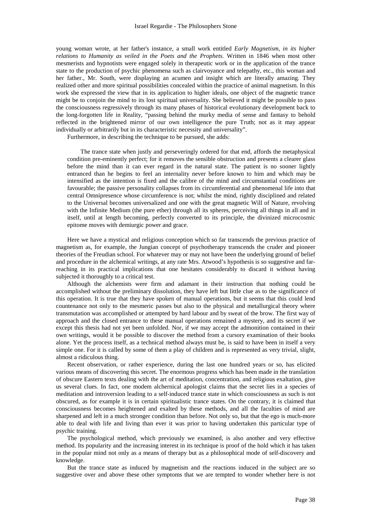young woman wrote, at her father's instance, a small work entitled *Early Magnetism, in its higher relations to Humanity as veiled in the Poets and the Prophets.* Written in 1846 when most other mesmerists and hypnotists were engaged solely in therapeutic work or in the application of the trance state to the production of psychic phenomena such as clairvoyance and telepathy, etc., this woman and her father., Mr. South, were displaying an acumen and insight which are literally amazing. They realized other and more spiritual possibilities concealed within the practice of animal magnetism. In this work she expressed the view that in its application to higher ideals, one object of the magnetic trance might be to conjoin the mind to its lost spiritual universality. She believed it might be possible to pass the consciousness regressively through its many phases of historical evolutionary development back to the long-forgotten life in Reality, "passing behind the murky media of sense and fantasy to behold reflected in the brightened mirror of our own intelligence the pure Truth; not as it may appear individually or arbitrarily but in its characteristic necessity and universality".

Furthermore, in describing the technique to be pursued, she adds:

The trance state when justly and perseveringly ordered for that end, affords the metaphysical condition pre-eminently perfect; for it removes the sensible obstruction and presents a clearer glass before the mind than it can ever regard in the natural state. The patient is no sooner lightly entranced than he begins to feel an internality never before known to him and which may be intensified as the intention is fixed and the calibre of the mind and circumstantial conditions are favourable; the passive personality collapses from its circumferential and phenomenal life into that central Omnipresence whose circumference is not; whilst the mind, rightly disciplined and related to the Universal becomes universalized and one with the great magnetic Will of Nature, revolving with the Infinite Medium (the pure ether) through all its spheres, perceiving all things in all and in itself, until at length becoming, perfectly converted to its principle, the divinized microcosmic epitome moves with demiurgic power and grace.

Here we have a mystical and religious conception which so far transcends the previous practice of magnetism as, for example, the Jungian concept of psychotherapy transcends the cruder and pioneer theories of the Freudian school. For whatever may or may not have been the underlying ground of belief and procedure in the alchemical writings, at any rate Mrs. Atwood's hypothesis is so suggestive and farreaching in its practical implications that one hesitates considerably to discard it without having subjected it thoroughly to a critical test.

Although the alchemists were firm and adamant in their instruction that nothing could be accomplished without the preliminary dissolution, they have left but little clue as to the significance of this operation. It is true that they have spoken of manual operations, but it seems that this could lend countenance not only to the mesmeric passes but also to the physical and metallurgical theory where transmutation was accomplished or attempted by hard labour and by sweat of the brow. The first way of approach and the closed entrance to these manual operations remained a mystery, and its secret if we except this thesis had not yet been unfolded. Nor, if we may accept the admonition contained in their own writings, would it be possible to discover the method from a cursory examination of their books alone. Yet the process itself, as a technical method always must be, is said to have been in itself a very simple one. For it is called by some of them a play of children and is represented as very trivial, slight, almost a ridiculous thing.

Recent observation, or rather experience, during the last one hundred years or so, has elicited various means of discovering this secret. The enormous progress which has been made in the translation of obscure Eastern texts dealing with the art of meditation, concentration, and religious exaltation, give us several clues. In fact, one modem alchernical apologist claims that the secret lies in a species of meditation and introversion leading to a self-induced trance state in which consciousness as such is not obscured, as for example it is in certain spiritualistic trance states. On the contrary, it is claimed that consciousness becomes heightened and exalted by these methods, and all the faculties of mind are sharpened and left in a much stronger condition than before. Not only so, but that the ego is much-more able to deal with life and living than ever it was prior to having undertaken this particular type of psychic training.

The psychological method, which previously we examined, is also another and very effective method. Its popularity and the increasing interest in its technique is proof of the hold which it has taken in the popular mind not only as a means of therapy but as a philosophical mode of self-discovery and knowledge.

But the trance state as induced by magnetism and the reactions induced in the subject are so suggestive over and above these other symptoms that we are tempted to wonder whether here is not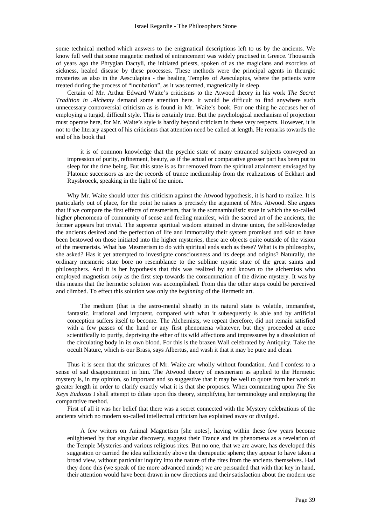some technical method which answers to the enigmatical descriptions left to us by the ancients. We know full well that some magnetic method of entrancement was widely practised in Greece. Thousands of years ago the Phrygian Dactyli, the initiated priests, spoken of as the magicians and exorcists of sickness, healed disease by these processes. These methods were the principal agents in theurgic mysteries as also in the Aesculapiea - the healing Temples of Aesculapius, where the patients were treated during the process of "incubation", as it was termed, magnetically in sleep.

Certain of Mr. Arthur Edward Waite's criticisms to the Atwood theory in his work *The Secret Tradition in .Alchemy* demand some attention here. It would be difficult to find anywhere such unnecessary controversial criticism as is found in Mr. Waite's book. For one thing he accuses her of employing a turgid, difficult style. This is certainly true. But the psychological mechanism of projection must operate here, for Mr. Waite's style is hardly beyond criticism in these very respects. However, it is not to the literary aspect of his criticisms that attention need be called at length. He remarks towards the end of his book that

it is of common knowledge that the psychic state of many entranced subjects conveyed an impression of purity, refinement, beauty, as if the actual or comparative grosser part has been put to sleep for the time being. But this state is as far removed from the spiritual attainment envisaged by Platonic successors as are the records of trance mediumship from the realizations of Eckhart and Ruysbroeck, speaking in the light of the union.

Why Mr. Waite should utter this criticism against the Atwood hypothesis, it is hard to realize. It is particularly out of place, for the point he raises is precisely the argument of Mrs. Atwood. She argues that if we compare the first effects of mesmerism, that is the somnambulistic state in which the so-called higher phenomena of community of sense and feeling manifest, with the sacred art of the ancients, the former appears but trivial. The supreme spiritual wisdom attained in divine union, the self-knowledge the ancients desired and the perfection of life and immortality their system promised and said to have been bestowed on those initiated into the higher mysteries, these are objects quite outside of the vision of the mesmerists. What has Mesmerism to do with spiritual ends such as these? What is its philosophy, she asked? Has it yet attempted to investigate consciousness and its deeps and origins? Naturally, the ordinary mesmeric state bore no resemblance to the sublime mystic state of the great saints and philosophers. And it is her hypothesis that this was realized by and known to the alchemists who employed magnetism *only* as the first step towards the consummation of the divine mystery. It was by this means that the hermetic solution was accomplished. From this the other steps could be perceived and climbed. To effect this solution was only the *beginning* of the Hermetic art.

The medium (that is the astro-mental sheath) in its natural state is volatile, immanifest, fantastic, irrational and impotent, compared with what it subsequently is able and by artificial conception suffers itself to become. The Alchemists, we repeat therefore, did not remain satisfied with a few passes of the hand or any first phenomena whatever, but they proceeded at once scientifically to purify, depriving the ether of its wild affections and impressures by a dissolution of the circulating body in its own blood. For this is the brazen Wall celebrated by Antiquity. Take the occult Nature, which is our Brass, says Albertus, and wash it that it may be pure and clean.

Thus it is seen that the strictures of Mr. Waite are wholly without foundation. And I confess to a sense of sad disappointment in him. The Atwood theory of mesmerism as applied to the Hermetic mystery is, in my opinion, so important and so suggestive that it may be well to quote from her work at greater length in order to clarify exactly what it is that she proposes. When commenting upon *The Six Keys Eudoxus* I shall attempt to dilate upon this theory, simplifying her terminology and employing the comparative method.

First of all it was her belief that there was a secret connected with the Mystery celebrations of the ancients which no modern so-called intellectual criticism has explained away or divulged.

A few writers on Animal Magnetism [she notes], having within these few years become enlightened by that singular discovery, suggest their Trance and its phenomena as a revelation of the Temple Mysteries and various religious rites. But no one, that we are aware, has developed this suggestion or carried the idea sufficiently above the therapeutic sphere; they appear to have taken a broad view, without particular inquiry into the nature of the rites from the ancients themselves. Had they done this (we speak of the more advanced minds) we are persuaded that with that key in hand, their attention would have been drawn in new directions and their satisfaction about the modern use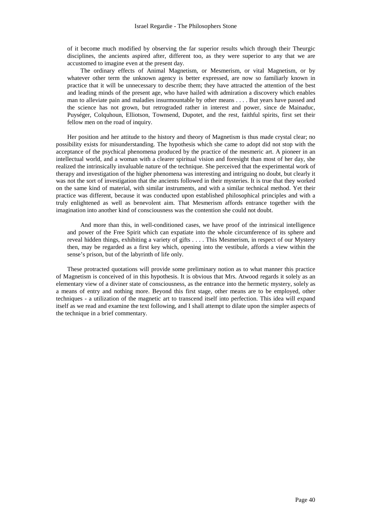of it become much modified by observing the far superior results which through their Theurgic disciplines, the ancients aspired after, different too, as they were superior to any that we are accustomed to imagine even at the present day.

The ordinary effects of Animal Magnetism, or Mesmerism, or vital Magnetism, or by whatever other term the unknown agency is better expressed, are now so familiarly known in practice that it will be unnecessary to describe them; they have attracted the attention of the best and leading minds of the present age, who have hailed with admiration a discovery which enables man to alleviate pain and maladies insurmountable by other means . . . . But years have passed and the science has not grown, but retrograded rather in interest and power, since de Mainaduc, Puységer, Colquhoun, Elliotson, Townsend, Dupotet, and the rest, faithful spirits, first set their fellow men on the road of inquiry.

Her position and her attitude to the history and theory of Magnetism is thus made crystal clear; no possibility exists for misunderstanding. The hypothesis which she came to adopt did not stop with the acceptance of the psychical phenomena produced by the practice of the mesmeric art. A pioneer in an intellectual world, and a woman with a clearer spiritual vision and foresight than most of her day, she realized the intrinsically invaluable nature of the technique. She perceived that the experimental work of therapy and investigation of the higher phenomena was interesting and intriguing no doubt, but clearly it was not the sort of investigation that the ancients followed in their mysteries. It is true that they worked on the same kind of material, with similar instruments, and with a similar technical method. Yet their practice was different, because it was conducted upon established philosophical principles and with a truly enlightened as well as benevolent aim. That Mesmerism affords entrance together with the imagination into another kind of consciousness was the contention she could not doubt.

And more than this, in well-conditioned cases, we have proof of the intrinsical intelligence and power of the Free Spirit which can expatiate into the whole circumference of its sphere and reveal hidden things, exhibiting a variety of gifts . . . . This Mesmerism, in respect of our Mystery then, may be regarded as a first key which, opening into the vestibule, affords a view within the sense's prison, but of the labyrinth of life only.

These protracted quotations will provide some preliminary notion as to what manner this practice of Magnetism is conceived of in this hypothesis. It is obvious that Mrs. Atwood regards it solely as an elementary view of a diviner state of consciousness, as the entrance into the hermetic mystery, solely as a means of entry and nothing more. Beyond this first stage, other means are to be employed, other techniques - a utilization of the magnetic art to transcend itself into perfection. This idea will expand itself as we read and examine the text following, and I shall attempt to dilate upon the simpler aspects of the technique in a brief commentary.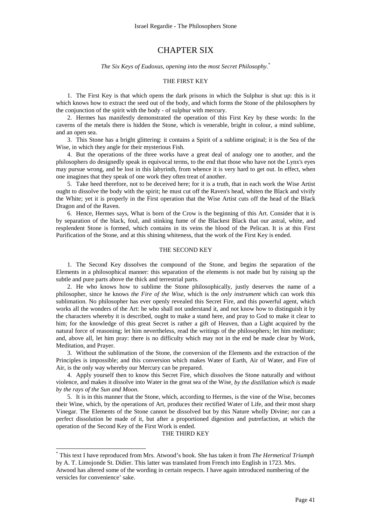# CHAPTER SIX

## *The Six Keys of Eudoxus, opening into* the *most Secret Philosophy.*\*

## THE FIRST KEY

1. The First Key is that which opens the dark prisons in which the Sulphur is shut up: this is it which knows how to extract the seed out of the body, and which forms the Stone of the philosophers by the conjunction of the spirit with the body - of sulphur with mercury.

2. Hermes has manifestly demonstrated the operation of this First Key by these words: In the caverns of the metals there is hidden the Stone, which is venerable, bright in colour, a mind sublime, and an open sea.

3. This Stone has a bright glittering: it contains a Spirit of a sublime original; it is the Sea of the Wise, in which they angle for their mysterious Fish.

4. But the operations of the three works have a great deal of analogy one to another, and the philosophers do designedly speak in equivocal terms, to the end that those who have not the Lynx's eyes may pursue wrong, and be lost in this labyrinth, from whence it is very hard to get out. In effect, when one imagines that they speak of one work they often treat of another.

5. Take heed therefore, not to be deceived here; for it is a truth, that in each work the Wise Artist ought to dissolve the body with the spirit; he must cut off the Raven's head, whiten the Black and vivify the White; yet it is properly in the First operation that the Wise Artist cuts off the head of the Black Dragon and of the Raven.

6. Hence, Hermes says, What is born of the Crow is the beginning of this Art. Consider that it is by separation of the black, foul, and stinking fume of the Blackest Black that our astral, white, and resplendent Stone is formed, which contains in its veins the blood of the Pelican. It is at this First Purification of the Stone, and at this shining whiteness, that the work of the First Key is ended.

### THE SECOND KEY

1. The Second Key dissolves the compound of the Stone, and begins the separation of the Elements in a philosophical manner: this separation of the elements is not made but by raising up the subtle and pure parts above the thick and terrestrial parts.

2. He who knows how to sublime the Stone philosophically, justly deserves the name of a philosopher, since he knows *the Fire of the Wise*, which is the *only instrument* which can work this sublimation. No philosopher has ever openly revealed this Secret Fire, and this powerful agent, which works all the wonders of the Art: he who shall not understand it, and not know how to distinguish it by the characters whereby it is described, ought to make a stand here, and pray to God to make it clear to him; for the knowledge of this great Secret is rather a gift of Heaven, than a Light acquired by the natural force of reasoning; let him nevertheless, read the writings of the philosophers; let him meditate; and, above all, let him pray: there is no difficulty which may not in the end be made clear by Work, Meditation, and Prayer.

3. Without the sublimation of the Stone, the conversion of the Elements and the extraction of the Principles is impossible; and this conversion which makes Water of Earth, Air of Water, and Fire of Air, is the only way whereby our Mercury can be prepared.

4. Apply yourself then to know this Secret Fire, which dissolves the Stone naturally and without violence, and makes it dissolve into Water in the great sea of the Wise*, by the distillation which is made by the rays of the Sun and Moon.*

5. It is in this manner that the Stone, which, according to Hermes, is the vine of the Wise, becomes their Wine, which, by the operations of Art, produces their rectified Water of Life, and their most sharp Vinegar. The Elements of the Stone cannot be dissolved but by this Nature wholly Divine; nor can a perfect dissolution be made of it, but after a proportioned digestion and putrefaction, at which the operation of the Second Key of the First Work is ended.

THE THIRD KEY

l

<sup>\*</sup> This text I have reproduced from Mrs. Atwood's book. She has taken it from *The Hermetical Triumph* by A. T. Limojonde St. Didier. This latter was translated from French into English in 1723. Mrs. Atwood has altered some of the wording in certain respects. I have again introduced numbering of the versicles for convenience' sake.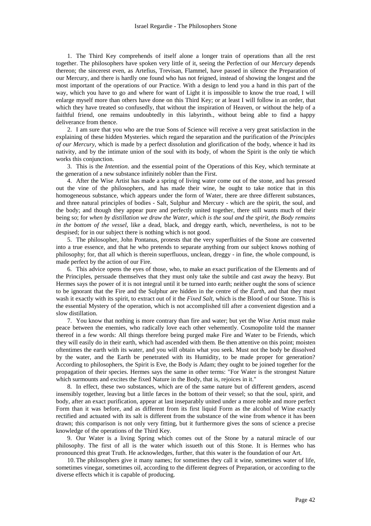1. The Third Key comprehends of itself alone a longer train of operations than all the rest together. The philosophers have spoken very little of it, seeing the Perfection of our *Mercury* depends thereon; the sincerest even, as Artefius, Trevisan, Flammel, have passed in silence the Preparation of our Mercury, and there is hardly one found who has not feigned, instead of showing the longest and the most important of the operations of our Practice. With a design to lend you a hand in this part of the way, which you have to go and where for want of Light it is impossible to know the true road, I will enlarge myself more than others have done on this Third Key; or at least I will follow in an order, that which they have treated so confusedly, that without the inspiration of Heaven, or without the help of a faithful friend, one remains undoubtedly in this labyrinth., without being able to find a happy deliverance from thence.

2. I am sure that you who are the true Sons of Science will receive a very great satisfaction in the explaining of these hidden Mysteries. which regard the separation and the purification of the *Principles of our Mercury*, which is made by a perfect dissolution and glorification of the body, whence it had its nativity, and by the intimate union of the soul with its body, of whom the Spirit is the only tie which works this conjunction.

3. This is the *Intention*. and the essential point of the Operations of this Key, which terminate at the generation of a new substance infinitely nobler than the First.

4. After the Wise Artist has made a spring of living water come out of the stone, and has pressed out the vine of the philosophers, and has made their wine, he ought to take notice that in this homogeneous substance, which appears under the form of Water, there are three different substances, and three natural principles of bodies - Salt, Sulphur and Mercury - which are the spirit, the soul, and the body; and though they appear pure and perfectly united together, there still wants much of their being so; for *when by distillation we draw the Water, which is the soul and the spirit, the Body remains in the bottom of the vessel*, like a dead, black, and dreggy earth, which, nevertheless, is not to be despised; for in our subject there is nothing which is not good.

5. The philosopher, John Pontanus, protests that the very superfluities of the Stone are converted into a true essence, and that he who pretends to separate anything from our subject knows nothing of philosophy; for, that all which is therein superfluous, unclean, dreggy - in fine, the whole compound, is made perfect by the action of our Fire.

6. This advice opens the eyes of those, who, to make an exact purification of the Elements and of the Principles, persuade themselves that they must only take the subtile and cast away the heavy. But Hermes says the power of it is not integral until it be turned into earth; neither ought the sons of science to be ignorant that the Fire and the Sulphur are hidden in the centre of the *Earth*, and that they must wash it exactly with its spirit, to extract out of it the *Fixed Salt*, which is the Blood of our Stone. This is the essential Mystery of the operation, which is not accomplished till after a convenient digestion and a slow distillation.

7. You know that nothing is more contrary than fire and water; but yet the Wise Artist must make peace between the enemies, who radically love each other vehemently. Cosmopolite told the manner thereof in a few words: All things therefore being purged make Fire and Water to be Friends, which they will easily do in their earth, which had ascended with them. Be then attentive on this point; moisten oftentimes the earth with its water, and you will obtain what you seek. Must not the body be dissolved by the water, and the Earth be penetrated with its Humidity, to be made proper for generation? According to philosophers, the Spirit is Eve, the Body is Adam; they ought to be joined together for the propagation of their species. Hermes says the same in other terms: "For Water is the strongest Nature which surmounts and excites the fixed Nature in the Body, that is, rejoices in it."

8. In effect, these two substances, which are of the same nature but of different genders, ascend insensibly together, leaving but a little fæces in the bottom of their vessel; so that the soul, spirit, and body, after an exact purification, appear at last inseparably united under a more noble and more perfect Form than it was before, and as different from its first liquid Form as the alcohol of Wine exactly rectified and actuated with its salt is different from the substance of the wine from whence it has been drawn; this comparison is not only very fitting, but it furthermore gives the sons of science a precise knowledge of the operations of the Third Key.

9. Our Water is a living Spring which comes out of the Stone by a natural miracle of our philosophy. The first of all is the water which issueth out of this Stone. It is Hermes who has pronounced this great Truth. He acknowledges, further, that this water is the foundation of our Art.

10. The philosophers give it many names; for sometimes they call it wine, sometimes water of life, sometimes vinegar, sometimes oil, according to the different degrees of Preparation, or according to the diverse effects which it is capable of producing.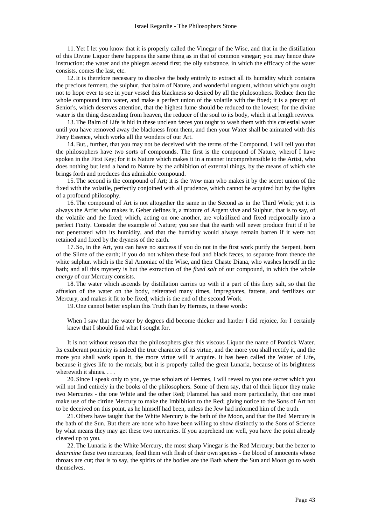11. Yet I let you know that it is properly called the Vinegar of the Wise, and that in the distillation of this Divine Liquor there happens the same thing as in that of common vinegar; you may hence draw instruction: the water and the phlegm ascend first; the oily substance, in which the efficacy of the water consists, comes the last, etc.

12. It is therefore necessary to dissolve the body entirely to extract all its humidity which contains the precious ferment, the sulphur, that balm of Nature, and wonderful unguent, without which you ought not to hope ever to see in your vessel this blackness so desired by all the philosophers. Reduce then the whole compound into water, and make a perfect union of the volatile with the fixed; it is a precept of Senior's, which deserves attention, that the highest fume should be reduced to the lowest; for the divine water is the thing descending from heaven, the reducer of the soul to its body, which it at length revives.

13. The Balm of Life is hid in these unclean fæces you ought to wash them with this cœlestial water until you have removed away the blackness from them, and then your Water shall be animated with this Fiery Essence, which works all the wonders of our Art.

14. But., further, that you may not be deceived with the terms of the Compound, I will tell you that the philosophers have two sorts of compounds. The first is the compound of Nature, wherof I have spoken in the First Key; for it is Nature which makes it in a manner incomprehensible to the Artist, who does nothing but lend a hand to Nature by the adhibition of external things, by the means of which she brings forth and produces this admirable compound.

15. The second is the compound of Art; it is the *Wise* man who makes it by the secret union of the fixed with the volatile, perfectly conjoined with all prudence, which cannot be acquired but by the lights of a profound philosophy.

16. The compound of Art is not altogether the same in the Second as in the Third Work; yet it is always the Artist who makes it. Geber defines it, a mixture of Argent vive and Sulphur, that is to say, of the volatile and the fixed; which, acting on one another, are volatilized and fixed reciprocally into a perfect Fixity. Consider the example of Nature; you see that the earth will never produce fruit if it be not penetrated with its humidity, and that the humidity would always remain barren if it were not retained and fixed by the dryness of the earth.

17. So, in the Art, you can have no success if you do not in the first work purify the Serpent, born of the Slime of the earth; if you do not whiten these foul and black fæces, to separate from thence the white sulphur. which is the Sal Amoniac of the Wise, and their Chaste Diana, who washes herself in the bath; and all this mystery is but the extraction of the *fixed salt* of our compound, in which the whole *energy* of our Mercury consists.

18. The water which ascends by distillation carries up with it a part of this fiery salt, so that the affusion of the water on the body, reiterated many times, impregnates, fattens, and fertilizes our Mercury, and makes it fit to be fixed, which is the end of the second Work.

19. One cannot better explain this Truth than by Hermes, in these words:

When I saw that the water by degrees did become thicker and harder I did rejoice, for I certainly knew that I should find what I sought for.

It is not without reason that the philosophers give this viscous Liquor the name of Pontick Water. Its exuberant ponticity is indeed the true character of its virtue, and the more you shall rectify it, and the more you shall work upon it, the more virtue will it acquire. It has been called the Water of Life, because it gives life to the metals; but it is properly called the great Lunaria, because of its brightness wherewith it shines. . . .

20. Since I speak only to you, ye true scholars of Hermes, I will reveal to you one secret which you will not find entirely in the books of the philosophers. Some of them say, that of their liquor they make two Mercuries - the one White and the other Red; Flammel has said more particularly, that one must make use of the citrine Mercury to make the Imbibition to the Red; giving notice to the Sons of Art not to be deceived on this point, as he himself had been, unless the Jew had informed him of the truth.

21. Others have taught that the White Mercury is the bath of the Moon, and that the Red Mercury is the bath of the Sun. But there are none who have been willing to show distinctly to the Sons of Science by what means they may get these two mercuries. If you apprehend me well, you have the point already cleared up to you.

22. The Lunaria is the White Mercury, the most sharp Vinegar is the Red Mercury; but the better to *determine* these two mercuries, feed them with flesh of their own species - the blood of innocents whose throats are cut; that is to say, the spirits of the bodies are the Bath where the Sun and Moon go to wash themselves.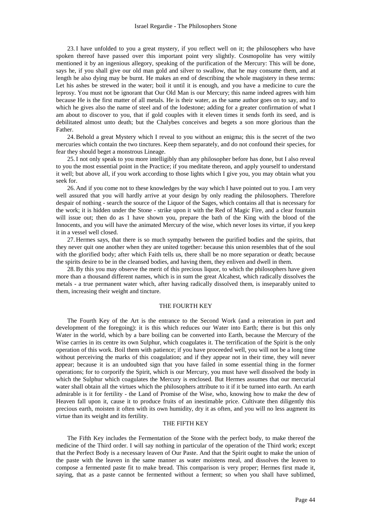23. I have unfolded to you a great mystery, if you reflect well on it; the philosophers who have spoken thereof have passed over this important point very slightly. Cosmopolite has very wittily mentioned it by an ingenious allegory, speaking of the purification of the Mercury: This will be done, says he, if you shall give our old man gold and silver to swallow, that he may consume them, and at length he also dying may be burnt. He makes an end of describing the whole magistery in these terms: Let his ashes be strewed in the water; boil it until it is enough, and you have a medicine to cure the leprosy. You must not be ignorant that Our Old Man is our Mercury; this name indeed agrees with him because He is the first matter of all metals. He is their water, as the same author goes on to say, and to which he gives also the name of steel and of the lodestone; adding for a greater confirmation of what I am about to discover to you, that if gold couples with it eleven times it sends forth its seed, and is debilitated almost unto death; but the Chalybes conceives and begets a son more glorious than the Father.

24. Behold a great Mystery which I reveal to you without an enigma; this is the secret of the two mercuries which contain the two tinctures. Keep them separately, and do not confound their species, for fear they should beget a monstrous Lineage.

25. I not only speak to you more intelligibly than any philosopher before has done, but I also reveal to you the most essential point in the Practice; if you meditate thereon, and apply yourself to understand it well; but above all, if you work according to those lights which I give you, you may obtain what you seek for.

26. And if you come not to these knowledges by the way which I have pointed out to you. I am very well assured that you will hardly arrive at your design by only reading the philosophers. Therefore despair of nothing - search the source of the Liquor of the Sages, which contains all that is necessary for the work; it is hidden under the Stone - strike upon it with the Red of Magic Fire, and a clear fountain will issue out; then do as 1 have shown you, prepare the bath of the King with the blood of the Innocents, and you will have the animated Mercury of the wise, which never loses its virtue, if you keep it in a vessel well closed.

27. Hermes says, that there is so much sympathy between the purified bodies and the spirits, that they never quit one another when they are united together: because this union resembles that of the soul with the glorified body; after which Faith tells us, there shall be no more separation or death; because the spirits desire to be in the cleansed bodies, and having them, they enliven and dwell in them.

28. By this you may observe the merit of this precious liquor, to which the philosophers have given more than a thousand different names, which is in sum the great Alcahest, which radically dissolves the metals - a true permanent water which, after having radically dissolved them, is inseparably united to them, increasing their weight and tincture.

#### THE FOURTH KEY

The Fourth Key of the Art is the entrance to the Second Work (and a reiteration in part and development of the foregoing): it is this which reduces our Water into Earth; there is but this only Water in the world, which by a bare boiling can be converted into Earth, because the Mercury of the Wise carries in its centre its own Sulphur, which coagulates it. The terrification of the Spirit is the only operation of this work. Boil them with patience; if you have proceeded well, you will not be a long time without perceiving the marks of this coagulation; and if they appear not in their time, they will never appear; because it is an undoubted sign that you have failed in some essential thing in the former operations; for to corporify the Spirit, which is our Mercury, you must have well dissolved the body in which the Sulphur which coagulates the Mercury is enclosed. But Hermes assumes that our mercurial water shall obtain all the virtues which the philosophers attribute to it if it be turned into earth. An earth admirable is it for fertility - the Land of Promise of the Wise, who, knowing how to make the dew of Heaven fall upon it, cause it to produce fruits of an inestimable price. Cultivate then diligently this precious earth, moisten it often with its own humidity, dry it as often, and you will no less augment its virtue than its weight and its fertility.

### THE FIFTH KEY

The Fifth Key includes the Fermentation of the Stone with the perfect body, to make thereof the medicine of the Third order. I will say nothing in particular of the operation of the Third work; except that the Perfect Body is a necessary leaven of Our Paste. And that the Spirit ought to make the union of the paste with the leaven in the same manner as water moistens meal, and dissolves the leaven to compose a fermented paste fit to make bread. This comparison is very proper; Hermes first made it, saying, that as a paste cannot be fermented without a ferment; so when you shall have sublimed,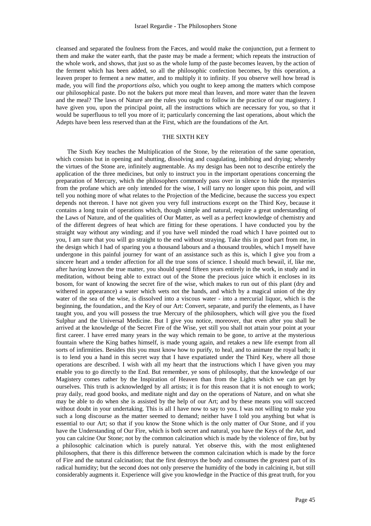cleansed and separated the foulness from the Fæces, and would make the conjunction, put a ferment to them and make the water earth, that the paste may be made a ferment; which repeats the instruction of the whole work, and shows, that just so as the whole lump of the paste becomes leaven, by the action of the ferment which has been added, so all the philosophic confection becomes, by this operation, a leaven proper to ferment a new matter, and to multiply it to infinity. If you observe well how bread is made, you will find the *proportions also,* which you ought to keep among the matters which compose our philosophical paste. Do not the bakers put more meal than leaven, and more water than the leaven and the meal? The laws of Nature are the rules you ought to follow in the practice of our magistery. I have given you, upon the principal point, all the instructions which are necessary for you, so that it would be superfluous to tell you more of it; particularly concerning the last operations, about which the Adepts have been less reserved than at the First, which are the foundations of the Art.

### THE SIXTH KEY

The Sixth Key teaches the Multiplication of the Stone, by the reiteration of the same operation, which consists but in opening and shutting, dissolving and coagulating, imbibing and drying; whereby the virtues of the Stone are, infinitely augmentable. As my design has been not to describe entirely the application of the three medicines, but only to instruct you in the important operations concerning the preparation of Mercury, which the philosophers commonly pass over in silence to hide the mysteries from the profane which are only intended for the wise, I will tarry no longer upon this point, and will tell you nothing more of what relates to the Projection of the Medicine, because the success you expect depends not thereon. I have not given you very full instructions except on the Third Key, because it contains a long train of operations which, though simple and natural, require a great understanding of the Laws of Nature, and of the qualities of Our Matter, as well as a perfect knowledge of chemistry and of the different degrees of heat which are fitting for these operations. I have conducted you by the straight way without any winding; and if you have well minded the road which I have pointed out to you, I am sure that you will go straight to the end without straying. Take this in good part from me, in the design which I had of sparing you a thousand labours and a thousand troubles, which I myself have undergone in this painful journey for want of an assistance such as this is, which I give you from a sincere heart and a tender affection for all the true sons of science. I should much bewail, if, like me, after having known the true matter, you should spend fifteen years entirely in the work, in study and in meditation, without being able to extract out of the Stone the precious juice which it encloses in its bosom, for want of knowing the secret fire of the wise, which makes to run out of this plant (dry and withered in appearance) a water which wets not the hands, and which by a magical union of the dry water of the sea of the wise, is dissolved into a viscous water - into a mercurial liquor, which is the beginning, the foundation., and the Key of our Art: Convert, separate, and purify the elements, as I have taught you, and you will possess the true Mercury of the philosophers, which will give you the fixed Sulphur and the Universal Medicine. But I give you notice, moreover, that even after you shall be arrived at the knowledge of the Secret Fire of the Wise, yet still you shall not attain your point at your first career. I have erred many years in the way which remain to be gone, to arrive at the mysterious fountain where the King bathes himself, is made young again, and retakes a new life exempt from all sorts of infirmities. Besides this you must know how to purify, to heal, and to animate the royal bath; it is to lend you a hand in this secret way that I have expatiated under the Third Key, where all those operations are described. I wish with all my heart that the instructions which I have given you may enable you to go directly to the End. But remember, ye sons of philosophy, that the knowledge of our Magistery comes rather by the Inspiration of Heaven than from the Lights which we can get by ourselves. This truth is acknowledged by all artists; it is for this reason that it is not enough to work; pray daily, read good books, and meditate night and day on the operations of Nature, and on what she may be able to do when she is assisted by the help of our Art; and by these means you will succeed without doubt in your undertaking. This is all I have now to say to you. I was not willing to make you such a long discourse as the matter seemed to demand; neither have I told you anything but what is essential to our Art; so that if you know the Stone which is the only matter of Our Stone, and if you have the Understanding of Our Fire, which is both secret and natural, you have the Keys of the Art, and you can calcine Our Stone; not by the common calcination which is made by the violence of fire, but by a philosophic calcination which is purely natural. Yet observe this, with the most enlightened philosophers, that there is this difference between the common calcination which is made by the force of Fire and the natural calcination; that the first destroys the body and consumes the greatest part of its radical humidity; but the second does not only preserve the humidity of the body in calcining it, but still considerably augments it. Experience will give you knowledge in the Practice of this great truth, for you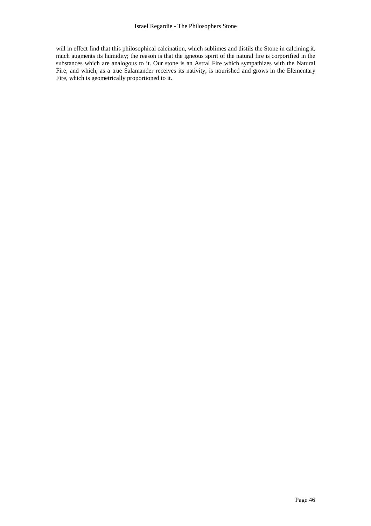will in effect find that this philosophical calcination, which sublimes and distils the Stone in calcining it, much augments its humidity; the reason is that the igneous spirit of the natural fire is corporified in the substances which are analogous to it. Our stone is an Astral Fire which sympathizes with the Natural Fire, and which, as a true Salamander receives its nativity, is nourished and grows in the Elementary Fire, which is geometrically proportioned to it.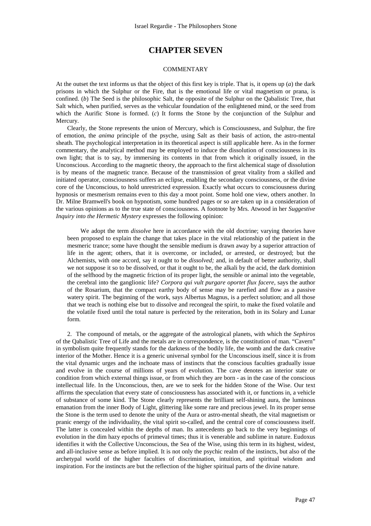# **CHAPTER SEVEN**

#### COMMENTARY

At the outset the text informs us that the object of this first key is triple. That is, it opens up (*a*) the dark prisons in which the Sulphur or the Fire, that is the emotional life or vital magnetism or prana, is confined. (*b*) The Seed is the philosophic Salt, the opposite of the Sulphur on the Qabalistic Tree, that Salt which, when purified, serves as the vehicular foundation of the enlightened mind, or the seed from which the Aurific Stone is formed. (*c*) It forms the Stone by the conjunction of the Sulphur and Mercury.

Clearly, the Stone represents the union of Mercury, which is Consciousness, and Sulphur, the fire of emotion, the *anima* principle of the psyche, using Salt as their basis of action, the astro-mental sheath. The psychological interpretation in its theoretical aspect is still applicable here. As in the former commentary, the analytical method may be employed to induce the dissolution of consciousness in its own light; that is to say, by immersing its contents in that from which it originally issued, in the Unconscious. According to the magnetic theory, the approach to the first alchemical stage of dissolution is by means of the magnetic trance. Because of the transmission of great vitality from a skilled and initiated operator, consciousness suffers an eclipse, enabling the secondary consciousness, or the divine core of the Unconscious, to hold unrestricted expression. Exactly what occurs to consciousness during hypnosis or mesmerism remains even to this day a moot point. Some hold one view, others another. In Dr. Milne Bramwell's book on hypnotism, some hundred pages or so are taken up in a consideration of the various opinions as to the true state of consciousness. A footnote by Mrs. Atwood in her *Suggestive Inquiry into the Hermetic Mystery* expresses the following opinion:

We adopt the term *dissolve* here in accordance with the old doctrine; varying theories have been proposed to explain the change that takes place in the vital relationship of the patient in the mesmeric trance; some have thought the sensible medium is drawn away by a superior attraction of life in the agent; others, that it is overcome, or included, or arrested, or destroyed; but the Alchemists, with one accord, say it ought to be *dissolved;* and, in default of better authority, shall we not suppose it so to be dissolved, or that it ought to be, the alkali by the acid, the dark dominion of the selfhood by the magnetic friction of its proper light, the sensible or animal into the vegetable, the cerebral into the ganglionic life? *Corpora qui vult purgare oportet flux facere,* says the author of the Rosarium, that the compact earthy body of sense may be rarefied and flow as a passive watery spirit. The beginning of the work, says Albertus Magnus, is a perfect solution; and all those that we teach is nothing else but to dissolve and recongeal the spirit, to make the fixed volatile and the volatile fixed until the total nature is perfected by the reiteration, both in its Solary and Lunar form.

2. The compound of metals, or the aggregate of the astrological planets, with which the *Sephiros*  of the Qabalistic Tree of Life and the metals are in correspondence, is the constitution of man. "Cavern" in symbolism quite frequently stands for the darkness of the bodily life, the womb and the dark creative interior of the Mother. Hence it is a generic universal symbol for the Unconscious itself, since it is from the vital dynamic urges and the inchoate mass of instincts that the conscious faculties gradually issue and evolve in the course of millions of years of evolution. The cave denotes an interior state or condition from which external things issue, or from which they are born - as in the case of the conscious intellectual life. In the Unconscious, then, are we to seek for the hidden Stone of the Wise. Our text affirms the speculation that every state of consciousness has associated with it, or functions in, a vehicle of substance of some kind. The Stone clearly represents the brilliant self-shining aura, the luminous emanation from the inner Body of Light, glittering like some rare and precious jewel. In its proper sense the Stone is the term used to denote the unity of the Aura or astro-mental sheath, the vital magnetism or pranic energy of the individuality, the vital spirit so-called, and the central core of consciousness itself. The latter is concealed within the depths of man. Its antecedents go back to the very beginnings of evolution in the dim hazy epochs of primeval times; thus it is venerable and sublime in nature. Eudoxus identifies it with the Collective Unconscious, the Sea of the Wise, using this term in its highest, widest, and all-inclusive sense as before implied. It is not only the psychic realm of the instincts, but also of the archetypal world of the higher faculties of discrimination, intuition, and spiritual wisdom and inspiration. For the instincts are but the reflection of the higher spiritual parts of the divine nature.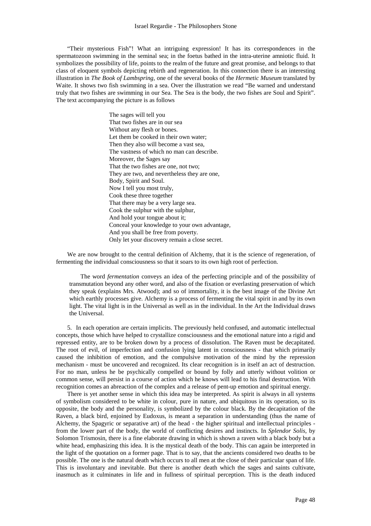"Their mysterious Fish"! What an intriguing expression! It has its correspondences in the spermatozoon swimming in the seminal sea; in the foetus bathed in the intra-uterine amniotic fluid. It symbolizes the possibility of life, points to the realm of the future and great promise, and belongs to that class of eloquent symbols depicting rebirth and regeneration. In this connection there is an interesting illustration in *The Book of Lambspring,* one of the several books of the *Hermetic Museum* translated by Waite. It shows two fish swimming in a sea. Over the illustration we read "Be warned and understand truly that two fishes are swimming in our Sea. The Sea is the body, the two fishes are Soul and Spirit". The text accompanying the picture is as follows

> The sages will tell you That two fishes are in our sea Without any flesh or bones. Let them be cooked in their own water; Then they also will become a vast sea, The vastness of which no man can describe. Moreover, the Sages say That the two fishes are one, not two; They are two, and nevertheless they are one, Body, Spirit and Soul. Now I tell you most truly, Cook these three together That there may be a very large sea. Cook the sulphur with the sulphur, And hold your tongue about it; Conceal your knowledge to your own advantage, And you shall be free from poverty. Only let your discovery remain a close secret.

We are now brought to the central definition of Alchemy, that it is the science of regeneration, of fermenting the individual consciousness so that it soars to its own high root of perfection.

The word *fermentation* conveys an idea of the perfecting principle and of the possibility of transmutation beyond any other word, and also of the fixation or everlasting preservation of which they speak (explains Mrs. Atwood); and so of immortality, it is the best image of the Divine Art which earthly processes give. Alchemy is a process of fermenting the vital spirit in and by its own light. The vital light is in the Universal as well as in the individual. In the Art the Individual draws the Universal.

5. In each operation are certain implicits. The previously held confused, and automatic intellectual concepts, those which have helped to crystallize consciousness and the emotional nature into a rigid and repressed entity, are to be broken down by a process of dissolution. The Raven must be decapitated. The root of evil, of imperfection and confusion lying latent in consciousness - that which primarily caused the inhibition of emotion, and the compulsive motivation of the mind by the repression mechanism - must be uncovered and recognized. Its clear recognition is in itself an act of destruction. For no man, unless he be psychically compelled or bound by folly and utterly without volition or common sense, will persist in a course of action which he knows will lead to his final destruction. With recognition comes an abreaction of the complex and a release of pent-up emotion and spiritual energy.

There is yet another sense in which this idea may be interpreted. As spirit is always in all systems of symbolism considered to be white in colour, pure in nature, and ubiquitous in its operation, so its opposite, the body and the personality, is symbolized by the colour black. By the decapitation of the Raven, a black bird, enjoined by Eudoxus, is meant a separation in understanding (thus the name of Alchemy, the Spagyric or separative art) of the head - the higher spiritual and intellectual principles from the lower part of the body, the world of conflicting desires and instincts. In *Splendor Solis,* by Solomon Trismosin, there is a fine elaborate drawing in which is shown a raven with a black body but a white head, emphasizing this idea. It is the mystical death of the body. This can again be interpreted in the light of the quotation on a former page. That is to say, that the ancients considered two deaths to be possible. The one is the natural death which occurs to all men at the close of their particular span of life. This is involuntary and inevitable. But there is another death which the sages and saints cultivate, inasmuch as it culminates in life and in fullness of spiritual perception. This is the death induced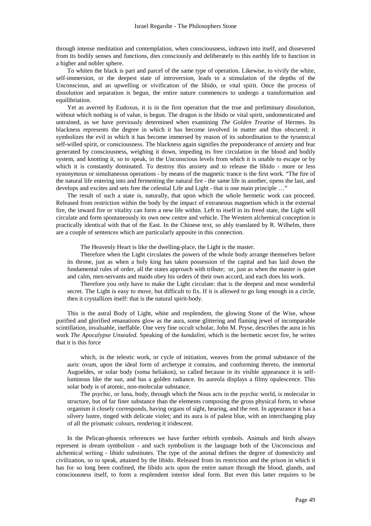through intense meditation and contemplation, when consciousness, indrawn into itself, and dissevered from its bodily senses and functions, dies consciously and deliberately to this earthly life to function in a higher and nobler sphere.

To whiten the black is part and parcel of the same type of operation. Likewise, to vivify the white, self-immersion, or the deepest state of introversion, leads to a stimulation of the depths of the Unconscious, and an upwelling or vivification of the libido, or vital spirit. Once the process of dissolution and separation is begun, the entire nature commences to undergo a transformation and equilibriation.

Yet as averred by Eudoxus, it is in the first operation that the true and preliminary dissolution, without which nothing is of value, is begun. The dragon is the libido or vital spirit, undomesticated and untrained, as we have previously determined when examining *The Golden Treatise* of Hermes. Its blackness represents the degree in which it has become involved in matter and thus obscured; it symbolizes the evil in which it has become immersed by reason of its subordination to the tyrannical self-willed spirit, or consciousness. The blackness again signifies the preponderance of anxiety and fear generated by consciousness, weighing it down, impeding its free circulation in the blood and bodily system, and knotting it, so to speak, in the Unconscious levels from which it is unable to escape or by which it is constantly dominated. To destroy this anxiety and to release the libido - more or less synonymous or simultaneous operations - by means of the magnetic trance is the first work. "The fire of the natural life entering into and fermenting the natural fire - the same life in another, opens the last, and develops and excites and sets free the celestial Life and Light - that is one main principle …"

The result of such a state is, naturally, that upon which the whole hermetic work can proceed. Released from restriction within the body by the impact of extraneous magnetism which is the external fire, the inward fire or vitality can form a new life within. Left to itself in its freed state, the Light will circulate and form spontaneously its own new centre and vehicle. The Western alchemical conception is practically identical with that of the East. In the Chinese text, so ably translated by R. Wilhelm, there are a couple of sentences which are particularly apposite in this connection.

The Heavenly Heart is like the dwelling-place, the Light is the master.

Therefore when the Light circulates the powers of the whole body arrange themselves before its throne, just as when a holy king has taken possession of the capital and has laid down the fundamental rules of order, all the states approach with tribute; or, just as when the master is quiet and calm, men-servants and maids obey his orders of their own accord, and each does his work.

Therefore you only have to make the Light circulate: that is the deepest and most wonderful secret. The Light is easy to move, but difficult to fix. If it is allowed to go long enough in a circle, then it crystallizes itself: that is the natural spirit-body.

This is the astral Body of Light, white and resplendent, the glowing Stone of the Wise, whose purified and glorified emanations glow as the aura, some glittering and flaming jewel of incomparable scintillation, invaluable, ineffable. One very fine occult scholar, John M. Pryse, describes the aura in his work *The Apocalypse Unsealed.* Speaking of the *kundalini,* which is the hermetic secret fire, he writes that it is this force

which, in the telestic work, or cycle of initiation, weaves from the primal substance of the auric ovum, upon the ideal form of archetype it contains, and conforming thereto, the immortal Augoeîdes, or solar body (soma heliakon), so called because in its visible appearance it is selfluminous like the sun, and has a golden radiance. Its aureola displays a filmy opalescence. This solar body is of atomic, non-molecular substance.

The psychic, or luna, body, through which the Nous acts in the psychic world, is molecular in structure, but of far finer substance than the elements composing the gross physical form, to whose organism it closely corresponds, having organs of sight, hearing, and the rest. In appearance it has a silvery lustre, tinged with delicate violet; and its aura is of palest blue, with an interchanging play of all the prismatic colours, rendering it iridescent.

In the Pelican-phoenix references we have further rebirth symbols. Animals and birds always represent in dream symbolism - and such symbolism is the language both of the Unconscious and alchemical writing - libido substitutes. The type of the animal defines the degree of domesticity and civilization, so to speak, attained by the libido. Released from its restriction and the prison in which it has for so long been confined, the libido acts upon the entire nature through the blood, glands, and consciousness itself, to form a resplendent interior ideal form. But even this latter requires to be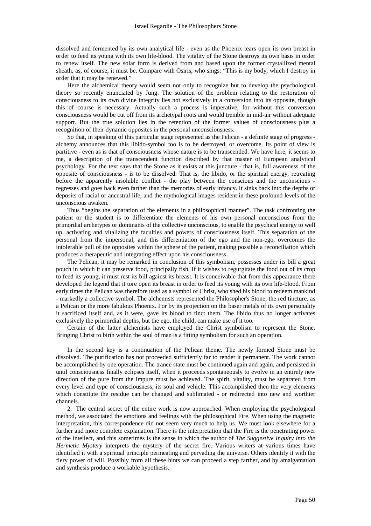dissolved and fermented by its own analytical life - even as the Phoenix tears open its own breast in order to feed its young with its own life-blood. The vitality of the Stone destroys its own basis in order to renew itself. The new solar form is derived from and based upon the former crystallized mental sheath, as, of course, it must be. Compare with Osiris, who sings: "This is my body, which I destroy in order that it may be renewed."

Here the alchemical theory would seem not only to recognize but to develop the psychological theory so recently enunciated by Jung. The solution of the problem relating to the restoration of consciousness to its own divine integrity lies not exclusively in a conversion into its opposite, though this of course is necessary. Actually such a process is imperative, for without this conversion consciousness would be cut off from its archetypal roots and would tremble in mid-air without adequate support. But the true solution lies in the retention of the former values of consciousness plus a recognition of their dynamic opposites in the personal unconsciousness.

So that, in speaking of this particular stage represented as the Pelican - a definite stage of progress alchemy announces that this libido-symbol too is to be destroyed, or overcome. Its point of view is partitive - even as is that of consciousness whose nature is to be transcended. We have here, it seems to me, a description of the transcendent function described by that master of European analytical psychology. For the text says that the Stone as it exists at this juncture - that is, full awareness of the opposite of consciousness - is to be dissolved. That is, the libido, or the spiritual energy, retreating before the apparently insoluble conflict - the play between the conscious and the unconscious regresses and goes back even farther than the memories of early infancy. It sinks back into the depths or deposits of racial or ancestral life, and the mythological images resident in these profound levels of the unconscious awaken.

Thus "begins the separation of the elements in a philosophical manner". The task confronting the patient or the student is to differentiate the elements of his own personal unconscious from the primordial archetypes or dominants of the collective unconscious, to enable the psychical energy to well up, activating and vitalizing the faculties and powers of consciousness itself. This separation of the personal from the impersonal, and this differentiation of the ego and the non-ego, overcomes the intolerable pull of the opposites within the sphere of the patient, making possible a reconciliation which produces a therapeutic and integrating effect upon his consciousness.

The Pelican, it may be remarked in conclusion of this symbolism, possesses under its bill a great pouch in which it can preserve food, principally fish. If it wishes to regurgitate the food out of its crop to feed its young, it must rest its bill against its breast. It is conceivable that from this appearance there developed the legend that it tore open its breast in order to feed its young with its own life-blood. From early times the Pelican was therefore used as a symbol of Christ, who shed his blood to redeem mankind - markedly a collective symbol. The alchemists represented the Philosopher's Stone, the red tincture, as a Pelican or the more fabulous Phoenix. For by its projection on the baser metals of its own personality it sacrificed itself and, as it were, gave its blood to tinct them. The libido thus no longer activates exclusively the primordial depths, but the ego, the child, can make use of it too.

Certain of the latter alchemists have employed the Christ symbolism to represent the Stone. Bringing Christ to birth within the soul of man is a fitting symbolism for such an operation.

In the second key is a continuation of the Pelican theme. The newly formed Stone must be dissolved. The purification has not proceeded sufficiently far to render it permanent. The work cannot be accomplished by one operation. The trance state must be continued again and again, and persisted in until consciousness finally eclipses itself, when it proceeds spontaneously to evolve in an entirely new direction of the pure from the impure must be achieved. The spirit, vitality, must be separated from every level and type of consciousness, its soul and vehicle. This accomplished then the very elements which constitute the residue can be changed and sublimated - or redirected into new and worthier channels.

2. The central secret of the entire work is now approached. When employing the psychological method, we associated the emotions and feelings with the philosophical Fire. When using the magnetic interpretation, this correspondence did not seem very much to help us. We must look elsewhere for a further and more complete explanation. There is the interpretation that the Fire is the penetrating power of the intellect, and this sometimes is the sense in which the author of *The Suggestive Inquiry into the Hermetic Mystery* interprets the mystery of the secret fire. Various writers at various times have identified it with a spiritual principle permeating and pervading the universe. Others identify it with the fiery power of will. Possibly from all these hints we can proceed a step farther, and by amalgamation and synthesis produce a workable hypothesis.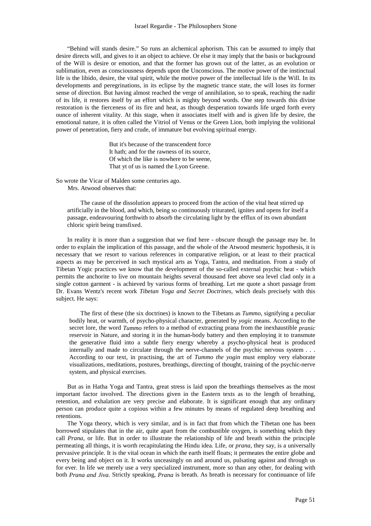"Behind will stands desire." So runs an alchemical aphorism. This can be assumed to imply that desire directs will, and gives to it an object to achieve. Or else it may imply that the basis or background of the Will is desire or emotion, and that the former has grown out of the latter, as an evolution or sublimation, even as consciousness depends upon the Unconscious. The motive power of the instinctual life is the libido, desire, the vital spirit, while the motive power of the intellectual life is the Will. In its developments and peregrinations, in its eclipse by the magnetic trance state, the will loses its former sense of direction. But having almost reached the verge of annihilation, so to speak, reaching the nadir of its life, it restores itself by an effort which is mighty beyond words. One step towards this divine restoration is the fierceness of its fire and heat, as though desperation towards life urged forth every ounce of inherent vitality. At this stage, when it associates itself with and is given life by desire, the emotional nature, it is often called the Vitriol of Venus or the Green Lion, both implying the volitional power of penetration, fiery and crude, of immature but evolving spiritual energy.

> But it's because of the transcendent force It hath; and for the rawness of its source, Of which the like is nowhere to be seene, That yt of us is named the Lyon Greene.

So wrote the Vicar of Malden some centuries ago.

Mrs. Atwood observes that:

The cause of the dissolution appears to proceed from the action of the vital heat stirred up artificially in the blood, and which, being so continuously triturated, ignites and opens for itself a passage, endeavouring forthwith to absorb the circulating light by the efflux of its own abundant chloric spirit being transfixed.

In reality it is more than a suggestion that we find here - obscure though the passage may be. In order to explain the implication of this passage, and the whole of the Atwood mesmeric hypothesis, it is necessary that we resort to various references in comparative religion, or at least to their practical aspects as may be perceived in such mystical arts as Yoga, Tantra, and meditation. From a study of Tibetan Yogic practices we know that the development of the so-called external psychic heat - which permits the anchorite to live on mountain heights several thousand feet above sea level clad only in a single cotton garment - is achieved by various forms of breathing. Let me quote a short passage from Dr. Evans Wentz's recent work *Tibetan Yoga and Secret Doctrines,* which deals precisely with this subject. He says:

The first of these (the six doctrines) is known to the Tibetans as *Tummo*, signifying a peculiar bodily heat, or warmth, of psycho-physical character, generated by *yogic* means. According to the secret lore, the word *Tummo* refers to a method of extracting prana from the inexhaustible *pranic* reservoir in Nature, and storing it in the human-body battery and then employing it to transmute the generative fluid into a subtle fiery energy whereby a psycho-physical heat is produced internally and made to circulate through the nerve-channels of the psychic nervous system . . . According to our text, in practising, the art of *Tummo the yogin* must employ very elaborate visualizations, meditations, postures, breathings, directing of thought, training of the psychic-nerve system, and physical exercises.

But as in Hatha Yoga and Tantra, great stress is laid upon the breathings themselves as the most important factor involved. The directions given in the Eastern texts as to the length of breathing, retention, and exhalation are very precise and elaborate. It is significant enough that any ordinary person can produce quite a copious within a few minutes by means of regulated deep breathing and retentions.

The Yoga theory, which is very similar, and is in fact that from which the Tibetan one has been borrowed stipulates that in the air, quite apart from the combustible oxygen, is something which they call *Prana,* or life. But in order to illustrate the relationship of life and breath within the principle permeating all things, it is worth recapitulating the Hindu idea. Life, or *prana*, they say, is a universally pervasive principle. It is the vital ocean in which the earth itself floats; it permeates the entire globe and every being and object on it. It works unceasingly on and around us, pulsating against and through us for ever. In life we merely use a very specialized instrument, more so than any other, for dealing with both *Prana and Jiva*. Strictly speaking, *Prana* is breath. As breath is necessary for continuance of life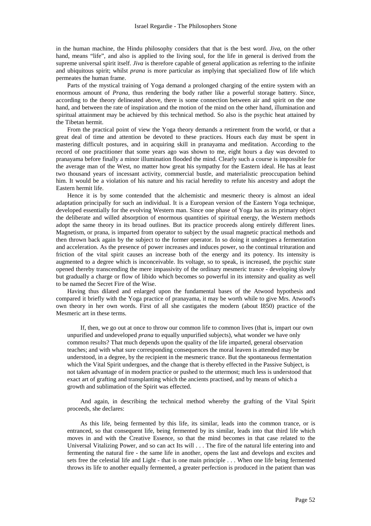in the human machine, the Hindu philosophy considers that that is the best word. *Jiva*, on the other hand, means "life", and also is applied to the living soul, for the life in general is derived from the supreme universal spirit itself. *Jiva* is therefore capable of general application as referring to the infinite and ubiquitous spirit; whilst *prana* is more particular as implying that specialized flow of life which permeates the human frame.

Parts of the mystical training of Yoga demand a prolonged charging of the entire system with an enormous amount of *Prana*, thus rendering the body rather like a powerful storage battery. Since, according to the theory delineated above, there is some connection between air and spirit on the one hand, and between the rate of inspiration and the motion of the mind on the other hand, illumination and spiritual attainment may be achieved by this technical method. So also is the psychic heat attained by the Tibetan hermit.

From the practical point of view the Yoga theory demands a retirement from the world, or that a great deal of time and attention be devoted to these practices. Hours each day must be spent in mastering difficult postures, and in acquiring skill in pranayama and meditation. According to the record of one practitioner that some years ago was shown to me, eight hours a day was devoted to pranayama before finally a minor illumination flooded the mind. Clearly such a course is impossible for the average man of the West, no matter how great his sympathy for the Eastern ideal. He has at least two thousand years of incessant activity, commercial bustle, and materialistic preoccupation behind him. It would be a violation of his nature and his racial heredity to refute his ancestry and adopt the Eastern hermit life.

Hence it is by some contended that the alchemistic and mesmeric theory is almost an ideal adaptation principally for such an individual. It is a European version of the Eastern Yoga technique, developed essentially for the evolving Western man. Since one phase of Yoga has as its primary object the deliberate and willed absorption of enormous quantities of spiritual energy, the Western methods adopt the same theory in its broad outlines. But its practice proceeds along entirely different lines. Magnetism, or prana, is imparted from operator to subject by the usual magnetic practical methods and then thrown back again by the subject to the former operator. In so doing it undergoes a fermentation and acceleration. As the presence of power increases and induces power, so the continual trituration and friction of the vital spirit causes an increase both of the energy and its potency. Its intensity is augmented to a degree which is inconceivable. Its voltage, so to speak, is increased, the psychic state opened thereby transcending the mere impassivity of the ordinary mesmeric trance - developing slowly but gradually a charge or flow of libido which becomes so powerful in its intensity and quality as well to be named the Secret Fire of the Wise.

Having thus dilated and enlarged upon the fundamental bases of the Atwood hypothesis and compared it briefly with the Yoga practice of pranayama, it may be worth while to give Mrs. Atwood's own theory in her own words. First of all she castigates the modern (about I850) practice of the Mesmeric art in these terms.

If, then, we go out at once to throw our common life to common lives (that is, impart our own unpurified and undeveloped *prana* to equally unpurified subjects), what wonder we have only common results? That much depends upon the quality of the life imparted, general observation teaches; and with what sure corresponding consequences the moral leaven is attended may be understood, in a degree, by the recipient in the mesmeric trance. But the spontaneous fermentation which the Vital Spirit undergoes, and the change that is thereby effected in the Passive Subject, is not taken advantage of in modern practice or pushed to the uttermost; much less is understood that exact art of grafting and transplanting which the ancients practised, and by means of which a growth and sublimation of the Spirit was effected.

And again, in describing the technical method whereby the grafting of the Vital Spirit proceeds, she declares:

As this life, being fermented by this life, its similar, leads into the common trance, or is entranced, so that consequent life, being fermented by its similar, leads into that third life which moves in and with the Creative Essence, so that the mind becomes in that case related to the Universal Vitalizing Power, and so can act Its will . . . The fire of the natural life entering into and fermenting the natural fire - the same life in another, opens the last and develops and excites and sets free the celestial life and Light - that is one main principle . . . When one life being fermented throws its life to another equally fermented, a greater perfection is produced in the patient than was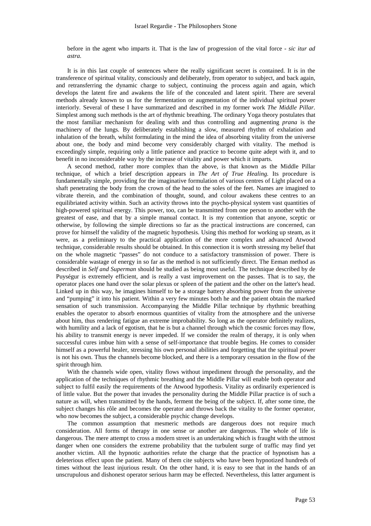before in the agent who imparts it. That is the law of progression of the vital force - *sic itur ad astra.*

It is in this last couple of sentences where the really significant secret is contained. It is in the transference of spiritual vitality, consciously and deliberately, from operator to subject, and back again, and retransferring the dynamic charge to subject, continuing the process again and again, which develops the latent fire and awakens the life of the concealed and latent spirit. There are several methods already known to us for the fermentation or augmentation of the individual spiritual power interiorly. Several of these I have summarized and described in my former work *The Middle Pillar.*  Simplest among such methods is the art of rhythmic breathing. The ordinary Yoga theory postulates that the most familiar mechanism for dealing with and thus controlling and augmenting *prana* is the machinery of the lungs. By deliberately establishing a slow, measured rhythm of exhalation and inhalation of the breath, whilst formulating in the mind the idea of absorbing vitality from the universe about one, the body and mind become very considerably charged with vitality. The method is exceedingly simple, requiring only a little patience and practice to become quite adept with it, and to benefit in no inconsiderable way by the increase of vitality and power which it imparts.

A second method, rather more complex than the above, is that known as the Middle Pillar technique, of which a brief description appears in *The Art of True Healing.* Its procedure is fundamentally simple, providing for the imaginative formulation of various centres of Light placed on a shaft penetrating the body from the crown of the head to the soles of the feet. Names are imagined to vibrate therein, and the combination of thought, sound, and colour awakens these centres to an equilibriated activity within. Such an activity throws into the psycho-physical system vast quantities of high-powered spiritual energy. This power, too, can be transmitted from one person to another with the greatest of ease, and that by a simple manual contact. It is my contention that anyone, sceptic or otherwise, by following the simple directions so far as the practical instructions are concerned, can prove for himself the validity of the magnetic hypothesis. Using this method for working up steam, as it were, as a preliminary to the practical application of the more complex and advanced Atwood technique, considerable results should be obtained. In this connection it is worth stressing my belief that on the whole magnetic "passes" do not conduce to a satisfactory transmission of power. There is considerable wastage of energy in so far as the method is not sufficiently direct. The Eeman method as described in *Self and Superman* should be studied as being most useful. The technique described by de Puységur is extremely efficient, and is really a vast improvement on the passes. That is to say, the operator places one hand over the solar plexus or spleen of the patient and the other on the latter's head. Linked up in this way, he imagines himself to be a storage battery absorbing power from the universe and "pumping" it into his patient. Within a very few minutes both he and the patient obtain the marked sensation of such transmission. Accompanying the Middle Pillar technique by rhythmic breathing enables the operator to absorb enormous quantities of vitality from the atmosphere and the universe about him, thus rendering fatigue an extreme improbability. So long as the operator definitely realizes, with humility and a lack of egotism, that he is but a channel through which the cosmic forces may flow, his ability to transmit energy is never impeded. If we consider the realm of therapy, it is only when successful cures imbue him with a sense of self-importance that trouble begins. He comes to consider himself as a powerful healer, stressing his own personal abilities and forgetting that the spiritual power is not his own. Thus the channels become blocked, and there is a temporary cessation in the flow of the spirit through him.

With the channels wide open, vitality flows without impediment through the personality, and the application of the techniques of rhythmic breathing and the Middle Pillar will enable both operator and subject to fulfil easily the requirements of the Atwood hypothesis. Vitality as ordinarily experienced is of little value. But the power that invades the personality during the Middle Pillar practice is of such a nature as will, when transmitted by the hands, ferment the being of the subject. If, after some time, the subject changes his rôle and becomes the operator and throws back the vitality to the former operator, who now becomes the subject, a considerable psychic change develops.

The common assumption that mesmeric methods are dangerous does not require much consideration. All forms of therapy in one sense or another are dangerous. The whole of life is dangerous. The mere attempt to cross a modern street is an undertaking which is fraught with the utmost danger when one considers the extreme probability that the turbulent surge of traffic may find yet another victim. All the hypnotic authorities refute the charge that the practice of hypnotism has a deleterious effect upon the patient. Many of them cite subjects who have been hypnotized hundreds of times without the least injurious result. On the other hand, it is easy to see that in the hands of an unscrupulous and dishonest operator serious harm may be effected. Nevertheless, this latter argument is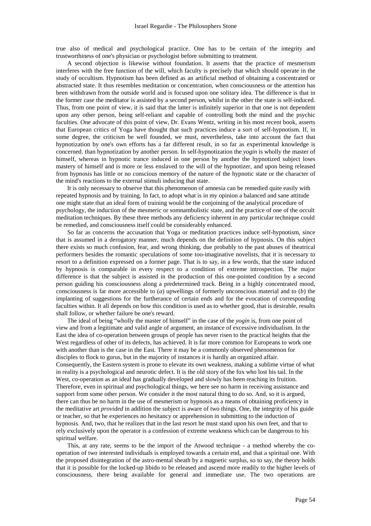true also of medical and psychological practice. One has to be certain of the integrity and trustworthiness of one's physician or psychologist before submitting to treatment.

A second objection is likewise without foundation. It asserts that the practice of mesmerism interferes with the free function of the will, which faculty is precisely that which should operate in the study of occultism. Hypnotism has been defined as an artificial method of obtaining a concentrated or abstracted state. It thus resembles meditation or concentration, when consciousness or the attention has been withdrawn from the outside world and is focused upon one solitary idea. The difference is that in the former case the meditator is assisted by a second person, whilst in the other the state is self-induced. Thus, from one point of view, it is said that the latter is infinitely superior in that one is not dependent upon any other person, being self-reliant and capable of controlling both the mind and the psychic faculties. One advocate of this point of view, Dr. Evans Wentz, writing in his most recent book, asserts that European critics of Yoga have thought that such practices induce a sort of self-hypnotism. If, in some degree, the criticism be well founded, we must, nevertheless, take into account the fact that hypnotization by one's own efforts has a far different result, in so far as experimental knowledge is concerned. than hypnotization by another person. In self-hypnotization the *yogin* is wholly the master of himself, whereas in hypnotic trance induced in one person by another the hypnotized subject loses mastery of himself and is more or less enslaved to the will of the hypnotizer, and upon being released from hypnosis has little or no conscious memory of the nature of the hypnotic state or the character of the mind's reactions to the external stimuli inducing that state.

It is only necessary to observe that this phenomenon of amnesia can be remedied quite easily with repeated hypnosis and by training. In fact, to adopt what is in my opinion a balanced and sane attitude one might state that an ideal form of training would be the conjoining of the analytical procedure of psychology, the induction of the mesmeric or somnambulistic state, and the practice of one of the occult meditation techniques. By these three methods any deficiency inherent in any particular technique could be remedied, and consciousness itself could be considerably enhanced.

So far as concerns the accusation that Yoga or meditation practices induce self-hypnotism, since that is assumed in a derogatory manner, much depends on the definition of hypnosis. On this subject there exists so much confusion, fear, and wrong thinking, due probably to the past abuses of theatrical performers besides the romantic speculations of some too-imaginative novelists, that it is necessary to resort to a definition expressed on a former page. That is to say, in a few words, that the state induced by hypnosis is comparable in every respect to a condition of extreme introspection. The major difference is that the subject is assisted in the production of this one-pointed condition by a second person guiding his consciousness along a predetermined track. Being in a highly concentrated mood, consciousness is far more accessible to (*a*) upwellings of formerly unconscious material and to (*b*) the implanting of suggestions for the furtherance of certain ends and for the evocation of corresponding faculties within. It all depends on how this condition is used as to whether good, that is desirable, results shall follow, or whether failure be one's reward.

The ideal of being "wholly the master of himself" in the case of the *yogin* is, from one point of view and from a legitimate and valid angle of argument, an instance of excessive individualism. In the East the idea of co-operation between groups of people has never risen to the practical heights that the West regardless of other of its defects, has achieved. It is far more common for Europeans to work one with another than is the case in the East. There it may be a commonly observed phenomenon for disciples to flock to gurus, but in the majority of instances it is hardly an organized affair. Consequently, the Eastern system is prone to elevate its own weakness, making a sublime virtue of what in reality is a psychological and neurotic defect. It is the old story of the fox who lost his tail. In the West, co-operation as an ideal has gradually developed and slowly has been reaching its fruition. Therefore, even in spiritual and psychological things, we here see no harm in receiving assistance and support from some other person. We consider it the most natural thing to do so. And, so it is argued, there can thus be no harm in the use of mesmerism or hypnosis as a means of obtaining proficiency in the meditative art *provided* in addition the subject is aware of two things. One, the integrity of his guide or teacher, so that he experiences no hesitancy or apprehension in submitting to the induction of hypnosis. And, two, that he realizes that in the last resort he must stand upon his own feet, and that to rely exclusively upon the operator is a confession of extreme weakness which can be dangerous to his spiritual welfare.

This, at any rate, seems to be the import of the Atwood technique - a method whereby the cooperation of two interested individuals is employed towards a certain end, and that a spiritual one. With the proposed disintegration of the astro-mental sheath by a magnetic surplus, so to say, the theory holds that it is possible for the locked-up libido to be released and ascend more readily to the higher levels of consciousness, there being available for general and immediate use. The two operations are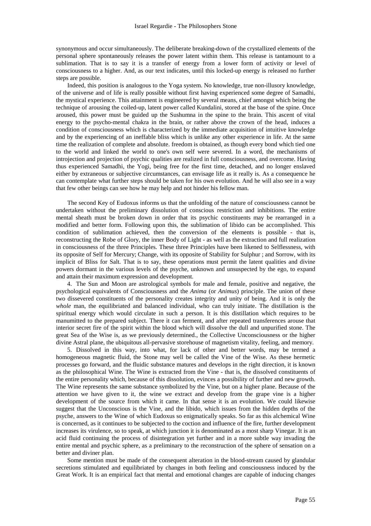synonymous and occur simultaneously. The deliberate breaking-down of the crystallized elements of the personal sphere spontaneously releases the power latent within them. This release is tantamount to a sublimation. That is to say it is a transfer of energy from a lower form of activity or level of consciousness to a higher. And, as our text indicates, until this locked-up energy is released no further steps are possible.

Indeed, this position is analogous to the Yoga system. No knowledge, true non-illusory knowledge, of the universe and of life is really possible without first having experienced some degree of Samadhi, the mystical experience. This attainment is engineered by several means, chief amongst which being the technique of arousing the coiled-up, latent power called Kundalini, stored at the base of the spine. Once aroused, this power must be guided up the Sushumna in the spine to the brain. This ascent of vital energy to the psycho-mental chakra in the brain, or rather above the crown of the head, induces a condition of consciousness which is characterized by the immediate acquisition of intuitive knowledge and by the experiencing of an ineffable bliss which is unlike any other experience in life. At the same time the realization of complete and absolute. freedom is obtained, as though every bond which tied one to the world and linked the world to one's own self were severed. In a word, the mechanisms of introjection and projection of psychic qualities are realized in full consciousness, and overcome. Having thus experienced Samadhi, the Yogi, being free for the first time, detached, and no longer enslaved either by extraneous or subjective circumstances, can envisage life as it really is. As a consequence he can contemplate what further steps should be taken for his own evolution. And he will also see in a way that few other beings can see how he may help and not hinder his fellow man.

The second Key of Eudoxus informs us that the unfolding of the nature of consciousness cannot be undertaken without the preliminary dissolution of conscious restriction and inhibitions. The entire mental sheath must be broken down in order that its psychic constituents may be rearranged in a modified and better form. Following upon this, the sublimation of libido can be accomplished. This condition of sublimation achieved, then the conversion of the elements is possible - that is, reconstructing the Robe of Glory, the inner Body of Light - as well as the extraction and full realization in consciousness of the three Principles. These three Principles have been likened to Selflessness, with its opposite of Self for Mercury; Change, with its opposite of Stability for Sulphur ; and Sorrow, with its implicit of Bliss for Salt. That is to say, these operations must permit the latent qualities and divine powers dormant in the various levels of the psyche, unknown and unsuspected by the ego, to expand and attain their maximum expression and development.

4. The Sun and Moon are astrological symbols for male and female, positive and negative, the psychological equivalents of Consciousness and the *Anima* (or *Animus*) principle. The union of these two dissevered constituents of the personality creates integrity and unity of being. And it is only the *whole* man, the equilibriated and balanced individual, who can truly initiate. The distillation is the spiritual energy which would circulate in such a person. It is this distillation which requires to be manumitted to the prepared subject. There it can ferment, and after repeated transferences arouse that interior secret fire of the spirit within the blood which will dissolve the dull and unpurified stone. The great Sea of the Wise is, as we previously determined., the Collective Unconsciousness or the higher divine Astral plane, the ubiquitous all-pervasive storehouse of magnetism vitality, feeling, and memory.

5. Dissolved in this way, into what, for lack of other and better words, may be termed a homogeneous magnetic fluid, the Stone may well be called the Vine of the Wise. As these hermetic processes go forward, and the fluidic substance matures and develops in the right direction, it is known as the philosophical Wine. The Wine is extracted from the Vine - that is, the dissolved constituents of the entire personality which, because of this dissolution, evinces a possibility of further and new growth. The Wine represents the same substance symbolized by the Vine, but on a higher plane. Because of the attention we have given to it, the wine we extract and develop from the grape vine is a higher development of the source from which it came. In that sense it is an evolution. We could likewise suggest that the Unconscious is the Vine, and the libido, which issues from the hidden depths of the psyche, answers to the Wine of which Eudoxus so enigmatically speaks. So far as this alchemical Wine is concerned, as it continues to be subjected to the coction and influence of the fire, further development increases its virulence, so to speak, at which junction it is denominated as a most sharp Vinegar. It is an acid fluid continuing the process of disintegration yet further and in a more subtle way invading the entire mental and psychic sphere, as a preliminary to the reconstruction of the sphere of sensation on a better and diviner plan.

Some mention must be made of the consequent alteration in the blood-stream caused by glandular secretions stimulated and equilibriated by changes in both feeling and consciousness induced by the Great Work. It is an empirical fact that mental and emotional changes are capable of inducing changes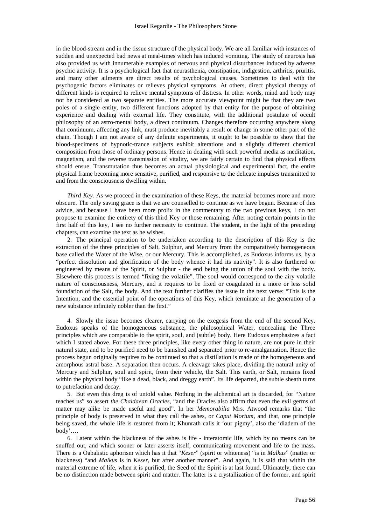in the blood-stream and in the tissue structure of the physical body. We are all familiar with instances of sudden and unexpected bad news at meal-times which has induced vomiting. The study of neurosis has also provided us with innumerable examples of nervous and physical disturbances induced by adverse psychic activity. It is a psychological fact that neurasthenia, constipation, indigestion, arthritis, pruritis, and many other ailments are direct results of psychological causes. Sometimes to deal with the psychogenic factors eliminates or relieves physical symptoms. At others, direct physical therapy of different kinds is required to relieve mental symptoms of distress. In other words, mind and body may not be considered as two separate entities. The more accurate viewpoint might be that they are two poles of a single entity, two different functions adopted by that entity for the purpose of obtaining experience and dealing with external life. They constitute, with the additional postulate of occult philosophy of an astro-mental body, a direct continuum. Changes therefore occurring anywhere along that continuum, affecting any link, must produce inevitably a result or change in some other part of the chain. Though I am not aware of any definite experiments, it ought to be possible to show that the blood-specimens of hypnotic-trance subjects exhibit alterations and a slightly different chemical composition from those of ordinary persons. Hence in dealing with such powerful media as meditation, magnetism, and the reverse transmission of vitality, we are fairly certain to find that physical effects should ensue. Transmutation thus becomes an actual physiological and experimental fact, the entire physical frame becoming more sensitive, purified, and responsive to the delicate impulses transmitted to and from the consciousness dwelling within.

*Third Key.* As we proceed in the examination of these Keys, the material becomes more and more obscure. The only saving grace is that we are counselled to continue as we have begun. Because of this advice, and because I have been more prolix in the commentary to the two previous keys, I do not propose to examine the entirety of this third Key or those remaining. After noting certain points in the first half of this key, I see no further necessity to continue. The student, in the light of the preceding chapters, can examine the text as he wishes.

2. The principal operation to be undertaken according to the description of this Key is the extraction of the three principles of Salt, Sulphur, and Mercury from the comparatively homogeneous base called the Water of the Wise, or our Mercury. This is accomplished, as Eudoxus informs us, by a "perfect dissolution and glorification of the body whence it had its nativity". It is also furthered or engineered by means of the Spirit, or Sulphur - the end being the union of the soul with the body. Elsewhere this process is termed "fixing the volatile". The soul would correspond to the airy volatile nature of consciousness, Mercury, and it requires to be fixed or coagulated in a more or less solid foundation of the Salt, the body. And the text further clarifies the issue in the next verse: "This is the Intention, and the essential point of the operations of this Key, which terminate at the generation of a new substance infinitely nobler than the first."

4. Slowly the issue becomes clearer, carrying on the exegesis from the end of the second Key. Eudoxus speaks of the homogeneous substance, the philosophical Water, concealing the Three principles which are comparable to the spirit, soul, and (subtle) body. Here Eudoxus emphasizes a fact which I stated above. For these three principles, like every other thing in nature, are not pure in their natural state, and to be purified need to be banished and separated prior to re-amalgamation. Hence the process begun originally requires to be continued so that a distillation is made of the homogeneous and amorphous astral base. A separation then occurs. A cleavage takes place, dividing the natural unity of Mercury and Sulphur, soul and spirit, from their vehicle, the Salt. This earth, or Salt, remains fixed within the physical body "like a dead, black, and dreggy earth". Its life departed, the subtle sheath turns to putrefaction and decay.

5. But even this dreg is of untold value. Nothing in the alchemical art is discarded, for "Nature teaches us" so assert *the Chaldaean Oracles,* "and the Oracles also affirm that even the evil germs of matter may alike be made useful and good". In her *Memorabilia* Mrs. Atwood remarks that "the principle of body is preserved in what they call the ashes, or *Caput Mortum,* and that, one principle being saved, the whole life is restored from it; Khunrath calls it 'our pigmy', also the 'diadem of the body'….

6. Latent within the blackness of the ashes is life - interatomic life, which by no means can be snuffed out, and which sooner or later asserts itself, communicating movement and life to the mass. There is a Oabalistic aphorism which has it that "*Keser*" (spirit or whiteness) "is in *Malkus*" (matter or blackness) "and *Malkus* is in *Keser*, but after another manner". And again, it is said that within the material extreme of life, when it is purified, the Seed of the Spirit is at last found. Ultimately, there can be no distinction made between spirit and matter. The latter is a crystallization of the former, and spirit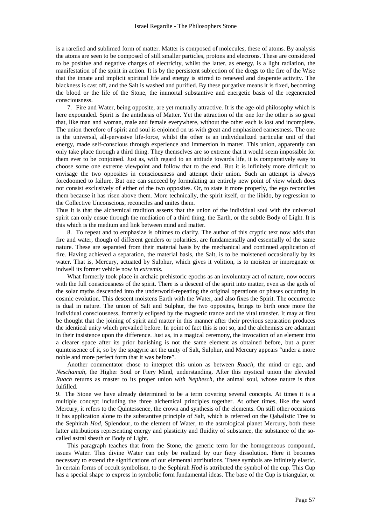is a rarefied and sublimed form of matter. Matter is composed of molecules, these of atoms. By analysis the atoms are seen to be composed of still smaller particles, protons and electrons. These are considered to be positive and negative charges of electricity, whilst the latter, as energy, is a light radiation, the manifestation of the spirit in action. It is by the persistent subjection of the dregs to the fire of the Wise that the innate and implicit spiritual life and energy is stirred to renewed and desperate activity. The blackness is cast off, and the Salt is washed and purified. By these purgative means it is fixed, becoming the blood or the life of the Stone, the immortal substantive and energetic basis of the regenerated consciousness.

7. Fire and Water, being opposite, are yet mutually attractive. It is the age-old philosophy which is here expounded. Spirit is the antithesis of Matter. Yet the attraction of the one for the other is so great that, like man and woman, male and female everywhere, without the other each is lost and incomplete. The union therefore of spirit and soul is enjoined on us with great and emphasized earnestness. The one is the universal, all-pervasive life-force, whilst the other is an individualized particular unit of that energy, made self-conscious through experience and immersion in matter. This union, apparently can only take place through a third thing. They themselves are so extreme that it would seem impossible for them ever to be conjoined. Just as, with regard to an attitude towards life, it is comparatively easy to choose some one extreme viewpoint and follow that to the end. But it is infinitely more difficult to envisage the two opposites in consciousness and attempt their union. Such an attempt is always foredoomed to failure. But one can succeed by formulating an entirely new point of view which does not consist exclusively of either of the two opposites. Or, to state it more properly, the ego reconciles them because it has risen above them. More technically, the spirit itself, or the libido, by regression to the Collective Unconscious, reconciles and unites them.

Thus it is that the alchemical tradition asserts that the union of the individual soul with the universal spirit can only ensue through the mediation of a third thing, the Earth, or the subtle Body of Light. It is this which is the medium and link between mind and matter.

8. To repeat and to emphasize is oftimes to clarify. The author of this cryptic text now adds that fire and water, though of different genders or polarities, are fundamentally and essentially of the same nature. These are separated from their material basis by the mechanical and continued application of fire. Having achieved a separation, the material basis, the Salt, is to be moistened occasionally by its water. That is, Mercury, actuated by Sulphur, which gives it volition, is to moisten or impregnate or indwell its former vehicle now *in extremis.*

What formerly took place in archaic prehistoric epochs as an involuntary act of nature, now occurs with the full consciousness of the spirit. There is a descent of the spirit into matter, even as the gods of the solar myths descended into the underworld-repeating the original operations or phases occurring in cosmic evolution. This descent moistens Earth with the Water, and also fixes the Spirit. The occurrence is dual in nature. The union of Salt and Sulphur, the two opposites, brings to birth once more the individual consciousness, formerly eclipsed by the magnetic trance and the vital transfer. It may at first be thought that the joining of spirit and matter in this manner after their previous separation produces the identical unity which prevailed before. In point of fact this is not so, and the alchemists are adamant in their insistence upon the difference. Just as, in a magical ceremony, the invocation of an element into a clearer space after its prior banishing is not the same element as obtained before, but a purer quintessence of it, so by the spagyric art the unity of Salt, Sulphur, and Mercury appears "under a more noble and more perfect form that it was before".

Another commentator chose to interpret this union as between *Ruach,* the mind or ego, and *Neschamah*, the Higher Soul or Fiery Mind, understanding. After this mystical union the elevated *Ruach* returns as master to its proper union *with Nephesch,* the animal soul, whose nature is thus fulfilled.

9. The Stone we have already determined to be a term covering several concepts. At times it is a multiple concept including the three alchemical principles together. At other times, like the word Mercury, it refers to the Quintessence, the crown and synthesis of the elements. On still other occasions it has application alone to the substantive principle of Salt, which is referred on the Qabalistic Tree to the Sephirah *Hod*, Splendour, to the element of Water, to the astrological planet Mercury, both these latter attributions representing energy and plasticity and fluidity of substance, the substance of the socalled astral sheath or Body of Light.

This paragraph teaches that from the Stone, the generic term for the homogeneous compound, issues Water. This divine Water can only be realized by our fiery dissolution. Here it becomes necessary to extend the significations of our elemental attributions. These symbols are infinitely elastic. In certain forms of occult symbolism, to the Sephirah *Hod* is attributed the symbol of the cup. This Cup has a special shape to express in symbolic form fundamental ideas. The base of the Cup is triangular, or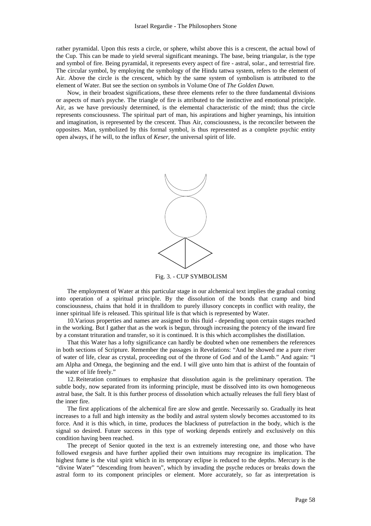rather pyramidal. Upon this rests a circle, or sphere, whilst above this is a crescent, the actual bowl of the Cup. This can be made to yield several significant meanings. The base, being triangular, is the type and symbol of fire. Being pyramidal, it represents every aspect of fire - astral, solar., and terrestrial fire. The circular symbol, by employing the symbology of the Hindu tattwa system, refers to the element of Air. Above the circle is the crescent, which by the same system of symbolism is attributed to the element of Water. But see the section on symbols in Volume One of *The Golden Dawn.*

Now, in their broadest significations, these three elements refer to the three fundamental divisions or aspects of man's psyche. The triangle of fire is attributed to the instinctive and emotional principle. Air, as we have previously determined, is the elemental characteristic of the mind; thus the circle represents consciousness. The spiritual part of man, his aspirations and higher yearnings, his intuition and imagination, is represented by the crescent. Thus Air, consciousness, is the reconciler between the opposites. Man, symbolized by this formal symbol, is thus represented as a complete psychic entity open always, if he will, to the influx of *Keser,* the universal spirit of life.



Fig. 3. - CUP SYMBOLISM

The employment of Water at this particular stage in our alchemical text implies the gradual coming into operation of a spiritual principle. By the dissolution of the bonds that cramp and bind consciousness, chains that hold it in thralldom to purely illusory concepts in conflict with reality, the inner spiritual life is released. This spiritual life is that which is represented by Water.

10.Various properties and names are assigned to this fluid - depending upon certain stages reached in the working. But I gather that as the work is begun, through increasing the potency of the inward fire by a constant trituration and transfer, so it is continued. It is this which accomplishes the distillation.

That this Water has a lofty significance can hardly be doubted when one remembers the references in both sections of Scripture. Remember the passages in Revelations: "And he showed me a pure river of water of life, clear as crystal, proceeding out of the throne of God and of the Lamb." And again: "I am Alpha and Omega, the beginning and the end. I will give unto him that is athirst of the fountain of the water of life freely."

12. Reiteration continues to emphasize that dissolution again is the preliminary operation. The subtle body, now separated from its informing principle, must be dissolved into its own homogeneous astral base, the Salt. It is this further process of dissolution which actually releases the full fiery blast of the inner fire.

The first applications of the alchemical fire are slow and gentle. Necessarily so. Gradually its heat increases to a full and high intensity as the bodily and astral system slowly becomes accustomed to its force. And it is this which, in time, produces the blackness of putrefaction in the body, which is the signal so desired. Future success in this type of working depends entirely and exclusively on this condition having been reached.

The precept of Senior quoted in the text is an extremely interesting one, and those who have followed exegesis and have further applied their own intuitions may recognize its implication. The highest fume is the vital spirit which in its temporary eclipse is reduced to the depths. Mercury is the "divine Water" "descending from heaven", which by invading the psyche reduces or breaks down the astral form to its component principles or element. More accurately, so far as interpretation is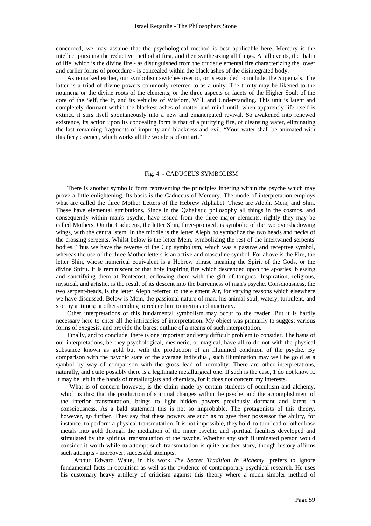concerned, we may assume that the psychological method is best applicable here. Mercury is the intellect pursuing the reductive method at first, and then synthesizing all things. At all events, the balm of life, which is the divine fire - as distinguished from the cruder elemental fire characterizing the lower and earlier forms of procedure - is concealed within the black ashes of the disintegrated body.

As remarked earlier, our symbolism switches over to, or is extended to include, the Supemals. The latter is a triad of divine powers commonly referred to as a unity. The trinity may be likened to the noumena or the divine roots of the elements, or the three aspects or facets of the Higher Soul, of the core of the Self, the It, and its vehicles of Wisdom, Will, and Understanding. This unit is latent and completely dormant within the blackest ashes of matter and mind until, when apparently life itself is extinct, it stirs itself spontaneously into a new and emancipated revival. So awakened into renewed existence, its action upon its concealing form is that of a purifying fire, of cleansing water, eliminating the last remaining fragments of impurity and blackness and evil. "Your water shall be animated with this fiery essence, which works all the wonders of our art."

### Fig. 4. - CADUCEUS SYMBOLISM

There is another symbolic form representing the principles inhering within the psyche which may prove a little enlightening. Its basis is the Caduceus of Mercury. The mode of interpretation employs what are called the three Mother Letters of the Hebrew Alphabet. These are Aleph, Mem, and Shin. These have elemental attributions. Since in the Qabalistic philosophy all things in the cosmos, and consequently within man's psyche, have issued from the three major elements, rightly they may be called Mothers. On the Caduceus, the letter Shin, three-pronged, is symbolic of the two overshadowing wings, with the central stem. In the middle is the letter Aleph, to symbolize the two heads and necks of the crossing serpents. Whilst below is the letter Mem, symbolizing the rest of the intertwined serpents' bodies. Thus we have the reverse of the Cup symbolism, which was a passive and receptive symbol, whereas the use of the three Mother letters is an active and masculine symbol. For above is the Fire, the letter Shin, whose numerical equivalent is a Hebrew phrase meaning the Spirit of the Gods, or the divine Spirit. It is reminiscent of that holy inspiring fire which descended upon the apostles, blessing and sanctifying them at Pentecost, endowing them with the gift of tongues. Inspiration, religious, mystical, and artistic, is the result of its descent into the barrenness of man's psyche. Consciousness, the two serpent-heads, is the letter Aleph referred to the element Air, for varying reasons which elsewhere we have discussed. Below is Mem, the passional nature of man, his animal soul, watery, turbulent, and stormy at times; at others tending to reduce him to inertia and inactivity.

Other interpretations of this fundamental symbolism may occur to the reader. But it is hardly necessary here to enter all the intricacies of interpretation. My object was primarily to suggest various forms of exegesis, and provide the barest outline of a means of such interpretation.

Finally, and to conclude, there is one important and very difficult problem to consider. The basis of our interpretations, be they psychological, mesmeric, or magical, have all to do not with the physical substance known as gold but with the production of an illumined condition of the psyche. By comparison with the psychic state of the average individual, such illumination may well be gold as a symbol by way of comparison with the gross lead of normality. There are other interpretations, naturally, and quite possibly there is a legitimate metallurgical one. If such is the case, 1 do not know it. It may be left in the hands of metallurgists and chemists, for it does not concern my interests.

What is of concern however, is the claim made by certain students of occultism and alchemy, which is this: that the production of spiritual changes within the psyche, and the accomplishment of the interior transmutation, brings to light hidden powers previously dormant and latent in consciousness. As a bald statement this is not so improbable. The protagonists of this theory, however, go further. They say that these powers are such as to give their possessor the ability, for instance, to perform a physical transmutation. It is not impossible, they hold, to turn lead or other base metals into gold through the mediation of the inner psychic and spiritual faculties developed and stimulated by the spiritual transmutation of the psyche. Whether any such illuminated person would consider it worth while to attempt such transmutation is quite another story, though history affirms such attempts - moreover, successful attempts.

Arthur Edward Waite, in his work *The Secret Tradition in Alchemy,* prefers to ignore fundamental facts in occultism as well as the evidence of contemporary psychical research. He uses his customary heavy artillery of criticism against this theory where a much simpler method of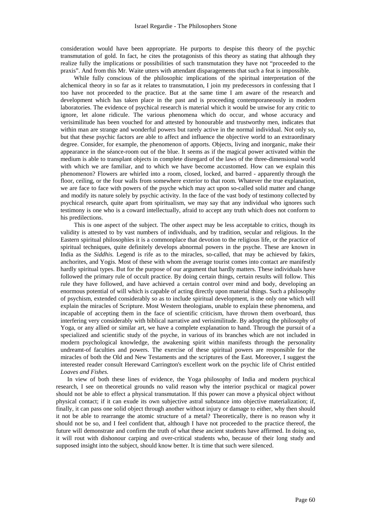consideration would have been appropriate. He purports to despise this theory of the psychic transmutation of gold. In fact, he cites the protagonists of this theory as stating that although they realize fully the implications or possibilities of such transmutation they have not "proceeded to the praxis". And from this Mr. Waite utters with attendant disparagements that such a feat is impossible.

While fully conscious of the philosophic implications of the spiritual interpretation of the alchemical theory in so far as it relates to transmutation, I join my predecessors in confessing that I too have not proceeded to the practice. But at the same time I am aware of the research and development which has taken place in the past and is proceeding contemporaneously in modern laboratories. The evidence of psychical research is material which it would be unwise for any critic to ignore, let alone ridicule. The various phenomena which do occur, and whose accuracy and verisimilitude has been vouched for and attested by honourable and trustworthy men, indicates that within man are strange and wonderful powers but rarely active in the normal individual. Not only so, but that these psychic factors are able to affect and influence the objective world to an extraordinary degree. Consider, for example, the phenomenon of apports. Objects, living and inorganic, make their appearance in the séance-room out of the blue. It seems as if the magical power activated within the medium is able to transplant objects in complete disregard of the laws of the three-dimensional world with which we are familiar, and to which we have become accustomed. How can we explain this phenomenon? Flowers are whirled into a room, closed, locked, and barred - apparently through the floor, ceiling, or the four walls from somewhere exterior to that room. Whatever the true explanation, we are face to face with powers of the psyche which may act upon so-called solid matter and change and modify its nature solely by psychic activity. In the face of the vast body of testimony collected by psychical research, quite apart from spiritualism, we may say that any individual who ignores such testimony is one who is a coward intellectually, afraid to accept any truth which does not conform to his predilections.

This is one aspect of the subject. The other aspect may be less acceptable to critics, though its validity is attested to by vast numbers of individuals, and by tradition, secular and religious. In the Eastern spiritual philosophies it is a commonplace that devotion to the religious life, or the practice of spiritual techniques, quite definitely develops abnormal powers in the psyche. These are known in India as the *Siddhis.* Legend is rife as to the miracles, so-called, that may be achieved by fakirs, anchorites, and Yogis. Most of these with whom the average tourist comes into contact are manifestly hardly spiritual types. But for the purpose of our argument that hardly matters. These individuals have followed the primary rule of occult practice. By doing certain things, certain results will follow. This rule they have followed, and have achieved a certain control over mind and body, developing an enormous potential of will which is capable of acting directly upon material things. Such a philosophy of psychism, extended considerably so as to include spiritual development, is the only one which will explain the miracles of Scripture. Most Western theologians, unable to explain these phenomena, and incapable of accepting them in the face of scientific criticism, have thrown them overboard, thus interfering very considerably with biblical narrative and verisimilitude. By adopting the philosophy of Yoga, or any allied or similar art, we have a complete explanation to hand. Through the pursuit of a specialized and scientific study of the psyche, in various of its branches which are not included in modern psychological knowledge, the awakening spirit within manifests through the personality undreamt-of faculties and powers. The exercise of these spiritual powers are responsible for the miracles of both the Old and New Testaments and the scriptures of the East. Moreover, I suggest the interested reader consult Hereward Carrington's excellent work on the psychic life of Christ entitled *Loaves and Fishes.*

In view of both these lines of evidence, the Yoga philosophy of India and modern psychical research, I see on theoretical grounds no valid reason why the interior psychical or magical power should not be able to effect a physical transmutation. If this power can move a physical object without physical contact; if it can exude its own subjective astral substance into objective materialization; if, finally, it can pass one solid object through another without injury or damage to either, why then should it not be able to rearrange the atomic structure of a metal? Theoretically, there is no reason why it should not be so, and I feel confident that, although I have not proceeded to the practice thereof, the future will demonstrate and confirm the truth of what these ancient students have affirmed. In doing so, it will rout with dishonour carping and over-critical students who, because of their long study and supposed insight into the subject, should know better. It is time that such were silenced.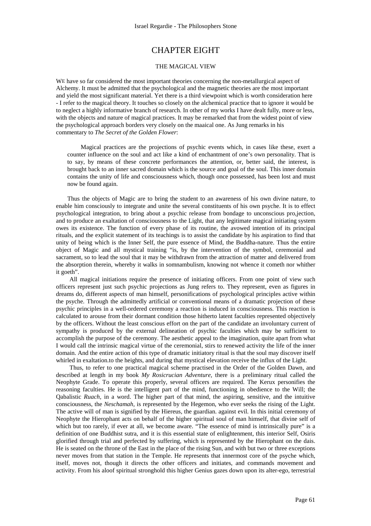# CHAPTER EIGHT

## THE MAGICAL VIEW

WE have so far considered the most important theories concerning the non-metallurgical aspect of Alchemy. It must be admitted that the psychological and the magnetic theories are the most important and yield the most significant material. Yet there is a third viewpoint which is worth consideration here - I refer to the magical theory. It touches so closely on the alchemical practice that to ignore it would be to neglect a highly informative branch of research. In other of my works I have dealt fully, more or less, with the objects and nature of magical practices. It may be remarked that from the widest point of view the psychological approach borders very closely on the maaical one. As Jung remarks in his commentary to *The Secret of the Golden Flower*:

Magical practices are the projections of psychic events which, in cases like these, exert a counter influence on the soul and act like a kind of enchantment of one's own personality. That is to say, by means of these concrete performances the attention, or, better said, the interest, is brought back to an inner sacred domain which is the source and goal of the soul. This inner domain contains the unity of life and consciousness which, though once possessed, has been lost and must now be found again.

Thus the objects of Magic are to bring the student to an awareness of his own divine nature, to enable him consciously to integrate and unite the several constituents of his own psyche. It is to effect psychological integration, to bring about a psychic release from bondage to unconscious pro,jection, and to produce an exaltation of consciousness to the Light, that any legitimate magical initiating system owes its existence. The function of every phase of its routine, the avowed intention of its principal rituals, and the explicit statement of its teachings is to assist the candidate by his aspiration to find that unity of being which is the Inner Self, the pure essence of Mind, the Buddha-nature. Thus the entire object of Magic and all mystical training "is, by the intervention of the symbol, ceremonial and sacrament, so to lead the soul that it may be withdrawn from the attraction of matter and delivered from the absorption therein, whereby it walks in somnambulism, knowing not whence it cometh nor whither it goeth".

All magical initiations require the presence of initiating officers. From one point of view such officers represent just such psychic projections as Jung refers to. They represent, even as figures in dreams do, different aspects of man himself, personifications of psychological principles active within the psyche. Through the admittedly artificial or conventional means of a dramatic projection of these psychic principles in a well-ordered ceremony a reaction is induced in consciousness. This reaction is calculated to arouse from their dormant condition those hitherto latent faculties represented objectively by the officers. Without the least conscious effort on the part of the candidate an involuntary current of sympathy is produced by the external delineation of psychic faculties which may be sufficient to accomplish the purpose of the ceremony. The aesthetic appeal to the imagination, quite apart from what I would call the intrinsic magical virtue of the ceremonial, stirs to renewed activity the life of the inner domain. And the entire action of this type of dramatic initiatory ritual is that the soul may discover itself whirled in exaltation.to the heights, and during that mystical elevation receive the influx of the Light.

Thus, to refer to one practical magical scheme practised in the Order of the Golden Dawn, and described at length in my book *My Rosicrucian Adventure,* there is a preliminary ritual called the Neophyte Grade. To operate this properly, several officers are required. The Kerux personifies the reasoning faculties. He is the intelligent part of the mind, functioning in obedience to the Will; the Qabalistic *Ruach,* in a word. The higher part of that mind, the aspiring, sensitive, and the intuitive consciousness, the *Neschamah*, is represented by the Hegemon, who ever seeks the rising of the Light. The active will of man is signified by the Hiereus, the guardian. against evil. In this initial ceremony of Neophyte the Hierophant acts on behalf of the higher spiritual soul of man himself, that divine self of which but too rarely, if ever at all, we become aware. "The essence of mind is intrinsically pure" is a definition of one Buddhist sutra, and it is this essential state of enlightenment, this interior Self, Osiris glorified through trial and perfected by suffering, which is represented by the Hierophant on the dais. He is seated on the throne of the East in the place of the rising Sun, and with but two or three exceptions never moves from that station in the Temple. He represents that innermost core of the psyche which, itself, moves not, though it directs the other officers and initiates, and commands movement and activity. From his aloof spiritual stronghold this higher Genius gazes down upon its alter-ego, terrestrial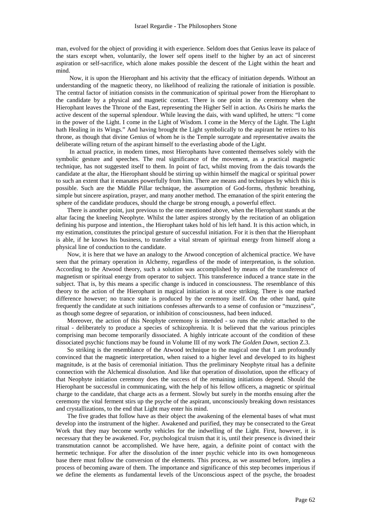man, evolved for the object of providing it with experience. Seldom does that Genius leave its palace of the stars except when, voluntarily, the lower self opens itself to the higher by an act of sincerest aspiration or self-sacrifice, which alone makes possible the descent of the Light within the heart and mind.

Now, it is upon the Hierophant and his activity that the efficacy of initiation depends. Without an understanding of the magnetic theory, no likelihood of realizing the rationale of initiation is possible. The central factor of initiation consists in the communication of spiritual power from the Hierophant to the candidate by a physical and magnetic contact. There is one point in the ceremony when the Hierophant leaves the Throne of the East, representing the Higher Self in action. As Osiris he marks the active descent of the supernal splendour. While leaving the dais, with wand uplifted, he utters: "I come in the power of the Light. I come in the Light of Wisdom. I come in the Mercy of the Light. The Light hath Healing in its Wings." And having brought the Light symbolically to the aspirant he retires to his throne, as though that divine Genius of whom he is the Temple surrogate and representative awaits the deliberate willing return of the aspirant himself to the everlasting abode of the Light.

In actual practice, in modern times, most Hierophants have contented themselves solely with the symbolic gesture and speeches. The real significance of the movement, as a practical magnetic technique, has not suggested itself to them. In point of fact, whilst moving from the dais towards the candidate at the altar, the Hierophant should be stirring up within himself the magical or spiritual power to such an extent that it emanates powerfully from him. There are means and techniques by which this is possible. Such are the Middle Pillar technique, the assumption of God-forms, rhythmic breathing, simple but sincere aspiration, prayer, and many another method. The emanation of the spirit entering the sphere of the candidate produces, should the charge be strong enough, a powerful effect.

There is another point, just previous to the one mentioned above, when the Hierophant stands at the altar facing the kneeling Neophyte. Whilst the latter aspires strongly by the recitation of an obligation defining his purpose and intention., the Hierophant takes hold of his left hand. It is this action which, in my estimation, constitutes the principal gesture of successful initiation. For it is then that the Hierophant is able, if he knows his business, to transfer a vital stream of spiritual energy from himself along a physical line of conduction to the candidate.

Now, it is here that we have an analogy to the Atwood conception of alchemical practice. We have seen that the primary operation in Alchemy, regardless of the mode of interpretation, is the solution. According to the Atwood theory, such a solution was accomplished by means of the transference of magnetism or spiritual energy from operator to subject. This transference induced a trance state in the subject. That is, by this means a specific change is induced in consciousness. The resemblance of this theory to the action of the Hierophant in magical initiation is at once striking. There is one marked difference however; no trance state is produced by the ceremony itself. On the other hand, quite frequently the candidate at such initiations confesses afterwards to a sense of confusion or "muzziness", as though some degree of separation, or inhibition of consciousness, had been induced.

Moreover, the action of this Neophyte ceremony is intended - so runs the rubric attached to the ritual - deliberately to produce a species of schizophrenia. It is believed that the various principles comprising man become temporarily dissociated. A highly intricate account of the condition of these dissociated psychic functions may be found in Volume III of my work *The Golden Dawn,* section Z.3.

So striking is the resemblance of the Atwood technique to the magical one that 1 am profoundly convinced that the magnetic interpretation, when raised to a higher level and developed to its highest magnitude, is at the basis of ceremonial initiation. Thus the preliminary Neophyte ritual has a definite connection with the Alchemical dissolution. And like that operation of dissolution, upon the efficacy of that Neophyte initiation ceremony does the success of the remaining initiations depend. Should the Hierophant be successful in communicating, with the help of his fellow officers, a magnetic or spiritual charge to the candidate, that charge acts as a ferment. Slowly but surely in the months ensuing after the ceremony the vital ferment stirs up the psyche of the aspirant, unconsciously breaking down resistances and crystallizations, to the end that Light may enter his mind.

The five grades that follow have as their object the awakening of the elemental bases of what must develop into the instrument of the higher. Awakened and purified, they may be consecrated to the Great Work that they may become worthy vehicles for the indwelling of the Light. First, however, it is necessary that they be awakened. For, psychological truism that it is, until their presence is divined their transmutation cannot be accomplished. We have here, again, a definite point of contact with the hermetic technique. For after the dissolution of the inner psychic vehicle into its own homogeneous base there must follow the conversion of the elements. This process, as we assumed before, implies a process of becoming aware of them. The importance and significance of this step becomes imperious if we define the elements as fundamental levels of the Unconscious aspect of the psyche, the broadest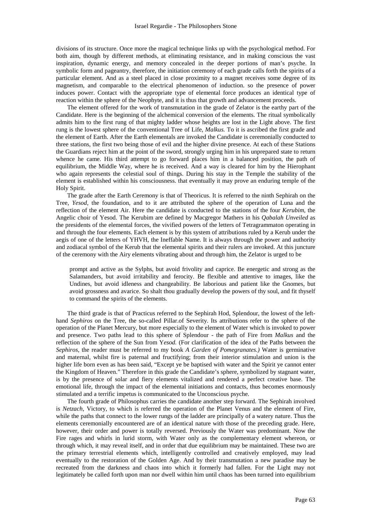divisions of its structure. Once more the magical technique links up with the psychological method. For both aim, though by different methods, at eliminating resistance, and in making conscious the vast inspiration, dynamic energy, and memory concealed in the deeper portions of man's psyche. In symbolic form and pageantry, therefore, the initiation ceremony of each grade calls forth the spirits of a particular element. And as a steel placed in close proximity to a magnet receives some degree of its magnetism, and comparable to the electrical phenomenon of induction. so the presence of power induces power. Contact with the appropriate type of elemental force produces an identical type of reaction within the sphere of the Neophyte, and it is thus that growth and advancement proceeds.

The element offered for the work of transmutation in the grade of Zelator is the earthy part of the Candidate. Here is the beginning of the alchemical conversion of the elements. The ritual symbolically admits him to the first rung of that mighty ladder whose heights are lost in the Light above. The first rung is the lowest sphere of the conventional Tree of Life, *Malkus.* To it is ascribed the first grade and the element of Earth. After the Earth elementals are invoked the Candidate is ceremonially conducted to three stations, the first two being those of evil and the higher divine presence. At each of these Stations the Guardians reject him at the point of the sword, strongly urging him in his unprepared state to return whence he came. His third attempt to go forward places him in a balanced position, the path of equilibrium, the Middle Way, where he is received. And a way is cleared for him by the Hierophant who again represents the celestial soul of things. During his stay in the Temple the stability of the element is established within his consciousness. that eventually it may prove an enduring temple of the Holy Spirit.

The grade after the Earth Ceremony is that of Theoricus. It is referred to the ninth Sephirah on the Tree, *Yesod*, the foundation, and to it are attributed the sphere of the operation of Luna and the reflection of the element Air. Here the candidate is conducted to the stations of the four *Kerubim,* the Angelic choir of Yesod. The Kerubim are defined by Macgregor Mathers in his *Qabalah Unveiled* as the presidents of the elemental forces, the vivified powers of the letters of Tetragrammaton operating in and through the four elements. Each element is by this system of attributions ruled by a Kerub under the aegis of one of the letters of YHVH, the Ineffable Name. It is always through the power and authority and zodiacal symbol of the Kerub that the elemental spirits and their rulers are invoked. At this juncture of the ceremony with the Airy elements vibrating about and through him, the Zelator is urged to be

prompt and active as the Sylphs, but avoid frivolity and caprice. Be energetic and strong as the Salamanders, but avoid irritability and ferocity. Be flexible and attentive to images, like the Undines, but avoid idleness and changeability. Be laborious and patient like the Gnomes, but avoid grossness and avarice. So shalt thou gradually develop the powers of thy soul, and fit thyself to command the spirits of the elements.

The third grade is that of Practicus referred to the Sephirah Hod, Splendour, the lowest of the lefthand *Sephiros* on the Tree, the so-called Pillar.of Severity. Its attributions refer to the sphere of the operation of the Planet Mercury, but more especially to the element of Water which is invoked to power and presence. Two paths lead to this sphere of Splendour - the path of Fire from *Malkus* and the reflection of the sphere of the Sun from Y*esod.* (For clarification of the idea of the Paths between the *Sephiros,* the reader must be referred to my book *A Garden of Pomegranates.)* Water is germinative and maternal, whilst fire is paternal and fructifying; from their interior stimulation and union is the higher life born even as has been said, "Except ye be baptised with water and the Spirit ye cannot enter the Kingdom of Heaven." Therefore in this grade the Candidate's sphere, symbolized by stagnant water, is by the presence of solar and fiery elements vitalized and rendered a perfect creative base. The emotional life, through the impact of the elemental initiations and contacts, thus becomes enormously stimulated and a terrific impetus is communicated to the Unconscious psyche.

The fourth grade of Philosophus carries the candidate another step forward. The Sephirah involved is *Netzach*, Victory, to which is referred the operation of the Planet Venus and the element of Fire, while the paths that connect to the lower rungs of the ladder are principally of a watery nature. Thus the elements ceremonially encountered are of an identical nature with those of the preceding grade. Here, however, their order and power is totally reversed. Previously the Water was predominant. Now the Fire rages and whirls in lurid storm, with Water only as the complementary element whereon, or through which, it may reveal itself, and in order that due equilibrium may be maintained. These two are the primary terrestrial elements which, intelligently controlled and creatively employed, may lead eventually to the restoration of the Golden Age. And by their transmutation a new paradise may be recreated from the darkness and chaos into which it formerly had fallen. For the Light may not legitimately be called forth upon man nor dwell within him until chaos has been turned into equilibrium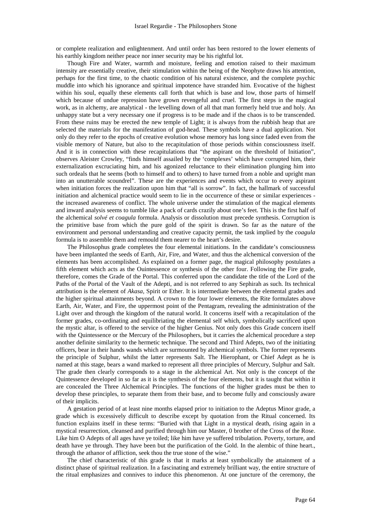or complete realization and enlightenment. And until order has been restored to the lower elements of his earthly kingdom neither peace nor inner security may be his rightful lot.

Though Fire and Water, warmth and moisture, feeling and emotion raised to their maximum intensity are essentially creative, their stimulation within the being of the Neophyte draws his attention, perhaps for the first time, to the chaotic condition of his natural existence, and the complete psychic muddle into which his ignorance and spiritual impotence have stranded him. Evocative of the highest within his soul, equally these elements call forth that which is base and low, those parts of himself which because of undue repression have grown revengeful and cruel. The first steps in the magical work, as in alchemy, are analytical - the levelling down of all that man formerly held true and holy. An unhappy state but a very necessary one if progress is to be made and if the chaos is to be transcended. From these ruins may be erected the new temple of Light; it is always from the rubbish heap that are selected the materials for the manifestation of god-head. These symbols have a dual application. Not only do they refer to the epochs of creative evolution whose memory has long since faded even from the visible memory of Nature, but also to the recapitulation of those periods within consciousness itself. And it is in connection with these recapitulations that "the aspirant on the threshold of Initiation", observes Aleister Crowley, "finds himself assailed by the 'complexes' which have corrupted him, their externalization excruciating him, and his agonized reluctance to their elimination plunging him into such ordeals that he seems (both to himself and to others) to have turned from a noble and upright man into an unutterable scoundrel". These are the experiences and events which occur to every aspirant when initiation forces the realization upon him that "all is sorrow". In fact, the hallmark of successful initiation and alchemical practice would seem to lie in the occurrence of these or similar experiences the increased awareness of conflict. The whole universe under the stimulation of the magical elements and inward analysis seems to tumble like a pack of cards crazily about one's feet. This is the first half of the alchemical *solvé et coagula* formula. Analysis or dissolution must precede synthesis. Corruption is the primitive base from which the pure gold of the spirit is drawn. So far as the nature of the environment and personal understanding and creative capacity permit, the task implied by the *coagula*  formula is to assemble them and remould them nearer to the heart's desire.

The Philosophus grade completes the four elemental initiations. In the candidate's consciousness have been implanted the seeds of Earth, Air, Fire, and Water, and thus the alchemical conversion of the elements has been accomplished. As explained on a former page, the magical philosophy postulates a fifth element which acts as the Ouintessence or synthesis of the other four. Following the Fire grade, therefore, comes the Grade of the Portal. This conferred upon the candidate the title of the Lord of the Paths of the Portal of the Vault of the Adepti, and is not referred to any Sephirah as such. Its technical attribution is the element of *Akasa,* Spirit or Ether. It is intermediate between the elemental grades and the higher spiritual attainments beyond. A crown to the four lower elements, the Rite formulates above Earth, Air, Water, and Fire, the uppermost point of the Pentagram, revealing the administration of the Light over and through the kingdom of the natural world. It concerns itself with a recapitulation of the former grades, co-ordinating and equilibriating the elemental self which, symbolically sacrificed upon the mystic altar, is offered to the service of the higher Genius. Not only does this Grade concern itself with the Quintessence or the Mercury of the Philosophers, but it carries the alchemical procedure a step another definite similarity to the hermetic technique. The second and Third Adepts, two of the initiating officers, bear in their hands wands which are surmounted by alchemical symbols. The former represents the principle of Sulphur, whilst the latter represents Salt. The Hierophant, or Chief Adept as he is named at this stage, bears a wand marked to represent all three principles of Mercury, Sulphur and Salt. The grade then clearly corresponds to a stage in the alchemical Art. Not only is the concept of the Quintessence developed in so far as it is the synthesis of the four elements, but it is taught that within it are concealed the Three Alchemical Principles. The functions of the higher grades must be then to develop these principles, to separate them from their base, and to become fully and consciously aware of their implicits.

A gestation period of at least nine months elapsed prior to initiation to the Adeptus Minor grade, a grade which is excessively difficult to describe except by quotation from the Ritual concerned. Its function explains itself in these terms: "Buried with that Light in a mystical death, rising again in a mystical resurrection, cleansed and purified through him our Master, 0 brother of the Cross of the Rose. Like him O Adepts of all ages have ye toiled; like him have ye suffered tribulation. Poverty, torture, and death have ye through. They have been but the purification of the Gold. In the alembic of thine heart., through the athanor of affliction, seek thou the true stone of the wise."

The chief characteristic of this grade is that it marks at least symbolically the attainment of a distinct phase of spiritual realization. In a fascinating and extremely brilliant way, the entire structure of the ritual emphasizes and connives to induce this phenomenon. At one juncture of the ceremony, the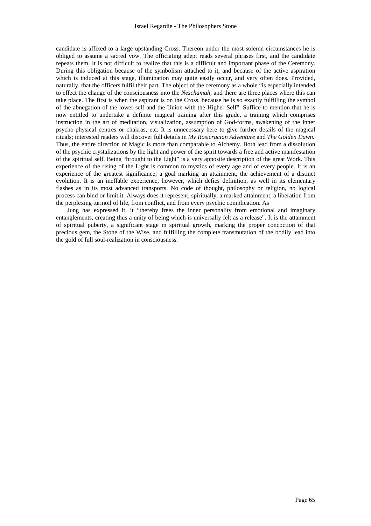candidate is affixed to a large upstanding Cross. Thereon under the most solemn circumstances he is obliged to assume a sacred vow. The officiating adept reads several phrases first, and the candidate repeats them. It is not difficult to realize that this is a difficult and important phase of the Ceremony. During this obligation because of the symbolism attached to it, and because of the active aspiration which is induced at this stage, illumination may quite easily occur, and very often does. Provided, naturally, that the officers fulfil their part. The object of the ceremony as a whole "is especially intended to effect the change of the consciousness into the *Neschamah,* and there are three places where this can take place. The first is when the aspirant is on the Cross, because he is so exactly fulfilling the symbol of the abnegation of the lower self and the Union with the Higher Self". Suffice to mention that he is now entitled to undertake a definite magical training after this grade, a training which comprises instruction in the art of meditation, visualization, assumption of God-forms, awakening of the inner psycho-physical centres or chakras, etc. It is unnecessary here to give further details of the magical rituals; interested readers will discover full details in *My Rosicrucian Adventure* and *The Golden Dawn.* Thus, the entire direction of Magic is more than comparable to Alchemy. Both lead from a dissolution of the psychic crystalizations by the light and power of the spirit towards a free and active manifestation of the spiritual self. Being "brought to the Light" is a very apposite description of the great Work. This experience of the rising of the Light is common to mystics of every age and of every people. It is an experience of the greatest significance, a goal marking an attainment, the achievement of a distinct evolution. It is an ineffable experience, however, which defies definition, as well in its elementary flashes as in its most advanced transports. No code of thought, philosophy or religion, no logical process can bind or limit it. Always does it represent, spiritually, a marked attainment, a liberation from the perplexing turmoil of life, from conflict, and from every psychic complication. As

Jung has expressed it, it "thereby frees the inner personality from emotional and imaginary entanglements, creating thus a unity of being which is universally felt as a release". It is the attainment of spiritual puberty, a significant stage m spiritual growth, marking the proper concoction of that precious gem, the Stone of the Wise, and fulfilling the complete transmutation of the bodily lead into the gold of full soul-realization in consciousness.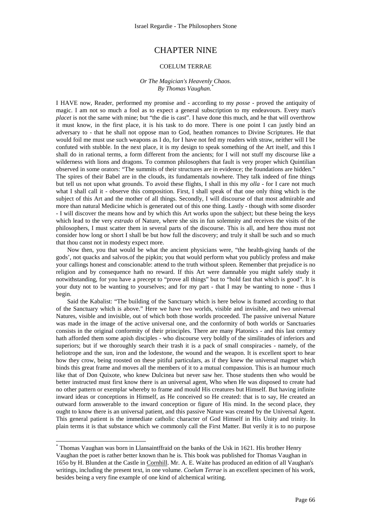# CHAPTER NINE

## COELUM TERRAE

## *Or The Magician's Heavenly Chaos. By Thomas Vaughan.\**

I HAVE now, Reader, performed my promise and - according to my *posse* - proved the antiquity of magic. I am not so much a fool as to expect a general subscription to my endeavours. Every man's *placet* is not the same with mine; but "the die is cast". I have done this much, and he that will overthrow it must know, in the first place, it is his task to do more. There is one point I can justly bind an adversary to - that he shall not oppose man to God, heathen romances to Divine Scriptures. He that would foil me must use such weapons as I do, for I have not fed my readers with straw, neither will I be confuted with stubble. In the next place, it is my design to speak something of the Art itself, and this I shall do in rational terms, a form different from the ancients; for I will not stuff my discourse like a wilderness with lions and dragons. To common philosophers that fault is very proper which Quintilian observed in some orators: "The summits of their structures are in evidence; the foundations are hidden." The spires of their Babel are in the clouds, its fundamentals nowhere. They talk indeed of fine things but tell us not upon what grounds. To avoid these flights, I shall in this my *olla* - for I care not much what I shall call it - observe this composition. First, I shall speak of that one only thing which is the subject of this Art and the mother of all things. Secondly, I will discourse of that most admirable and more than natural Medicine which is generated out of this one thing. Lastly - though with some disorder - I will discover the means how and by which this Art works upon the subject; but these being the keys which lead to the very *estrado* of Nature, where she sits in fun solemnity and receives the visits of the philosophers, I must scatter them in several parts of the discourse. This is all, and here thou must not consider how long or short I shall be but how full the discovery; and truly it shall be such and so much that thou canst not in modesty expect more.

Now then, you that would be what the ancient physicians were, "the health-giving hands of the gods', not quacks and salvos.of the pipkin; you that would perform what you publicly profess and make your callings honest and conscionable: attend to the truth without spleen. Remember that prejudice is no religion and by consequence hath no reward. If this Art were damnable you might safely study it notwithstanding, for you have a precept to "prove all things" but to "hold fast that which is good". It is your duty not to be wanting to yourselves; and for my part - that I may be wanting to none - thus I begin.

Said the Kabalist: "The building of the Sanctuary which is here below is framed according to that of the Sanctuary which is above." Here we have two worlds, visible and invisible, and two universal Natures, visible and invisible, out of which both those worlds proceeded. The passive universal Nature was made in the image of the active universal one, and the conformity of both worlds or Sanctuaries consists in the original conformity of their principles. There are many Platonics - and this last century hath afforded them some apish disciples - who discourse very boldly of the similitudes of inferiors and superiors; but if we thoroughly search their trash it is a pack of small conspiracies - namely, of the heliotrope and the sun, iron and the lodestone, the wound and the weapon. It is excellent sport to hear how they crow, being roosted on these pitiful particulars, as if they knew the universal magnet which binds this great frame and moves all the members of it to a mutual compassion. This is an humour much like that of Don Quixote, who knew Dulcinea but never saw her. Those students then who would be better instructed must first know there is an universal agent, Who when He was disposed to create had no other pattern or exemplar whereby to frame and mould His creatures but Himself. But having infinite inward ideas or conceptions in Himself, as He conceived so He created: that is to say, He created an outward form answerable to the inward conception or figure of His mind. In the second place, they ought to know there is an universal patient, and this passive Nature was created by the Universal Agent. This general patient is the immediate catholic character of God Himself in His Unity and trinity. In plain terms it is that substance which we commonly call the First Matter. But verily it is to no purpose

l

<sup>\*</sup> Thomas Vaughan was born in Llansaintffraid on the banks of the Usk in 1621. His brother Henry

Vaughan the poet is rather better known than he is. This book was published for Thomas Vaughan in 165o by H. Blunden at the Castle in Cornhill. Mr. A. E. Waite has produced an edition of all Vaughan's writings, including the present text, in one volume. *Coelum Terrae* is an excellent specimen of his work, besides being a very fine example of one kind of alchemical writing.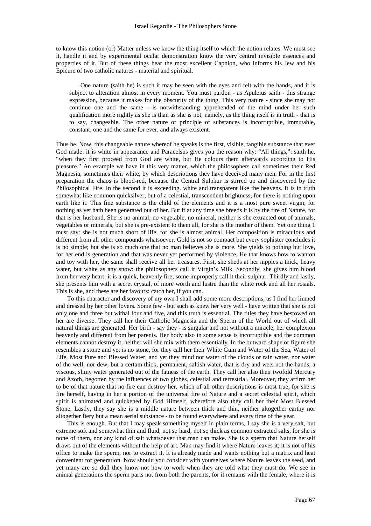to know this notion (or) Matter unless we know the thing itself to which the notion relates. We must see it, handle it and by experimental ocular demonstration know the very central invisible essences and properties of it. But of these things hear the most excellent Capnion, who informs his Jew and his Epicure of two catholic natures - material and spiritual.

One nature (saith he) is such it may be seen with the eyes and felt with the hands, and it is subject to alteration almost in every moment. You must pardon - as Apuleius saith - this strange expression, because it makes for the obscurity of the thing. This very nature - since she may not continue one and the same - is notwithstanding apprehended of the mind under her such qualification more rightly as she is than as she is not, namely, as the thing itself is in truth - that is to say, changeable. The other nature or principle of substances is incorruptible, immutable, constant, one and the same for ever, and always existent.

Thus he. Now, this changeable nature whereof he speaks is the first, visible, tangible substance that ever God made: it is white in appearance and Paracelsus gives you the reason why: "All things,": saith he, "when they first proceed from God are white, but He colours them afterwards according to His pleasure." An example we have in this very matter, which the philosophers call sometimes their Red Magnesia, sometimes their white, by which descriptions they have deceived many men. For in the first preparation the chaos is blood-red, because the Central Sulphur is stirred up and discovered by the Philosophical Fire. In the second it is exceeding. white and transparent like the heavens. It is in truth somewhat like common quicksilver, but of a celestial, transcendent brightness, for there is nothing upon earth like it. This fine substance is the child of the elements and it is a most pure sweet virgin, for nothing as yet hath been generated out of her. But if at any time she breeds it is by the fire of Nature, for that is her husband. She is no animal, no vegetable, no mineral, neither is she extracted out of animals, vegetables or minerals, but she is pre-existent to them all, for she is the mother of them. Yet one thing 1 must say: she is not much short of life, for she is almost animal. Her composition is miraculous and different from all other compounds whatsoever. Gold is not so compact but every sophister concludes it is no simple; but she is so much one that no man believes she is more. She yields to nothing but love, for her end is generation and that was never yet performed by violence. He that knows how to wanton and toy with her, the same shall receive all her treasures. First, she sheds at her nipples a thick, heavy water, but white as any snow: the philosophers call it Virgin's Milk. Secondly, she gives him blood from her very heart: it is a quick, heavenly fire; some improperly call it their sulphur. Thirdly and lastly, she presents him with a secret crystal, of more worth and lustre than the white rock and all her rosials. This is she, and these are her favours: catch her, if you can.

To this character and discovery of my own I shall add some more descriptions, as I find her limned and dressed by her other lovers. Some few - but such as knew her very well - have written that she is not only one and three but withal four and five, and this truth is essential. The titles they have bestowed on her are diverse. They call her their Catholic Magnesia and the Sperm of the World out of which all natural things are generated. Her birth - say they - is singular and not without a miracle, her complexion heavenly and different from her parents. Her body also in some sense is incorruptible and the common elements cannot destroy it, neither will she mix with them essentially. In the outward shape or figure she resembles a stone and yet is no stone, for they call her their White Gum and Water of the Sea, Water of Life, Most Pure and Blessed Water; and yet they mind not water of the clouds or rain water, nor water of the well, nor dew, but a certain thick, permanent, saltish water, that is dry and wets not the hands, a viscous, slimy water generated out of the fatness of the earth. They call her also their twofold Mercury and Azoth, begotten by the influences of two globes, celestial and terrestrial. Moreover, they affirm her to be of that nature that no fire can destroy her, which of all other descriptions is most true, for she is fire herself, having in her a portion of the universal fire of Nature and a secret celestial spirit, which spirit is animated and quickened by God Himself, wherefore also they call her their Most Blessed Stone. Lastly, they say she is a middle nature between thick and thin, neither altogether earthy nor altogether fiery but a mean aerial substance - to be found everywhere and every time of the year.

This is enough. But that I may speak something myself in plain terms, I say she is a very salt, but extreme soft and somewhat thin and fluid, not so hard, not so thick as common extracted salts, for she is none of them, nor any kind of salt whatsoever that man can make. She is a sperm that Nature herself draws out of the elements without the help of art. Man may find it where Nature leaves it; it is not of his office to make the sperm, nor to extract it. It is already made and wants nothing but a matrix and heat convenient for generation. Now should you consider with yourselves where Nature leaves the seed, and yet many are so dull they know not how to work when they are told what they must do. We see in animal generations the sperm parts not from both the parents, for it remains with the female, where it is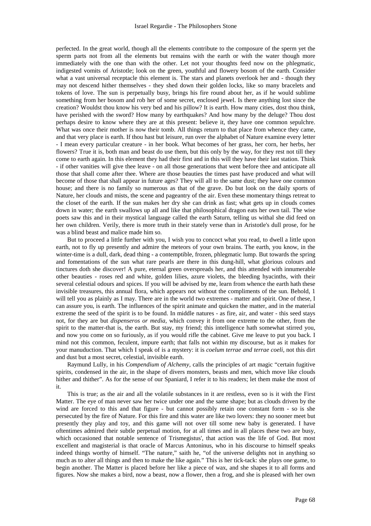perfected. In the great world, though all the elements contribute to the composure of the sperm yet the sperm parts not from all the elements but remains with the earth or with the water though more immediately with the one than with the other. Let not your thoughts feed now on the phlegmatic, indigested vomits of Aristotle; look on the green, youthful and flowery bosom of the earth. Consider what a vast universal receptacle this element is. The stars and planets overlook her and - though they may not descend hither themselves - they shed down their golden locks, like so many bracelets and tokens of love. The sun is perpetually busy, brings his fire round about her, as if he would sublime something from her bosom and rob her of some secret, enclosed jewel. Is there anything lost since the creation? Wouldst thou know his very bed and his pillow? It is earth. How many cities, dost thou think, have perished with the sword? How many by earthquakes? And how many by the deluge? Thou dost perhaps desire to know where they are at this present: believe it, they have one common sepulchre. What was once their mother is now their tomb. All things return to that place from whence they came, and that very place is earth. If thou hast but leisure, run over the alphabet of Nature examine every letter - I mean every particular creature - in her book. What becomes of her grass, her corn, her herbs, her flowers? True it is, both man and beast do use them, but this only by the way, for they rest not till they come to earth again. In this element they had their first and in this will they have their last station. Think - if other vanities will give thee leave - on all those generations that went before thee and anticipate all those that shall come after thee. Where are those beauties the times past have produced and what will become of those that shall appear in future ages? They will all to the same dust; they have one common house; and there is no family so numerous as that of the grave. Do but look on the daily sports of Nature, her clouds and mists, the scene and pageantry of the air. Even these momentary things retreat to the closet of the earth. If the sun makes her dry she can drink as fast; what gets up in clouds comes down in water; the earth swallows up all and like that philosophical dragon eats her own tail. The wise poets saw this and in their mystical language called the earth Saturn, telling us withal she did feed on her own children. Verily, there is more truth in their stately verse than in Aristotle's dull prose, for he was a blind beast and malice made him so.

But to proceed a little further with you, I wish you to concoct what you read, to dwell a little upon earth, not to fly up presently and admire the meteors of your own brains. The earth, you know, in the winter-time is a dull, dark, dead thing - a contemptible, frozen, phlegmatic lump. But towards the spring and fomentations of the sun what rare pearls are there in this dung-hill, what glorious colours and tinctures doth she discover! A pure, eternal green overspreads her, and this attended with innumerable other beauties - roses red and white, golden lilies, azure violets, the bleeding hyacinths, with their several celestial odours and spices. If you will be advised by me, learn from whence the earth hath these invisible treasures, this annual flora, which appears not without the compliments of the sun. Behold, 1 will tell you as plainly as I may. There are in the world two extremes - matter and spirit. One of these, I can assure you, is earth. The influences of the spirit animate and quicken the matter, and in the material extreme the seed of the spirit is to be found. In middle natures - as fire, air, and water - this seed stays not, for they are but *dispenseros or media,* which convey it from one extreme to the other, from the spirit to the matter-that is, the earth. But stay, my friend; this intelligence hath somewhat stirred you, and now you come on so furiously, as if you would rifle the cabinet. Give me leave to put you back. I mind not this common, feculent, impure earth; that falls not within my discourse, but as it makes for your manuduction. That which I speak of is a mystery: it is *coelum terrae and terrae coeli,* not this dirt and dust but a most secret, celestial, invisible earth.

Raymund Lully, in his *Compendium of Alchemy,* calls the principles of art magic "certain fugitive spirits, condensed in the air, in the shape of divers monsters, beasts and men, which move like clouds hither and thither". As for the sense of our Spaniard, I refer it to his readers; let them make the most of it.

This is true; as the air and all the volatile substances in it are restless, even so is it with the First Matter. The eye of man never saw her twice under one and the same shape; but as clouds driven by the wind are forced to this and that figure - but cannot possibly retain one constant form - so is she persecuted by the fire of Nature. For this fire and this water are like two lovers: they no sooner meet but presently they play and toy, and this game will not over till some new baby is generated. I have oftentimes admired their subtle perpetual motion, for at all times and in all places these two are busy, which occasioned that notable sentence of Trismegistus', that action was the life of God. But most excellent and magisterial is that oracle of Marcus Antoninus, who in his discourse to himself speaks indeed things worthy of himself. "The nature," saith he, "of the universe delights not in anything so much as to alter all things and then to make the like again." This is her tick-tack: she plays one game, to begin another. The Matter is placed before her like a piece of wax, and she shapes it to all forms and figures. Now she makes a bird, now a beast, now a flower, then a frog, and she is pleased with her own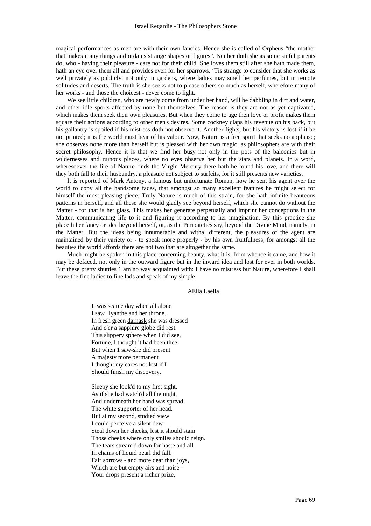magical performances as men are with their own fancies. Hence she is called of Orpheus "the mother that makes many things and ordains strange shapes or figures". Neither doth she as some sinful parents do, who - having their pleasure - care not for their child. She loves them still after she hath made them, hath an eye over them all and provides even for her sparrows. 'Tis strange to consider that she works as well privately as publicly, not only in gardens, where ladies may smell her perfumes, but in remote solitudes and deserts. The truth is she seeks not to please others so much as herself, wherefore many of her works - and those the choicest - never come to light.

We see little children, who are newly come from under her hand, will be dabbling in dirt and water, and other idle sports affected by none but themselves. The reason is they are not as yet captivated, which makes them seek their own pleasures. But when they come to age then love or profit makes them square their actions according to other men's desires. Some cockney claps his revenue on his back, but his gallantry is spoiled if his mistress doth not observe it. Another fights, but his victory is lost if it be not printed; it is the world must hear of his valour. Now, Nature is a free spirit that seeks no applause; she observes none more than herself but is pleased with her own magic, as philosophers are with their secret philosophy. Hence it is that we find her busy not only in the pots of the balconies but in wildernesses and ruinous places, where no eyes observe her but the stars and planets. In a word, wheresoever the fire of Nature finds the Virgin Mercury there hath he found his love, and there will they both fall to their husbandry, a pleasure not subject to surfeits, for it still presents new varieties.

It is reported of Mark Antony, a famous but unfortunate Roman, how he sent his agent over the world to copy all the handsome faces, that amongst so many excellent features he might select for himself the most pleasing piece. Truly Nature is much of this strain, for she hath infinite beauteous patterns in herself, and all these she would gladly see beyond herself, which she cannot do without the Matter - for that is her glass. This makes her generate perpetually and imprint her conceptions in the Matter, communicating life to it and figuring it according to her imagination. By this practice she placeth her fancy or idea beyond herself, or, as the Peripatetics say, beyond the Divine Mind, namely, in the Matter. But the ideas being innumerable and withal different, the pleasures of the agent are maintained by their variety or - to speak more properly - by his own fruitfulness, for amongst all the beauties the world affords there are not two that are altogether the same.

Much might be spoken in this place concerning beauty, what it is, from whence it came, and how it may be defaced. not only in the outward figure but in the inward idea and lost for ever in both worlds. But these pretty shuttles 1 am no way acquainted with: I have no mistress but Nature, wherefore I shall leave the fine ladies to fine lads and speak of my simple

AElia Laelia

It was scarce day when all alone I saw Hyanthe and her throne. In fresh green darnask she was dressed And o'er a sapphire globe did rest. This slippery sphere when I did see, Fortune, I thought it had been thee. But when 1 saw-she did present A majesty more permanent I thought my cares not lost if I Should finish my discovery.

Sleepy she look'd to my first sight, As if she had watch'd all the night, And underneath her hand was spread The white supporter of her head. But at my second, studied view I could perceive a silent dew Steal down her cheeks, lest it should stain Those cheeks where only smiles should reign. The tears stream'd down for haste and all In chains of liquid pearl did fall. Fair sorrows - and more dear than joys, Which are but empty airs and noise - Your drops present a richer prize,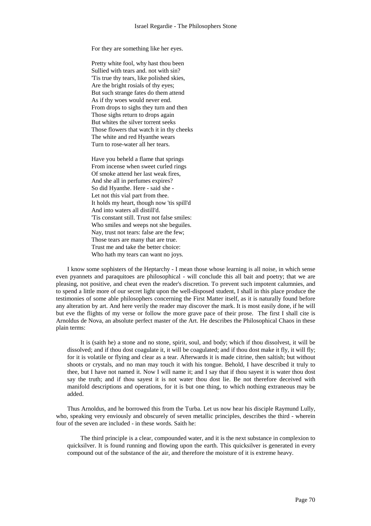For they are something like her eyes.

Pretty white fool, why hast thou been Sullied with tears and. not with sin? 'Tis true thy tears, like polished skies, Are the bright rosials of thy eyes; But such strange fates do them attend As if thy woes would never end. From drops to sighs they turn and then Those sighs return to drops again But whites the silver torrent seeks Those flowers that watch it in thy cheeks The white and red Hyanthe wears Turn to rose-water all her tears.

Have you beheld a flame that springs From incense when sweet curled rings Of smoke attend her last weak fires, And she all in perfumes expires? So did Hyanthe. Here - said she - Let not this vial part from thee. It holds my heart, though now 'tis spill'd And into waters all distill'd. 'Tis constant still. Trust not false smiles: Who smiles and weeps not she beguiles. Nay, trust not tears: false are the few; Those tears are many that are true. Trust me and take the better choice: Who hath my tears can want no joys.

I know some sophisters of the Heptarchy - I mean those whose learning is all noise, in which sense even pyannets and paraquitoes are philosophical - will conclude this all bait and poetry; that we are pleasing, not positive, and cheat even the reader's discretion. To prevent such impotent calumnies, and to spend a little more of our secret light upon the well-disposed student, I shall in this place produce the testimonies of some able philosophers concerning the First Matter itself, as it is naturally found before any alteration by art. And here verily the reader may discover the mark. It is most easily done, if he will but eve the flights of my verse or follow the more grave pace of their prose. The first I shall cite is Arnoldus de Nova, an absolute perfect master of the Art. He describes the Philosophical Chaos in these plain terms:

It is (saith he) a stone and no stone, spirit, soul, and body; which if thou dissolvest, it will be dissolved; and if thou dost coagulate it, it will be coagulated; and if thou dost make it fly, it will fly; for it is volatile or flying and clear as a tear. Afterwards it is made citrine, then saltish; but without shoots or crystals, and no man may touch it with his tongue. Behold, I have described it truly to thee, but I have not named it. Now I will name it; and I say that if thou sayest it is water thou dost say the truth; and if thou sayest it is not water thou dost lie. Be not therefore deceived with manifold descriptions and operations, for it is but one thing, to which nothing extraneous may be added.

Thus Arnoldus, and he borrowed this from the Turba. Let us now hear his disciple Raymund Lully, who, speaking very enviously and obscurely of seven metallic principles, describes the third - wherein four of the seven are included - in these words. Saith he:

The third principle is a clear, compounded water, and it is the next substance in complexion to quicksilver. It is found running and flowing upon the earth. This quicksilver is generated in every compound out of the substance of the air, and therefore the moisture of it is extreme heavy.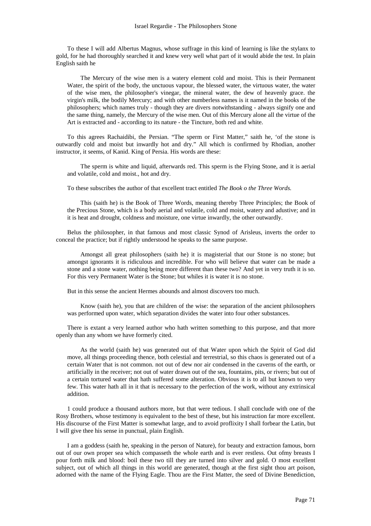To these I will add Albertus Magnus, whose suffrage in this kind of learning is like the stylanx to gold, for he had thoroughly searched it and knew very well what part of it would abide the test. In plain English saith he

The Mercury of the wise men is a watery element cold and moist. This is their Permanent Water, the spirit of the body, the unctuous vapour, the blessed water, the virtuous water, the water of the wise men, the philosopher's vinegar, the mineral water, the dew of heavenly grace. the virgin's milk, the bodily Mercury; and with other numberless names is it named in the books of the philosophers; which names truly - though they are divers notwithstanding - always signify one and the same thing, namely, the Mercury of the wise men. Out of this Mercury alone all the virtue of the Art is extracted and - according to its nature - the Tincture, both red and white.

To this agrees Rachaidibi, the Persian. "The sperm or First Matter," saith he, 'of the stone is outwardly cold and moist but inwardly hot and dry." All which is confirmed by Rhodian, another instructor, it seems, of Kanid. King of Persia. His words are these:

The sperm is white and liquid, afterwards red. This sperm is the Flying Stone, and it is aerial and volatile, cold and moist., hot and dry.

To these subscribes the author of that excellent tract entitled *The Book o the Three Words.*

This (saith he) is the Book of Three Words, meaning thereby Three Principles; the Book of the Precious Stone, which is a body aerial and volatile, cold and moist, watery and adustive; and in it is heat and drought, coldness and moisture, one virtue inwardly, the other outwardly.

Belus the philosopher, in that famous and most classic Synod of Arisleus, inverts the order to conceal the practice; but if rightly understood he speaks to the same purpose.

Amongst all great philosophers (saith he) it is magisterial that our Stone is no stone; but amongst ignorants it is ridiculous and incredible. For who will believe that water can be made a stone and a stone water, nothing being more different than these two? And yet in very truth it is so. For this very Permanent Water is the Stone; but whiles it is water it is no stone.

But in this sense the ancient Hermes abounds and almost discovers too much.

Know (saith he), you that are children of the wise: the separation of the ancient philosophers was performed upon water, which separation divides the water into four other substances.

There is extant a very learned author who hath written something to this purpose, and that more openly than any whom we have formerly cited.

As the world (saith he) was generated out of that Water upon which the Spirit of God did move, all things proceeding thence, both celestial and terrestrial, so this chaos is generated out of a certain Water that is not common. not out of dew nor air condensed in the caverns of the earth, or artificially in the receiver; not out of water drawn out of the sea, fountains, pits, or rivers; but out of a certain tortured water that hath suffered some alteration. Obvious it is to all but known to very few. This water hath all in it that is necessary to the perfection of the work, without any extrinsical addition.

1 could produce a thousand authors more, but that were tedious. I shall conclude with one of the Rosy Brothers, whose testimony is equivalent to the best of these, but his instruction far more excellent. His discourse of the First Matter is somewhat large, and to avoid proflixity I shall forbear the Latin, but I will give thee his sense in punctual, plain English.

I am a goddess (saith he, speaking in the person of Nature), for beauty and extraction famous, born out of our own proper sea which compasseth the whole earth and is ever restless. Out ofmy breasts I pour forth milk and blood: boil these two till they are turned into silver and gold. O most excellent subject, out of which all things in this world are generated, though at the first sight thou art poison, adorned with the name of the Flying Eagle. Thou are the First Matter, the seed of Divine Benediction,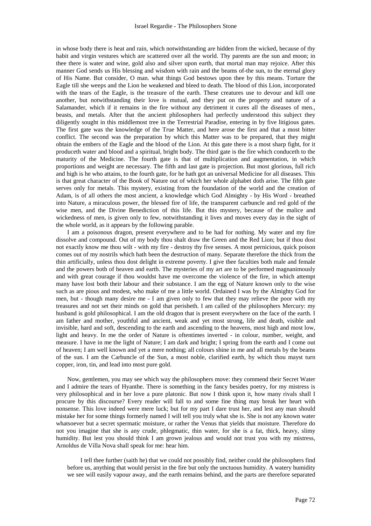in whose body there is heat and rain, which notwithstanding are hidden from the wicked, because of thy habit and virgin vestures which are scattered over all the world. Thy parents are the sun and moon; in thee there is water and wine, gold also and silver upon earth, that mortal man may rejoice. After this manner God sends us His blessing and wisdom with rain and the beams of-the sun, to the eternal glory of His Name. But consider, O man. what things God bestows upon thee by this means. Torture the Eagle till she weeps and the Lion be weakened and bleed to death. The blood of this Lion, incorporated with the tears of the Eagle, is the treasure of the earth. These creatures use to devour and kill one another, but notwithstanding their love is mutual, and they put on the property and nature of a Salamander, which if it remains in the fire without any detriment it cures all the diseases of men., beasts, and metals. After that the ancient philosophers had perfectly understood this subject they diligently sought in this middlemost tree in the Terrestrial Paradise, entering in by five litigious gates. The first gate was the knowledge of the True Matter, and here arose the first and that a most bitter conflict. The second was the preparation by which this Matter was to be prepared, that they might obtain the embers of the Eagle and the blood of the Lion. At this gate there is a most sharp fight, for it produceth water and blood and a spiritual, bright body. The third gate is the fire which conduceth to the maturity of the Medicine. The fourth gate is that of multiplication and augmentation, in which proportions and weight are necessary. The fifth and last gate is projection. But most glorious, full rich and high is he who attains, to the fourth gate, for he hath got an universal Medicine for all diseases. This is that great character of the Book of Nature out of which her whole alphabet doth arise. The fifth gate serves only for metals. This mystery, existing from the foundation of the world and the creation of Adam, is of all others the most ancient, a knowledge which God Almighty - by His Word - breathed into Nature, a miraculous power, the blessed fire of life, the transparent carbuncle and red gold of the wise men, and the Divine Benediction of this life. But this mystery, because of the malice and wickedness of men, is given only to few, notwithstanding it lives and moves every day in the sight of the whole world, as it appears by the following parable.

I am a poisonous dragon, present everywhere and to be had for nothing. My water and my fire dissolve and compound. Out of my body thou shalt draw the Green and the Red Lion; but if thou dost not exactly know me thou wilt - with my fire - destroy thy five senses. A most pernicious, quick poison comes out of my nostrils which hath been the destruction of many. Separate therefore the thick from the thin artificially, unless thou dost delight in extreme poverty. I give thee faculties both male and female and the powers both of heaven and earth. The mysteries of my art are to be performed magnanimously and with great courage if thou wouldst have me overcome the violence of the fire, in which attempt many have lost both their labour and their substance. I am the egg of Nature known only to the wise such as are pious and modest, who make of me a little world. Ordained I was by the Almighty God for men, but - though many desire me - I am given only to few that they may relieve the poor with my treasures and not set their minds on gold that perisheth. I am called of the philosophers Mercury: my husband is gold philosophical. I am the old dragon that is present everywhere on the face of the earth. I am father and mother, youthful and ancient, weak and yet most strong, life and death, visible and invisible, hard and soft, descending to the earth and ascending to the heavens, most high and most low, light and heavy. In me the order of Nature is oftentimes inverted - in colour, number, weight, and measure. I have in me the light of Nature; I am dark and bright; I spring from the earth and I come out of heaven; I am well known and yet a mere nothing; all colours shine in me and all metals by the beams of the sun. I am the Carbuncle of the Sun, a most noble, clarified earth, by which thou mayst turn copper, iron, tin, and lead into most pure gold.

Now, gentlemen, you may see which way the philosophers move: they commend their Secret Water and I admire the tears of Hyanthe. There is something in the fancy besides poetry, for my mistress is very philosophical and in her love a pure platonic. But now I think upon it, how many rivals shall I procure by this discourse? Every reader will fall to and some fine thing may break her heart with nonsense. This love indeed were mere luck; but for my part I dare trust her, and lest any man should mistake her for some things formerly named I will tell you truly what she is. She is not any known water whatsoever but a secret spermatic moisture, or rather the Venus that yields that moisture. Therefore do not you imagine that she is any crude, phlegmatic, thin water, for she is a fat, thick, heavy, slimy humidity. But lest you should think I am grown jealous and would not trust you with my mistress, Arnoldus de Villa Nova shall speak for me: hear him.

I tell thee further (saith he) that we could not possibly find, neither could the philosophers find before us, anything that would persist in the fire but only the unctuous humidity. A watery humidity we see will easily vapour away, and the earth remains behind, and the parts are therefore separated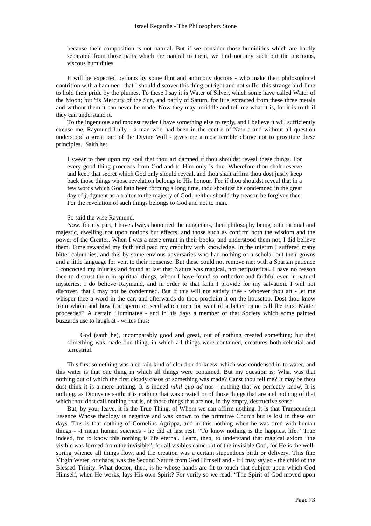because their composition is not natural. But if we consider those humidities which are hardly separated from those parts which are natural to them, we find not any such but the unctuous, viscous humidities.

It will be expected perhaps by some flint and antimony doctors - who make their philosophical contrition with a hammer - that I should discover this thing outright and not suffer this strange bird-lime to hold their pride by the plumes. To these I say it is Water of Silver, which some have called Water of the Moon; but 'tis Mercury of the Sun, and partly of Saturn, for it is extracted from these three metals and without them it can never be made. Now they may unriddle and tell me what it is, for it is truth-if they can understand it.

To the ingenuous and modest reader I have something else to reply, and I believe it will sufficiently excuse me. Raymund Lully - a man who had been in the centre of Nature and without all question understood a great part of the Divine Will - gives me a most terrible charge not to prostitute these principles. Saith he:

I swear to thee upon my soul that thou art damned if thou shouldst reveal these things. For every good thing proceeds from God and to Him only is due. Wherefore thou shalt reserve and keep that secret which God only should reveal, and thou shalt affirm thou dost justly keep back those things whose revelation belongs to His honour. For if thou shouldst reveal that in a few words which God hath been forming a long time, thou shouldst be condemned in the great day of judgment as a traitor to the majesty of God, neither should thy treason be forgiven thee. For the revelation of such things belongs to God and not to man.

## So said the wise Raymund.

Now. for my part, I have always honoured the magicians, their philosophy being both rational and majestic, dwelling not upon notions but effects, and those such as confirm both the wisdom and the power of the Creator. When I was a mere errant in their books, and understood them not, I did believe them. Time rewarded my faith and paid my credulity with knowledge. In the interim I suffered many bitter calumnies, and this by some envious adversaries who had nothing of a scholar but their gowns and a little language for vent to their nonsense. But these could not remove me; with a Spartan patience I concocted my injuries and found at last that Nature was magical, not peripatetical. I have no reason then to distrust them in spiritual things, whom I have found so orthodox and faithful even in natural mysteries. I do believe Raymund, and in order to that faith I provide for my salvation. I will not discover, that I may not be condemned. But if this will not satisfy thee - whoever thou art - let me whisper thee a word in the car, and afterwards do thou proclaim it on the housetop. Dost thou know from whom and how that sperm or seed which men for want of a better name call the First Matter proceeded? A certain illuminatee - and in his days a member of that Society which some painted buzzards use to laugh at - writes thus:

God (saith he), incomparably good and great, out of nothing created something; but that something was made one thing, in which all things were contained, creatures both celestial and terrestrial.

This first something was a certain kind of cloud or darkness, which was condensed in-to water, and this water is that one thing in which all things were contained. But my question is: What was that nothing out of which the first cloudy chaos or something was made? Canst thou tell me? It may be thou dost think it is a mere nothing. It is indeed *nihil quo ad* nos - nothing that we perfectly know. It is nothing, as Dionysius saith: it is nothing that was created or of those things that are and nothing of that which thou dost call nothing-that is, of those things that are not, in thy empty, destructive sense.

But, by your leave, it is the True Thing, of Whom we can affirm nothing. It is that Transcendent Essence Whose theology is negative and was known to the primitive Church but is lost in these our days. This is that nothing of Cornelius Agrippa, and in this nothing when he was tired with human things - -I mean human sciences - he did at last rest. "To know nothing is the happiest life." True indeed, for to know this nothing is life eternal. Learn, then, to understand that magical axiom "the visible was formed from the invisible", for all visibles came out of the invisible God, for He is the wellspring whence all things flow, and the creation was a certain stupendous birth or delivery. This fine Virgin Water, or chaos, was the Second Nature from God Himself and - if I may say so - the child of the Blessed Trinity. What doctor, then, is he whose hands are fit to touch that subject upon which God Himself, when He works, lays His own Spirit? For verily so we read: "The Spirit of God moved upon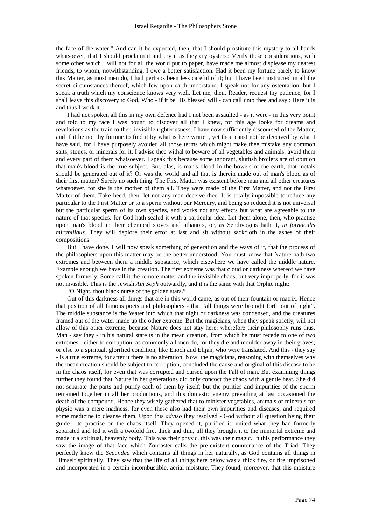the face of the water." And can it be expected, then, that I should prostitute this mystery to all hands whatsoever, that I should proclaim it and cry it as they cry oysters? Verily these considerations, with some other which I will not for all the world put to paper, have made me almost displease my dearest friends, to whom, notwithstanding, I owe a better satisfaction. Had it been my fortune barely to know this Matter, as most men do, I had perhaps been less careful of it; but I have been instructed in all the secret circumstances thereof, which few upon earth understand. I speak not for any ostentation, but I speak a truth which my conscience knows very well. Let me, then, Reader, request thy patience, for I shall leave this discovery to God, Who - if it be His blessed will - can call unto thee and say : Here it is and thus I work it.

I had not spoken all this in my own defence had I not been assaulted - as it were - in this very point and told to my face I was bound to discover all that I knew, for this age looks for dreams and revelations as the train to their invisible righteousness. I have now sufficiently discoursed of the Matter, and if it be not thy fortune to find it by what is here written, yet thou canst not be deceived by what I have said, for I have purposely avoided all those terms which might make thee mistake any common salts, stones, or minerals for it. I advise thee withal to beware of all vegetables and animals: avoid them and every part of them whatsoever. I speak this because some ignorant, sluttish broilers are of opinion that man's blood is the true subject. But, alas, is man's blood in the bowels of the earth, that metals should be generated out of it? Or was the world and all that is therein made out of man's blood as of their first matter? Surely no such thing. The First Matter was existent before man and all other creatures whatsoever, for she is the mother of them all. They were made of the First Matter, and not the First Matter of them. Take heed, then: let not any man deceive thee. It is totally impossible to reduce any particular to the First Matter or to a sperm without our Mercury, and being so reduced it is not universal but the particular sperm of its own species, and works not any effects but what are agreeable to the nature of that species: for God hath sealed it with a particular idea. Let them alone, then, who practise upon man's blood in their chemical stoves and athanors, or, as Sendivogius hath it, *in fornaculis mirabilibus.* They will deplore their error at last and sit without sackcloth in the ashes of their compositions.

But I have done. I will now speak something of generation and the ways of it, that the process of the philosophers upon this matter may be the better understood. You must know that Nature hath two extremes and between them a middle substance, which elsewhere we have called the middle nature. Example enough we have in the creation. The first extreme was that cloud or darkness whereof we have spoken formerly. Some call it the remote matter and the invisible chaos, but very improperly, for it was not invisible. This is the Jewish *Ain Soph* outwardly, and it is the same with that Orphic night:

"O Night, thou black nurse of the golden stars."

Out of this darkness all things that are in this world came, as out of their fountain or matrix. Hence that position of all famous poets and philosophers - that "all things were brought forth out of night". The middle substance is the Water into which that night or darkness was condensed, and the creatures framed out of the water made up the other extreme. But the magicians, when they speak strictly, will not allow of this other extreme, because Nature does not stay here: wherefore their philosophy runs thus. Man - say they - in his natural state is in the mean creation, from which he must recede to one of two extremes - either to corruption, as commonly all men do, for they die and moulder away in their graves; or else to a spiritual, glorified condition, like Enoch and Elijah, who were translated. And this - they say - is a true extreme, for after it there is no alteration. Now, the magicians, reasoning with themselves why the mean creation should be subject to corruption, concluded the cause and original of this disease to be in the chaos itself, for even that was corrupted and cursed upon the Fall of man. But examining things further they found that Nature in her generations did only concoct the chaos with a gentle heat. She did not separate the parts and purify each of them by itself; but the purities and impurities of the sperm remained together in all her productions, and this domestic enemy prevailing at last occasioned the death of the compound. Hence they wisely gathered that to minister vegetables, animals or minerals for physic was a mere madness, for even these also had their own impurities and diseases, and required some medicine to cleanse them. Upon this *adviso* they resolved - God without all question being their guide - to practise on the chaos itself. They opened it, purified it, united what they had formerly separated and fed it with a twofold fire, thick and thin, till they brought it to the immortal extreme and made it a spiritual, heavenly body. This was their physic, this was their magic. In this performance they saw the image of that face which Zoroaster calls the pre-existent countenance of the Triad. They perfectly knew the *Secundea* which contains all things in her naturally, as God contains all things in Himself spiritually. They saw that the life of all things here below was a thick fire, or fire imprisoned and incorporated in a certain incombustible, aerial moisture. They found, moreover, that this moisture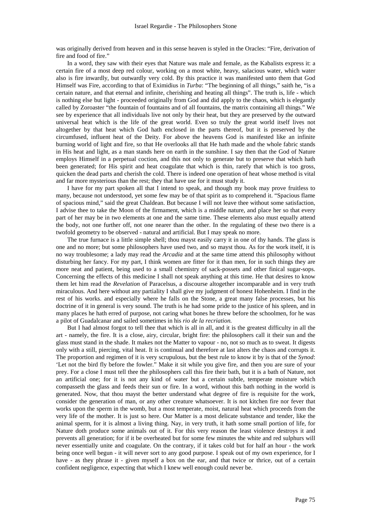was originally derived from heaven and in this sense heaven is styled in the Oracles: "Fire, derivation of fire and food of fire."

In a word, they saw with their eyes that Nature was male and female, as the Kabalists express it: a certain fire of a most deep red colour, working on a most white, heavy, salacious water, which water also is fire inwardly, but outwardly very cold. By this practice it was manifested unto them that God Himself was Fire, according to that of Eximidius in *Turba*: "The beginning of all things," saith he, "is a certain nature, and that eternal and infinite, cherishing and heating all things". The truth is, life - which is nothing else but light - proceeded originally from God and did apply to the chaos, which is elegantly called by Zoroaster "the fountain of fountains and of all fountains, the matrix containing all things." We see by experience that all individuals live not only by their heat, but they are preserved by the outward universal heat which is the life of the great world. Even so truly the great world itself lives not altogether by that heat which God hath enclosed in the parts thereof, but it is preserved by the circumfused, influent heat of the Deity. For above the heavens God is manifested like an infinite burning world of light and fire, so that He overlooks all that He hath made and the whole fabric stands in His heat and light, as a man stands here on earth in the sunshine. I say then that the God of Nature employs Himself in a perpetual coction, and this not only to generate but to preserve that which hath been generated; for His spirit and heat coagulate that which is thin, rarefy that which is too gross, quicken the dead parts and cherish the cold. There is indeed one operation of heat whose method is vital and far more mysterious than the rest; they that have use for it must study it.

I have for my part spoken all that I intend to speak, and though my book may prove fruitless to many, because not understood, yet some few may be of that spirit as to comprehend it. "Spacious flame of spacious mind," said the great Chaldean. But because I will not leave thee without some satisfaction, I advise thee to take the Moon of the firmament, which is a middle nature, and place her so that every part of her may be in two elements at one and the same time. These elements also must equally attend the body, not one further off, not one nearer than the other. In the regulating of these two there is a twofold geometry to be observed - natural and artificial. But I may speak no more.

The true furnace is a little simple shell; thou mayst easily carry it in one of thy hands. The glass is one and no more; but some philosophers have used two, and so mayst thou. As for the work itself, it is no way troublesome; a lady may read the *Arcadia* and at the same time attend this philosophy without disturbing her fancy. For my part, I think women are fitter for it than men, for in such things they are more neat and patient, being used to a small chemistry of sack-possets and other finical sugar-sops. Concerning the effects of this medicine I shall not speak anything at this time. He that desires to know them let him read the *Revelation* of Paracelsus, a discourse altogether incomparable and in very truth miraculous. And here without any partiality I shall give my judgment of honest Hohenheim. I find in the rest of his works. and especially where he falls on the Stone, a great many false processes, but his doctrine of it in general is very sound. The truth is he had some pride to the justice of his spleen, and in many places he hath erred of purpose, not caring what bones he threw before the schoolmen, for he was a pilot of Guadalcanar and sailed sometimes in his *rio de la recriation.*

But I had almost forgot to tell thee that which is all in all, and it is the greatest difficulty in all the art - namely, the fire. It is a close, airy, circular, bright fire: the philosophers call it their sun and the glass must stand in the shade. It makes not the Matter to vapour - no, not so much as to sweat. It digests only with a still, piercing, vital heat. It is continual and therefore at last alters the chaos and corrupts it. The proportion and regimen of it is very scrupulous, but the best rule to know it by is that of the *Synod*: 'Let not the bird fly before the fowler." Make it sit while you give fire, and then you are sure of your prey. For a close I must tell thee the philosophers call this fire their bath, but it is a bath of Nature, not an artificial one; for it is not any kind of water but a certain subtle, temperate moisture which compasseth the glass and feeds their sun or fire. In a word, without this bath nothing in the world is generated. Now, that thou mayst the better understand what degree of fire is requisite for the work, consider the generation of man, or any other creature whatsoever. It is not kitchen fire nor fever that works upon the sperm in the womb, but a most temperate, moist, natural heat which proceeds from the very life of the mother. It is just so here. Our Matter is a most delicate substance and tender, like the animal sperm, for it is almost a living thing. Nay, in very truth, it hath some small portion of life, for Nature doth produce some animals out of it. For this very reason the least violence destroys it and prevents all generation; for if it be overheated but for some few minutes the white and red sulphurs will never essentially unite and coagulate. On the contrary, if it takes cold but for half an hour - the work being once well begun - it will never sort to any good purpose. I speak out of my own experience, for I have - as they phrase it - given myself a box on the ear, and that twice or thrice, out of a certain confident negligence, expecting that which I knew well enough could never be.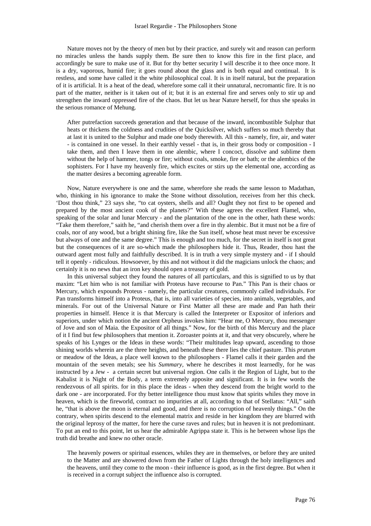Nature moves not by the theory of men but by their practice, and surely wit and reason can perform no miracles unless the hands supply them. Be sure then to know this fire in the first place, and accordingly be sure to make use of it. But for thy better security I will describe it to thee once more. It is a dry, vaporous, humid fire; it goes round about the glass and is both equal and continual. It is restless, and some have called it the white philosophical coal. It is in itself natural, but the preparation of it is artificial. It is a heat of the dead, wherefore some call it their unnatural, necromantic fire. It is no part of the matter, neither is it taken out of it; but it is an external fire and serves only to stir up and strengthen the inward oppressed fire of the chaos. But let us hear Nature herself, for thus she speaks in the serious romance of Mehung.

After putrefaction succeeds generation and that because of the inward, incombustible Sulphur that heats or thickens the coldness and crudities of the Quicksilver, which suffers so much thereby that at last it is united to the Sulphur and made one body therewith. All this - namely, fire, air, and water - is contained in one vessel. In their earthly vessel - that is, in their gross body or composition - I take them, and then I leave them in one alembic, where I concoct, dissolve and sublime them without the help of hammer, tongs or fire; without coals, smoke, fire or bath; or the alembics of the sophisters. For I have my heavenly fire, which excites or stirs up the elemental one, according as the matter desires a becoming agreeable form.

Now, Nature everywhere is one and the same, wherefore she reads the same lesson to Madathan, who, thinking in his ignorance to make the Stone without dissolution, receives from her this check. 'Dost thou think," 23 says she, "to cat oysters, shells and all? Ought they not first to be opened and prepared by the most ancient cook of the planets?" With these agrees the excellent Flamel, who, speaking of the solar and lunar Mercury - and the plantation of the one in the other, hath these words: "Take them therefore," saith he, "and cherish them over a fire in thy alembic. But it must not be a fire of coals, nor of any wood, but a bright shining fire, like the Sun itself, whose heat must never be excessive but always of one and the same degree." This is enough and too much, for the secret in itself is not great but the consequences of it are so-which made the philosophers hide it. Thus, Reader, thou hast the outward agent most fully and faithfully described. It is in truth a very simple mystery and - if I should tell it openly - ridiculous. Howsoever, by this and not without it did the magicians unlock the chaos; and certainly it is no news that an iron key should open a treasury of gold.

In this universal subject they found the natures of all particulars, and this is signified to us by that maxim: "Let him who is not familiar with Proteus have recourse to Pan." This Pan is their chaos or Mercury, which expounds Proteus - namely, the particular creatures, commonly called individuals. For Pan transforms himself into a Proteus, that is, into all varieties of species, into animals, vegetables, and minerals. For out of the Universal Nature or First Matter all these are made and Pan hath their properties in himself. Hence it is that Mercury is called the Interpreter or Expositor of inferiors and superiors, under which notion the ancient Orpheus invokes him: "Hear me, O Mercury, thou messenger of Jove and son of Maia. the Expositor of all things." Now, for the birth of this Mercury and the place of it I find but few philosophers that mention it. Zoroaster points at it, and that very obscurely, where he speaks of his Lynges or the Ideas in these words: "Their multitudes leap upward, ascending to those shining worlds wherein are the three heights, and beneath these there lies the chief pasture. This *pratum*  or meadow of the Ideas, a place well known to the philosophers - Flamel calls it their garden and the mountain of the seven metals; see his *Summary,* where he describes it most learnedly, for he was instructed by a Jew - a certain secret but universal region. One calls it the Region of Light, but to the Kabalist it is Night of the Body, a term extremely apposite and significant. It is in few words the rendezvous of all spirits. for in this place the ideas - when they descend from the bright world to the dark one - are incorporated. For thy better intelligence thou must know that spirits whiles they move in heaven, which is the fireworld, contract no impurities at all, according to that of Stellatus: "All," saith he, "that is above the moon is eternal and good, and there is no corruption of heavenly things." On the contrary, when spirits descend to the elemental matrix and reside in her kingdom they are blurred with the original leprosy of the matter, for here the curse raves and rules; but in heaven it is not predominant. To put an end to this point, let us hear the admirable Agrippa state it. This is he between whose lips the truth did breathe and knew no other oracle.

The heavenly powers or spiritual essences, whiles they are in themselves, or before they are united to the Matter and are showered down from the Father of Lights through the holy intelligences and the heavens, until they come to the moon - their influence is good, as in the first degree. But when it is received in a corrupt subject the influence also is corrupted.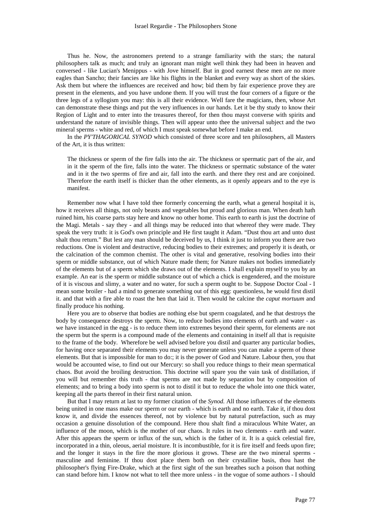Thus he. Now, the astronomers pretend to a strange familiarity with the stars; the natural philosophers talk as much; and truly an ignorant man might well think they had been in heaven and conversed - like Lucian's Menippus - with Jove himself. But in good earnest these men are no more eagles than Sancho; their fancies are like his flights in the blanket and every way as short of the skies. Ask them but where the influences are received and how; bid them by fair experience prove they are present in the elements, and you have undone them. If you will trust the four corners of a figure or the three legs of a syllogism you may: this is all their evidence. Well fare the magicians, then, whose Art can demonstrate these things and put the very influences in our hands. Let it be thy study to know their Region of Light and to enter into the treasures thereof, for then thou mayst converse with spirits and understand the nature of invisible things. Then will appear unto thee the universal subject and the two mineral sperms - white and red, of which I must speak somewhat before I make an end.

In the *PY'THAGORICAL SYNOD* which consisted of three score and ten philosophers, all Masters of the Art, it is thus written:

The thickness or sperm of the fire falls into the air. The thickness or spermatic part of the air, and in it the sperm of the fire, falls into the water. The thickness or spermatic substance of the water and in it the two sperms of fire and air, fall into the earth. and there they rest and are conjoined. Therefore the earth itself is thicker than the other elements, as it openly appears and to the eye is manifest.

Remember now what I have told thee formerly concerning the earth, what a general hospital it is, how it receives all things, not only beasts and vegetables but proud and glorious man. When death hath ruined him, his coarse parts stay here and know no other home. This earth to earth is just the doctrine of the Magi. Metals - say they - and all things may be reduced into that whereof they were made. They speak the very truth: it is God's own principle and He first taught it Adam. "Dust thou art and unto dust shalt thou return." But lest any man should be deceived by us, I think it just to inform you there are two reductions. One is violent and destructive, reducing bodies to their extremes; and properly it is death, or the calcination of the common chemist. The other is vital and generative, resolving bodies into their sperm or middle substance, out of which Nature made them; for Nature makes not bodies immediately of the elements but of a sperm which she draws out of the elements. I shall explain myself to you by an example. An ear is the sperm or middle substance out of which a chick is engendered, and the moisture of it is viscous and slimy, a water and no water, for such a sperm ought to be. Suppose Doctor Coal - I mean some broiler - had a mind to generate something out of this egg: questionless, he would first distil it. and that with a fire able to roast the hen that laid it. Then would he calcine the *caput mortuum* and finally produce his nothing.

Here you are to observe that bodies are nothing else but sperm coagulated, and he that destroys the body by consequence destroys the sperm. Now, to reduce bodies into elements of earth and water - as we have instanced in the egg - is to reduce them into extremes beyond their sperm, for elements are not the sperm but the sperm is a compound made of the elements and containing in itself all that is requisite to the frame of the body. Wherefore be well advised before you distil and quarter any particular bodies, for having once separated their elements you may never generate unless you can make a sperm of those elements. But that is impossible for man to do:; it is the power of God and Nature. Labour then, you that would be accounted wise, to find out our Mercury: so shall you reduce things to their mean spermatical chaos. But avoid the broiling destruction. This doctrine will spare you the vain task of distillation, if you will but remember this truth - that sperms are not made by separation but by composition of elements; and to bring a body into sperm is not to distil it but to reduce the whole into one thick water, keeping all the parts thereof in their first natural union.

But that I may return at last to my former citation of the *Synod.* All those influences of the elements being united in one mass make our sperm or our earth - which is earth and no earth. Take it, if thou dost know it, and divide the essences thereof, not by violence but by natural putrefaction, such as may occasion a genuine dissolution of the compound. Here thou shalt find a miraculous White Water, an influence of the moon, which is the mother of our chaos. It rules in two clements - earth and water. After this appears the sperm or influx of the sun, which is the father of it. It is a quick celestial fire, incorporated in a thin, oleous, aerial moisture. It is incombustible, for it is fire itself and feeds upon fire; and the longer it stays in the fire the more glorious it grows. These are the two mineral sperms masculine and feminine. If thou dost place them both on their crystalline basis, thou hast the philosopher's flying Fire-Drake, which at the first sight of the sun breathes such a poison that nothing can stand before him. I know not what to tell thee more unless - in the vogue of some authors - I should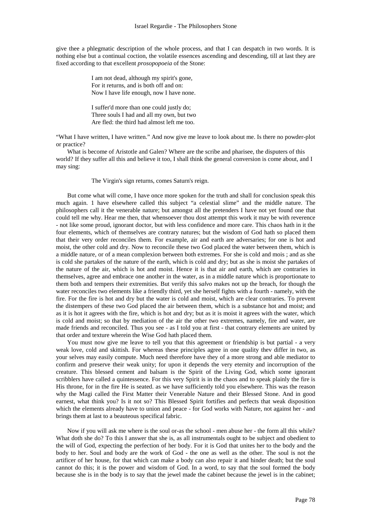give thee a phlegmatic description of the whole process, and that I can despatch in two words. It is nothing else but a continual coction, the volatile essences ascending and descending, till at last they are fixed according to that excellent *prosopopoeia* of the Stone:

> I am not dead, although my spirit's gone, For it returns, and is both off and on: Now I have life enough, now I have none.

> I suffer'd more than one could justly do; Three souls I had and all my own, but two Are fled: the third had almost left me too.

"What I have written, I have written." And now give me leave to look about me. Is there no powder-plot or practice?

What is become of Aristotle and Galen? Where are the scribe and pharisee, the disputers of this world? If they suffer all this and believe it too, I shall think the general conversion is come about, and I may sing:

## The Virgin's sign returns, comes Saturn's reign.

But come what will come, I have once more spoken for the truth and shall for conclusion speak this much again. 1 have elsewhere called this subject "a celestial slime" and the middle nature. The philosophers call it the venerable nature; but amongst all the pretenders I have not yet found one that could tell me why. Hear me then, that whensoever thou dost attempt this work it may be with reverence - not like some proud, ignorant doctor, but with less confidence and more care. This chaos hath in it the four elements, which of themselves are contrary natures; but the wisdom of God hath so placed them that their very order reconciles them. For example, air and earth are adversaries; for one is hot and moist, the other cold and dry. Now to reconcile these two God placed the water between them, which is a middle nature, or of a mean complexion between both extremes. For she is cold and mois ; and as she is cold she partakes of the nature of the earth, which is cold and dry; but as she is moist she partakes of the nature of the air, which is hot and moist. Hence it is that air and earth, which are contraries in themselves, agree and embrace one another in the water, as in a middle nature which is proportionate to them both and tempers their extremities. But verify this *salvo* makes not up the breach, for though the water reconciles two elements like a friendly third, yet she herself fights with a fourth - namely, with the fire. For the fire is hot and dry but the water is cold and moist, which are clear contraries. To prevent the distempers of these two God placed the air between them, which is a substance hot and moist; and as it is hot it agrees with the fire, which is hot and dry; but as it is moist it agrees with the water, which is cold and moist; so that by mediation of the air the other two extremes, namely, fire and water, are made friends and reconciled. Thus you see - as I told you at first - that contrary elements are united by that order and texture wherein the Wise God hath placed them.

You must now give me leave to tell you that this agreement or friendship is but partial - a very weak love, cold and skittish. For whereas these principles agree in one quality thev differ in two, as your selves may easily compute. Much need therefore have they of a more strong and able mediator to confirm and preserve their weak unity; for upon it depends the very eternity and incorruption of the creature. This blessed cement and balsam is the Spirit of the Living God, which some ignorant scribblers have called a quintessence. For this very Spirit is in the chaos and to speak plainly the fire is His throne, for in the fire He is seated. as we have sufficiently told you elsewhere. This was the reason why the Magi called the First Matter their Venerable Nature and their Blessed Stone. And in good earnest, what think you? Is it not so? This Blessed Spirit fortifies and perfects that weak disposition which the elements already have to union and peace - for God works with Nature, not against her - and brings them at last to a beauteous specifical fabric.

Now if you will ask me where is the soul or-as the school - men abuse her - the form all this while? What doth she do? To this I answer that she is, as all instrumentals ought to be subject and obedient to the will of God, expecting the perfection of her body. For it is God that unites her to the body and the body to her. Soul and body are the work of God - the one as well as the other. The soul is not the artificer of her house, for that which can make a body can also repair it and hinder death; but the soul cannot do this; it is the power and wisdom of God. In a word, to say that the soul formed the body because she is in the body is to say that the jewel made the cabinet because the jewel is in the cabinet;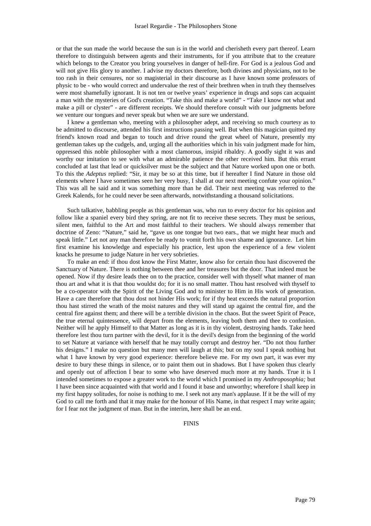or that the sun made the world because the sun is in the world and cherisheth every part thereof. Learn therefore to distinguish between agents and their instruments, for if you attribute that to the creature which belongs to the Creator you bring yourselves in danger of hell-fire. For God is a jealous God and will not give His glory to another. I advise my doctors therefore, both divines and physicians, not to be too rash in their censures, nor so magisterial in their discourse as I have known some professors of physic to be - who would correct and undervalue the rest of their brethren when in truth they themselves were most shamefully ignorant. It is not ten or twelve years' experience in drugs and sops can acquaint a man with the mysteries of God's creation. "Take this and make a world" - "Take I know not what and make a pill or clyster" - are different receipts. We should therefore consult with our judgments before we venture our tongues and never speak but when we are sure we understand.

I knew a gentleman who, meeting with a philosopher adept, and receiving so much courtesy as to be admitted to discourse, attended his first instructions passing well. But when this magician quitted my friend's known road and began to touch and drive round the great wheel of Nature, presently my gentleman takes up the cudgels, and, urging all the authorities which in his vain judgment made for him, oppressed this noble philosopher with a most clamorous, insipid ribaldry. A goodly sight it was and worthy our imitation to see with what an admirable patience the other received him. But this errant concluded at last that lead or quicksilver must be the subject and that Nature worked upon one or both. To this the *Adeptus* replied: "Sir, it may be so at this time, but if hereafter I find Nature in those old elements where I have sometimes seen her very busy, I shall at our next meeting confute your opinion." This was all he said and it was something more than he did. Their next meeting was referred to the Greek Kalends, for he could never be seen afterwards, notwithstanding a thousand solicitations.

Such talkative, babbling people as this gentleman was, who run to every doctor for his opinion and follow like a spaniel every bird they spring, are not fit to receive these secrets. They must be serious, silent men, faithful to the Art and most faithful to their teachers. We should always remember that doctrine of Zeno: "Nature," said he, "gave us one tongue but two ears., that we might hear much and speak little." Let not any man therefore be ready to vomit forth his own shame and ignorance. Let him first examine his knowledge and especially his practice, lest upon the experience of a few violent knacks he presume to judge Nature in her very sobrieties.

To make an end: if thou dost know the First Matter, know also for certain thou hast discovered the Sanctuary of Nature. There is nothing between thee and her treasures but the door. That indeed must be opened. Now if thy desire leads thee on to the practice, consider well with thyself what manner of man thou art and what it is that thou wouldst do; for it is no small matter. Thou hast resolved with thyself to be a co-operator with the Spirit of the Living God and to minister to Him in His work of generation. Have a care therefore that thou dost not hinder His work; for if thy heat exceeds the natural proportion thou hast stirred the wrath of the moist natures and they will stand up against the central fire, and the central fire against them; and there will be a terrible division in the chaos. But the sweet Spirit of Peace, the true eternal quintessence, will depart from the elements, leaving both them and thee to confusion. Neither will he apply Himself to that Matter as long as it is in thy violent, destroying hands. Take heed therefore lest thou turn partner with the devil, for it is the devil's design from the beginning of the world to set Nature at variance with herself that he may totally corrupt and destroy her. "Do not thou further his designs." I make no question but many men will laugh at this; but on my soul I speak nothing but what 1 have known by very good experience: therefore believe me. For my own part, it was ever my desire to bury these things in silence, or to paint them out in shadows. But I have spoken thus clearly and openly out of affection I bear to some who have deserved much more at my hands. True it is I intended sometimes to expose a greater work to the world which I promised in my *Anthroposophia;* but I have been since acquainted with that world and I found it base and unworthy; wherefore I shall keep in my first happy solitudes, for noise is nothing to me. I seek not any man's applause. If it be the will of my God to call me forth and that it may make for the honour of His Name, in that respect I may write again; for I fear not the judgment of man. But in the interim, here shall be an end.

FINIS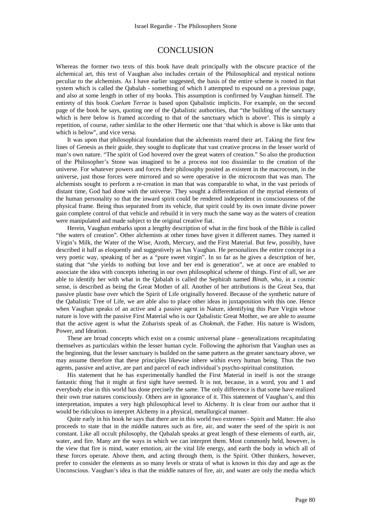## **CONCLUSION**

Whereas the former two texts of this book have dealt principally with the obscure practice of the alchemical art, this text of Vaughan also includes certain of the Philosophical and mystical notions peculiar to the alchemists. As I have earlier suggested, the basis of the entire scheme is rooted in that system which is called the Qabalah - something of which I attempted to expound on a previous page, and also at some length in other of my books. This assumption is confirmed by Vaughan himself. The entirety of this book *Coelum Terrae* is based upon Qabalistic implicits. For example, on the second page of the book he says, quoting one of the Qabalistic authorities, that "the building of the sanctuary which is here below is framed according to that of the sanctuary which is above'. This is simply a repetition, of course, rather simlilar to the other Hermetic one that 'that which is above is like unto that which is below", and vice versa.

It was upon that philosophical foundation that the alchemists reared their art. Taking the first few lines of Genesis as their guide, they sought to duplicate that vast creative process in the lesser world of man's own nature. "The spirit of God hovered over the great waters of creation." So also the production of the Philosopher's Stone was imagined to be a process not too dissimilar to the creation of the universe. For whatever powers and forces their philosophy posited as existent in the macrocosm, in the universe, just those forces were mirrored and so were operative in the microcosm that was man. The alchemists sought to perform a re-creation in man that was comparable to what, in the vast periods of distant time, God had done with the universe. They sought a differentiation of the myriad elements of the human personality so that the inward spirit could be rendered independent in consciousness of the physical frame. Being thus separated from its vehicle, that spirit could by its own innate divine power gain complete control of that vehicle and rebuild it in very much the same way as the waters of creation were manipulated and made subject to the original creative fiat.

Herein, Vaughan embarks upon a lengthy description of what in the first book of the Bible is called "the waters of creation". Other alchemists at other times have given it different names. They named it Virgin's Milk, the Water of the Wise, Azoth, Mercury, and the First Material. But few, possibly, have described it half as eloquently and suggestively as has Vaughan. He personalizes the entire concept in a very poetic way, speaking of her as a "pure sweet virgin". In so far as he gives a description of her, stating that "she yields to nothing but love and her end is generation", we at once are enabled to associate the idea with concepts inhering in our own philosophical scheme of things. First of all, we are able to identify her with what in the Qabalah is called the Sephirah named *Binah,* who, in a cosmic sense, is described as being the Great Mother of all. Another of her attributions is the Great Sea, that passive plastic base over which the Spirit of Life originally hovered. Because of the synthetic nature of the Qabalistic Tree of Life, we are able also to place other ideas in juxtaposition with this one. Hence when Vaughan speaks of an active and a passive agent in Nature, identifying this Pure Virgin whose nature is love with the passive First Material who is our Qabalistic Great Mother, we are able to assume that the active agent is what the Zoharists speak of as *Chokmah*, the Father. His nature is Wisdom, Power, and Ideation.

These are broad concepts which exist on a cosmic universal plane - generalizations recapitulating themselves as particulars within the lesser human cycle. Following the aphorism that Vaughan uses as the beginning, that the lesser sanctuary is builded on the same pattern as the greater sanctuary above, we may assume therefore that these principles likewise inhere within every human being. Thus the two agents, passive and active, are part and parcel of each individual's psycho-spiritual constitution.

His statement that he has experimentally handled the First Material in itself is not the strange fantastic thing !hat it might at first sight have seemed. It is not, because, in a word, you and 1 and everybody else in this world has done precisely the same. The only difference is that some have realized their own true natures consciously. Others are in ignorance of it. This statement of Vaughan's, and this interpretation, imputes a very high philosophical level to Alchemy. It is clear from our author that it would be ridiculous to interpret Alchemy in a physical, metallurgical manner.

Quite early in his book he says that there are in this world two extremes - Spirit and Matter. He also proceeds to state that in the middle natures such as fire, air, and water the seed of the spirit is not constant. Like all occult philosophy, the Qabalah speaks at great length of these elements of earth, air, water, and fire. Many are the ways in which we can interpret them. Most commonly held, however, is the view that fire is mind, water emotion, air the vital life energy, and earth the body in which all of these forces operate. Above them, and acting through them, is the Spirit. Other thinkers, however, prefer to consider the elements as so many levels or strata of what is known in this day and age as the Unconscious. Vaughan's idea is that the middle natures of fire, air, and water are only the media which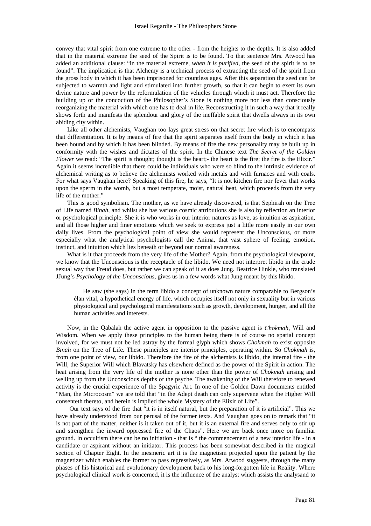convey that vital spirit from one extreme to the other - from the heights to the depths. It is also added that in the material extreme the seed of the Spirit is to be found. To that sentence Mrs. Atwood has added an additional clause: "in the material extreme, *when it is purified,* the seed of the spirit is to be found". The implication is that Alchemy is a technical process of extracting the seed of the spirit from the gross body in which it has been imprisoned for countless ages. After this separation the seed can be subjected to warmth and light and stimulated into further growth, so that it can begin to exert its own divine nature and power by the reformulation of the vehicles through which it must act. Therefore the building up or the concoction of the Philosopher's Stone is nothing more nor less than consciously reorganizing the material with which one has to deal in life. Reconstructing it in such a way that it really shows forth and manifests the splendour and glory of the ineffable spirit that dwells always in its own abiding city within.

Like all other alchemists, Vaughan too lays great stress on that secret fire which is to encompass that differentiation. It is by means of fire that the spirit separates itself from the body in which it has been bound and by which it has been blinded. By means of fire the new personality may be built up in conformity with the wishes and dictates of the spirit. In the Chinese text *The Secret of the Golden Flower* we read: "The spirit is thought; thought is the heart;- the heart is the fire; the fire is the Elixir." Again it seems incredible that there could be individuals who were so blind to the intrinsic evidence of alchemical writing as to believe the alchemists worked with metals and with furnaces and with coals. For what says Vaughan here? Speaking of this fire, he says, "It is not kitchen fire nor fever that works upon the sperm in the womb, but a most temperate, moist, natural heat, which proceeds from the very life of the mother."

This is good symbolism. The mother, as we have already discovered, is that Sephirah on the Tree of Life named *Binah*, and whilst she has various cosmic attributions she is also by reflection an interior or psychological principle. She it is who works in our interior natures as love, as intuition as aspiration, and all those higher and finer emotions which we seek to express just a little more easily in our own daily lives. From the psychological point of view she would represent the Unconscious, or more especially what the analytical psychologists call the Anima, that vast sphere of feeling, emotion, instinct, and intuition which lies beneath or beyond our normal awareness.

What is it that proceeds from the very life of the Mother? Again, from the psychological viewpoint, we know that the Unconscious is the receptacle of the libido. We need not interpret libido in the crude sexual way that Freud does, but rather we can speak of it as does Jung. Beatrice Hinkle, who translated JJung's *Psychology of the Unconscious,* gives us in a few words what Jung meant by this libido.

He saw (she says) in the term libido a concept of unknown nature comparable to Bergson's élan vital, a hypothetical energy of life, which occupies itself not only in sexuality but in various physiological and psychological manifestations such as growth, development, hunger, and all the human activities and interests.

Now, in the Qabalah the active agent in opposition to the passive agent is *Chokmah,* Will and Wisdom. When we apply these principles to the human being there is of course no spatial concept involved, for we must not be led astray by the formal glyph which shows *Chokmah* to exist opposite *Binah* on the Tree of Life. These principles are interior principles, operating within. So *Chokmah* is, from one point of view, our libido. Therefore the fire of the alchemists is libido, the internal fire - the Will, the Superior Will which Blavatsky has elsewhere defined as the power of the Spirit in action. The heat arising from the very life of the mother is none other than the power of *Chokmah* arising and welling up from the Unconscious depths of the psyche. The awakening of the Will therefore to renewed activity is the crucial experience of the Spagyric Art. In one of the Golden Dawn documents entitled "Man, the Microcosm" we are told that "in the Adept death can only supervene when the Higher Will consenteth thereto, and herein is implied the whole Mystery of the Elixir of Life".

Our text says of the fire that "it is in itself natural, but the preparation of it is artificial". This we have already understood from our perusal of the former texts. And Vaughan goes on to remark that "it is not part of the matter, neither is it taken out of it, but it is an external fire and serves only to stir up and strengthen the inward oppressed fire of the Chaos". Here we are back once more on familiar ground. In occultism there can be no initiation - that is " the commencement of a new interior life - in a candidate or aspirant without an initiator. This process has been somewhat described in the magical section of Chapter Eight. In the mesmeric art it is the magnetism projected upon the patient by the magnetizer which enables the former to pass regressively, as Mrs. Atwood suggests, through the many phases of his historical and evolutionary development back to his long-forgotten life in Reality. Where psychological clinical work is concerned, it is the influence of the analyst which assists the analysand to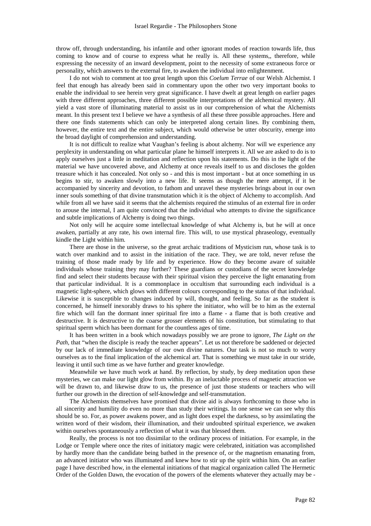throw off, through understanding, his infantile and other ignorant modes of reaction towards life, thus coming to know and of course to express what he really is. All these systems,, therefore, while expressing the necessity of an inward development, point to the necessity of some extraneous force or personality, which answers to the external fire, to awaken the individual into enlightenment.

I do not wish to comment at too great length upon this *Coelum Terrae* of our Welsh Alchemist. I feel that enough has already been said in commentary upon the other two very important books to enable the individual to see herein very great significance. I have dwelt at great length on earlier pages with three different approaches, three different possible interpretations of the alchemical mystery. All yield a vast store of illuminating material to assist us in our comprehension of what the Alchemists meant. In this present text I believe we have a synthesis of all these three possible approaches. Here and there one finds statements which can only be interpreted along certain lines. By combining them, however, the entire text and the entire subject, which would otherwise be utter obscurity, emerge into the broad daylight of comprehension and understanding.

It is not difficult to realize what Vaughan's feeling is about alchemy. Nor will we experience any perplexity in understanding on what particular plane he himself interprets it. All we are asked to do is to apply ourselves just a little in meditation and reflection upon his statements. Do this in the light of the material we have uncovered above, and Alchemy at once reveals itself to us and discloses the golden treasure which it has concealed. Not only so - and this is most important - but at once something in us begins to stir, to awaken slowly into a new life. It seems as though the mere attempt, if it be accompanied by sincerity and devotion, to fathom and unravel these mysteries brings about in our own inner souls something of that divine transmutation which it is the object of Alchemy to accomplish. And while from all we have said it seems that the alchemists required the stimulus of an external fire in order to arouse the internal, I am quite convinced that the individual who attempts to divine the significance and subtle implications of Alchemy is doing two things.

Not only will he acquire some intellectual knowledge of what Alchemy is, but he will at once awaken, partially at any rate, his own internal fire. This will, to use mystical phraseology, eventually kindle the Light within him.

There are those in the universe, so the great archaic traditions of Mysticism run, whose task is to watch over mankind and to assist in the initiation of the race. They, we are told, never refuse the training of those made ready by life and by experience. How do they become aware of suitable individuals whose training they may further? These guardians or custodians of the secret knowledge find and select their students because with their spiritual vision they perceive the light emanating from that particular individual. It is a commonplace in occultism that surrounding each individual is a magnetic light-sphere, which glows with different colours corresponding to the status of that individual. Likewise it is susceptible to changes induced by will, thought, and feeling. So far as the student is concerned, he himself inexorably draws to his sphere the initiator, who will be to him as the external fire which will fan the dormant inner spiritual fire into a flame - a flame that is both creative and destructive. It is destructive to the coarse grosser elements of his constitution, but stimulating to that spiritual sperm which has been dormant for the countless ages of time.

It has been written in a book which nowadays possibly we are prone to ignore, *The Light on the Path*, that "when the disciple is ready the teacher appears". Let us not therefore be saddened or dejected by our lack of immediate knowledge of our own divine natures. Our task is not so much to worry ourselves as to the final implication of the alchemical art. That is something we must take in our stride, leaving it until such time as we have further and greater knowledge.

Meanwhile we have much work at hand. By reflection, by study, by deep meditation upon these mysteries, we can make our light glow from within. By an ineluctable process of magnetic attraction we will be drawn to, and likewise draw to us, the presence of just those students or teachers who will further our growth in the direction of self-knowledge and self-transmutation.

The Alchemists themselves have promised that divine aid is always forthcoming to those who in all sincerity and humility do even no more than study their writings. In one sense we can see why this should be so. For, as power awakens power, and as light does expel the darkness, so by assimilating the written word of their wisdom, their illumination, and their undoubted spiritual experience, we awaken within ourselves spontaneously a reflection of what it was that blessed them.

Really, the process is not too dissimilar to the ordinary process of initiation. For example, in the Lodge or Temple where once the rites of initiatory magic were celebrated, initiation was accomplished by hardly more than the candidate being bathed in the presence of, or the magnetism emanating from, an advanced initiator who was illuminated and knew how to stir up the spirit within him. On an earlier page I have described how, in the elemental initiations of that magical organization called The Hermetic Order of the Golden Dawn, the evocation of the powers of the elements whatever they actually may be -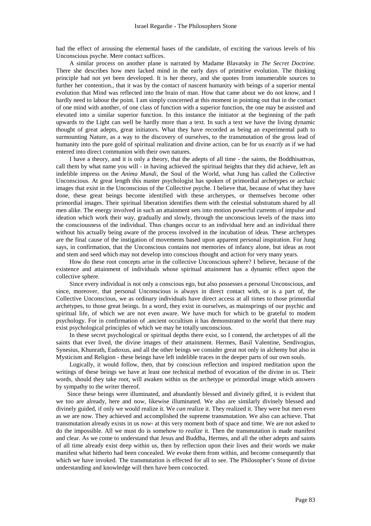had the effect of arousing the elemental bases of the candidate, of exciting the various levels of his Unconscious psyche. Mere contact suffices.

A similar process on another plane is narrated by Madame Blavatsky in *The Secret Doctrine.*  There she describes how men lacked mind in the early days of primitive evolution. The thinking principle had not yet been developed. It is her theory, and she quotes from innumerable sources to further her contention., that it was by the contact of nascent humanity with beings of a superior mental evolution that Mind was reflected into the brain of man. How that came about we do not know, and I hardly need to labour the point. I am simply concerned at this moment in pointing out that in the contact of one mind with another, of one class of function with a superior function, the one may be assisted and elevated into a similar superior function. In this instance the initiator at the beginning of the path upwards to the Light can well be hardly more than a text. In such a text we have the living dynamic thought of great adepts, great initiators. What they have recorded as being an experimental path to surmounting Nature, as a way to the discovery of ourselves, to the transmutation of the gross lead of humanity into the pure gold of spiritual realization and divine action, can be for us *exactly* as if we had entered into direct communion with their own natures.

I have a theory, and it is only a theory, that the adepts of all time - the saints, the Boddhisattvas, call them by what name you will - in having achieved the spiritual heights that they did achieve, left an indelible impress on the *Anima Mundi*, the Soul of the World, what Jung has called the Collective Unconscious. At great length this master psychologist has spoken of primordial archetypes or archaic images that exist in the Unconscious of the Collective psyche. I believe that, because of what they have done, these great beings become identified with these archetypes, or themselves become other primordial images. Their spiritual liberation identifies them with the celestial substratum shared by all men alike. The energy involved in such an attainment sets into motion powerful currents of impulse and ideation which work their way, gradually and slowly, through the unconscious levels of the mass into the consciousness of the individual. Thus changes occur to an individual here and an individual there without his actually being aware of the process involved in the incubation of ideas. These archetypes are the final cause of the instigation of movements based upon apparent personal inspiration. For Jung says, in confirmation, that the Unconscious contains not memories of infancy alone, but ideas as root and stem and seed which may not develop into conscious thought and action for very many years.

How do these root concepts arise in the collective Unconscious sphere? I believe, because of the existence and attainment of individuals whose spiritual attainment has a dynamic effect upon the collective sphere.

Since every individual is not only a conscious ego, but also possesses a personal Unconscious, and since, moreover, that personal Unconscious is always in direct contact with, or is a part of, the Collective Unconscious, we as ordinary individuals have direct access at all times to those primordial archetypes, to those great beings. In a word, they exist in ourselves, as mainsprings of our psychic and spiritual life, of which we are not even aware. We have much for which to be grateful to modem psychology. For in confirmation of .ancient occultism it has demonstrated to the world that there may exist psychological principles of which we may be totally unconscious.

In these secret psychological or spiritual depths there exist, so I contend, the archetypes of all the saints that ever lived, the divine images of their attainment. Hermes, Basil Valentine, Sendivogius, Synesius, Khunrath, Eudoxus, and all the other beings we consider great not only in alchemy but also in Mysticism and Religion - these beings have left indelible traces in the deeper parts of our own souls.

Logically, it would follow, then, that by conscious reflection and inspired meditation upon the writings of these beings we have at least one technical method of evocation of the divine in us. Their words, should they take root, will awaken within us the archetype or primordial image which answers by sympathy to the writer thereof.

Since these beings were illuminated, and abundantly blessed and divinely gifted, it is evident that we too are already, here and now, likewise illuminated. We also are similarly divinely blessed and divinely guided, if only we would realize it. We *can* realize it. They realized it. They were but men even as we are now. They achieved and accomplished the supreme transmutation. We also can achieve. That transmutation already exists in us *now*- at this very moment both of space and time. We are not asked to do the impossible. All we must do is somehow to *realize* it. Then the transmutation is made manifest and clear. As we come to understand that Jesus and Buddha, Hermes, and all the other adepts and saints of all time already exist deep within us, then by reflection upon their lives and their words we make manifest what hitherto had been concealed. We evoke them from within, and become consequently that which we have invoked. The transmutation is effected for all to see. The Philosopher's Stone of divine understanding and knowledge will then have been concocted.